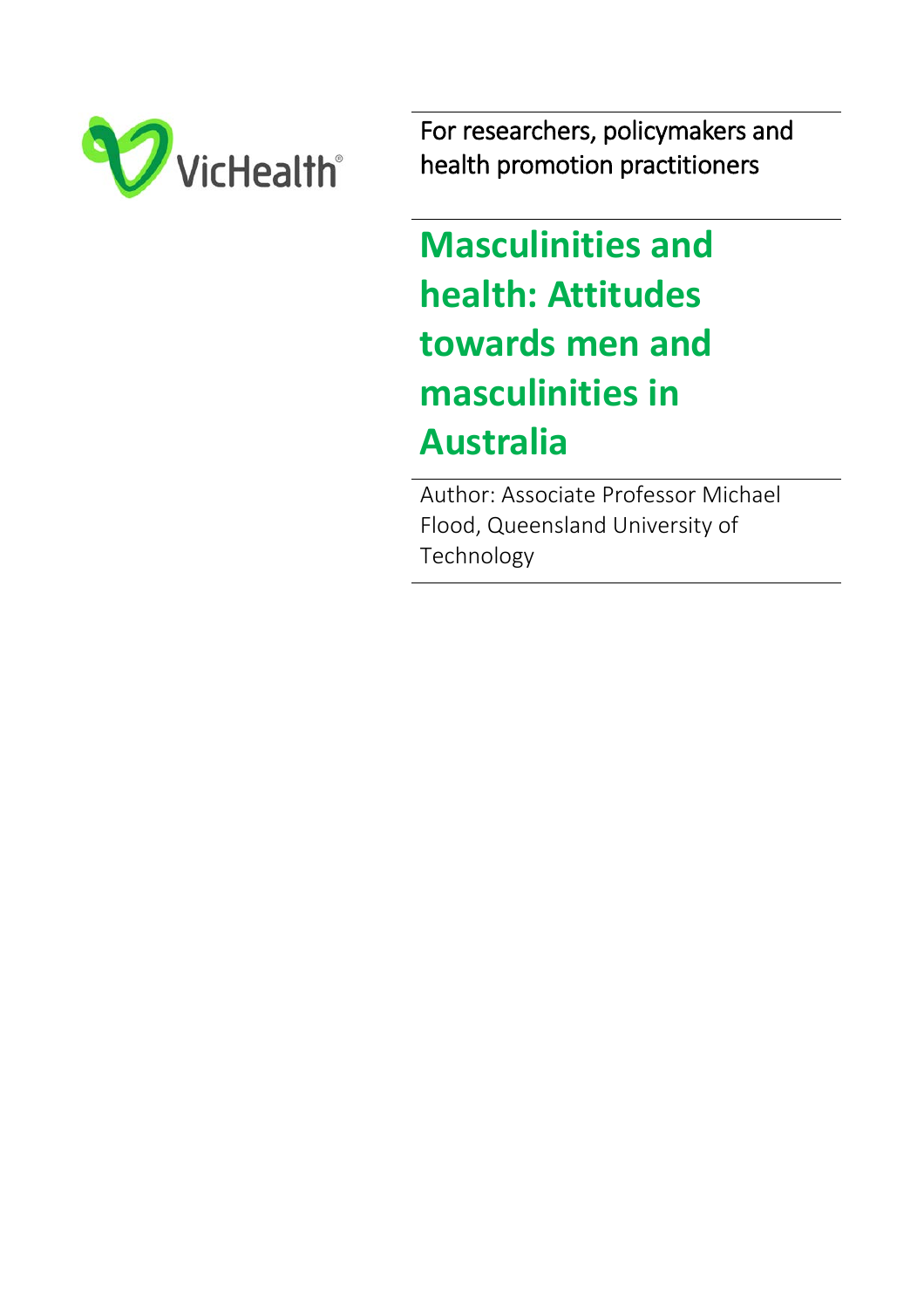

For researchers, policymakers and health promotion practitioners

**Masculinities and health: Attitudes towards men and masculinities in Australia**

 Author: Associate Professor Michael Flood, Queensland University of Technology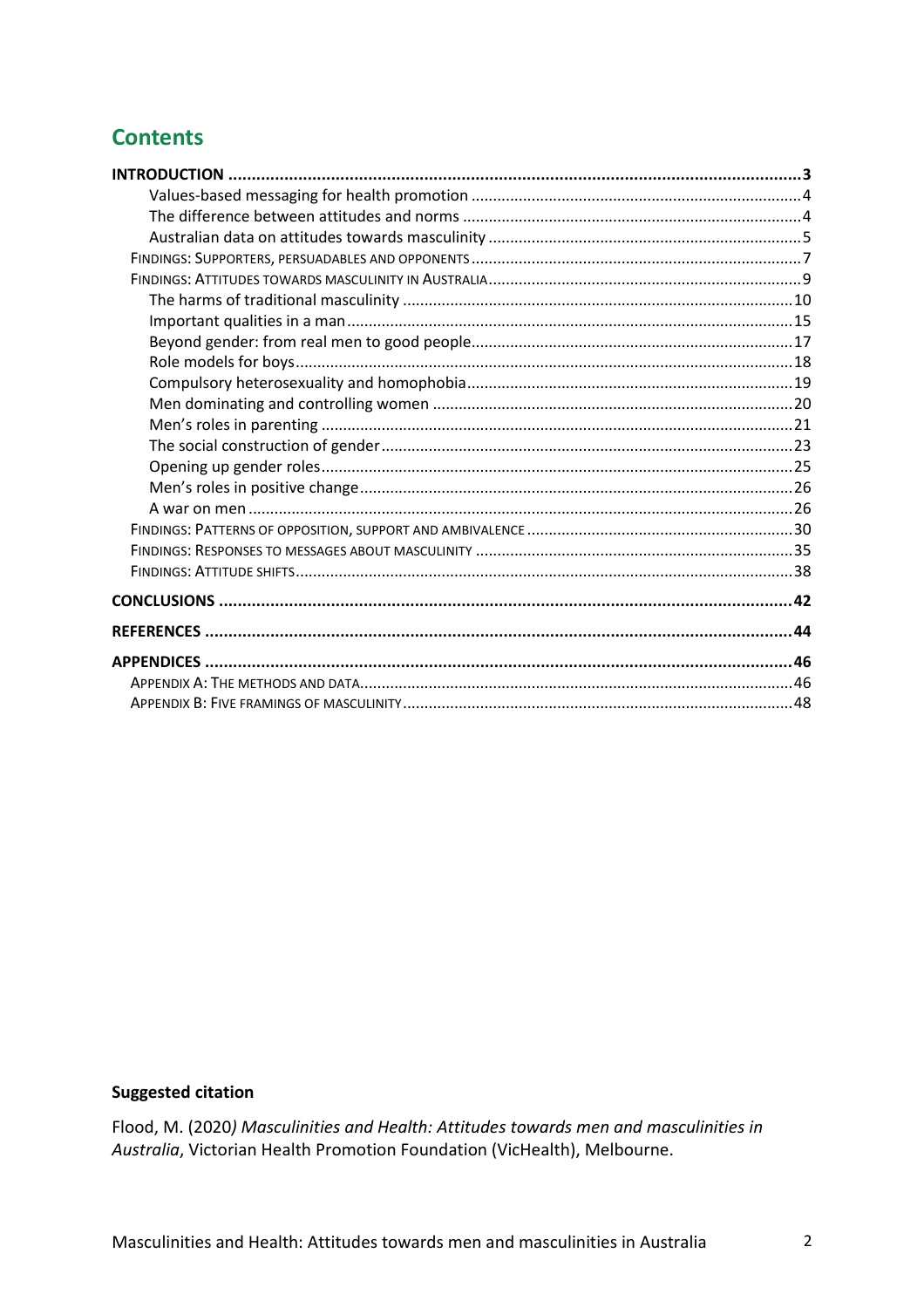# **Contents**

# **Suggested citation**

Flood, M. (2020) Masculinities and Health: Attitudes towards men and masculinities in Australia, Victorian Health Promotion Foundation (VicHealth), Melbourne.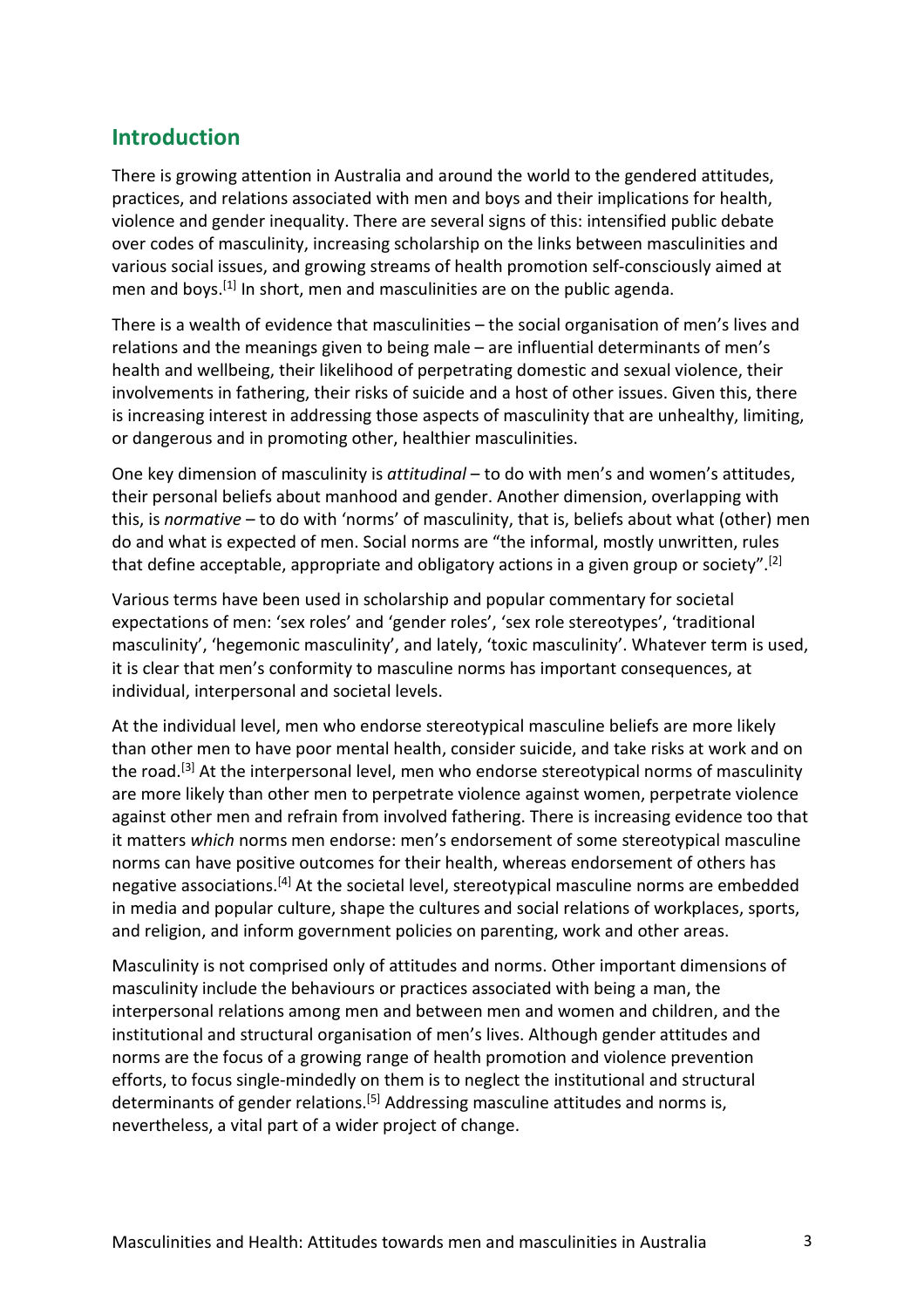# **Introduction**

There is growing attention in Australia and around the world to the gendered attitudes, practices, and relations associated with men and boys and their implications for health, violence and gender inequality. There are several signs of this: intensified public debate over codes of masculinity, increasing scholarship on the links between masculinities and various social issues, and growing streams of health promotion self-consciously aimed at men and boys.<sup>[1]</sup> In short, men and masculinities are on the public agenda.

There is a wealth of evidence that masculinities – the social organisation of men's lives and relations and the meanings given to being male – are influential determinants of men's health and wellbeing, their likelihood of perpetrating domestic and sexual violence, their involvements in fathering, their risks of suicide and a host of other issues. Given this, there is increasing interest in addressing those aspects of masculinity that are unhealthy, limiting, or dangerous and in promoting other, healthier masculinities.

One key dimension of masculinity is *attitudinal* – to do with men's and women's attitudes, their personal beliefs about manhood and gender. Another dimension, overlapping with this, is *normative* – to do with 'norms' of masculinity, that is, beliefs about what (other) men do and what is expected of men. Social norms are "the informal, mostly unwritten, rules that define acceptable, appropriate and obligatory actions in a given group or society". [2]

Various terms have been used in scholarship and popular commentary for societal expectations of men: 'sex roles' and 'gender roles', 'sex role stereotypes', 'traditional masculinity', 'hegemonic masculinity', and lately, 'toxic masculinity'. Whatever term is used, it is clear that men's conformity to masculine norms has important consequences, at individual, interpersonal and societal levels.

At the individual level, men who endorse stereotypical masculine beliefs are more likely than other men to have poor mental health, consider suicide, and take risks at work and on the road.<sup>[3]</sup> At the interpersonal level, men who endorse stereotypical norms of masculinity are more likely than other men to perpetrate violence against women, perpetrate violence against other men and refrain from involved fathering. There is increasing evidence too that it matters *which* norms men endorse: men's endorsement of some stereotypical masculine norms can have positive outcomes for their health, whereas endorsement of others has negative associations.<sup>[4]</sup> At the societal level, stereotypical masculine norms are embedded in media and popular culture, shape the cultures and social relations of workplaces, sports, and religion, and inform government policies on parenting, work and other areas.

Masculinity is not comprised only of attitudes and norms. Other important dimensions of masculinity include the behaviours or practices associated with being a man, the interpersonal relations among men and between men and women and children, and the institutional and structural organisation of men's lives. Although gender attitudes and norms are the focus of a growing range of health promotion and violence prevention efforts, to focus single-mindedly on them is to neglect the institutional and structural determinants of gender relations.<sup>[5]</sup> Addressing masculine attitudes and norms is, nevertheless, a vital part of a wider project of change.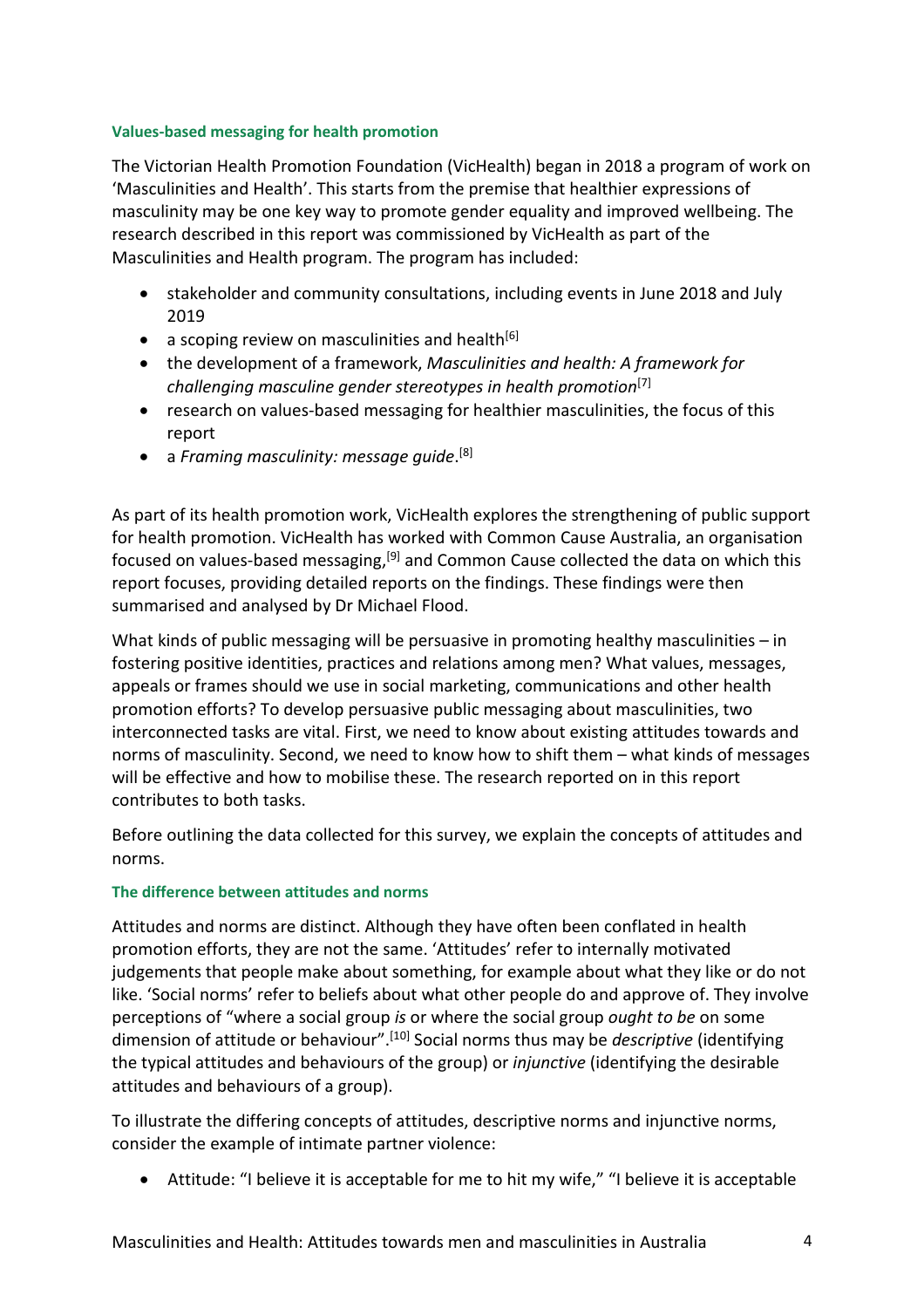## **Values-based messaging for health promotion**

The Victorian Health Promotion Foundation (VicHealth) began in 2018 a program of work on 'Masculinities and Health'. This starts from the premise that healthier expressions of masculinity may be one key way to promote gender equality and improved wellbeing. The research described in this report was commissioned by VicHealth as part of the Masculinities and Health program. The program has included:

- stakeholder and community consultations, including events in June 2018 and July 2019
- a scoping review on masculinities and health $[6]$
- the development of a framework, *Masculinities and health: A framework for challenging masculine gender stereotypes in health promotion*[7]
- research on values-based messaging for healthier masculinities, the focus of this report
- a *Framing masculinity: message guide*. [8]

As part of its health promotion work, VicHealth explores the strengthening of public support for health promotion. VicHealth has worked with Common Cause Australia, an organisation focused on values-based messaging,<sup>[9]</sup> and Common Cause collected the data on which this report focuses, providing detailed reports on the findings. These findings were then summarised and analysed by Dr Michael Flood.

What kinds of public messaging will be persuasive in promoting healthy masculinities – in fostering positive identities, practices and relations among men? What values, messages, appeals or frames should we use in social marketing, communications and other health promotion efforts? To develop persuasive public messaging about masculinities, two interconnected tasks are vital. First, we need to know about existing attitudes towards and norms of masculinity. Second, we need to know how to shift them – what kinds of messages will be effective and how to mobilise these. The research reported on in this report contributes to both tasks.

Before outlining the data collected for this survey, we explain the concepts of attitudes and norms.

# **The difference between attitudes and norms**

Attitudes and norms are distinct. Although they have often been conflated in health promotion efforts, they are not the same. 'Attitudes' refer to internally motivated judgements that people make about something, for example about what they like or do not like. 'Social norms' refer to beliefs about what other people do and approve of. They involve perceptions of "where a social group *is* or where the social group *ought to be* on some dimension of attitude or behaviour". [10] Social norms thus may be *descriptive* (identifying the typical attitudes and behaviours of the group) or *injunctive* (identifying the desirable attitudes and behaviours of a group).

To illustrate the differing concepts of attitudes, descriptive norms and injunctive norms, consider the example of intimate partner violence:

• Attitude: "I believe it is acceptable for me to hit my wife," "I believe it is acceptable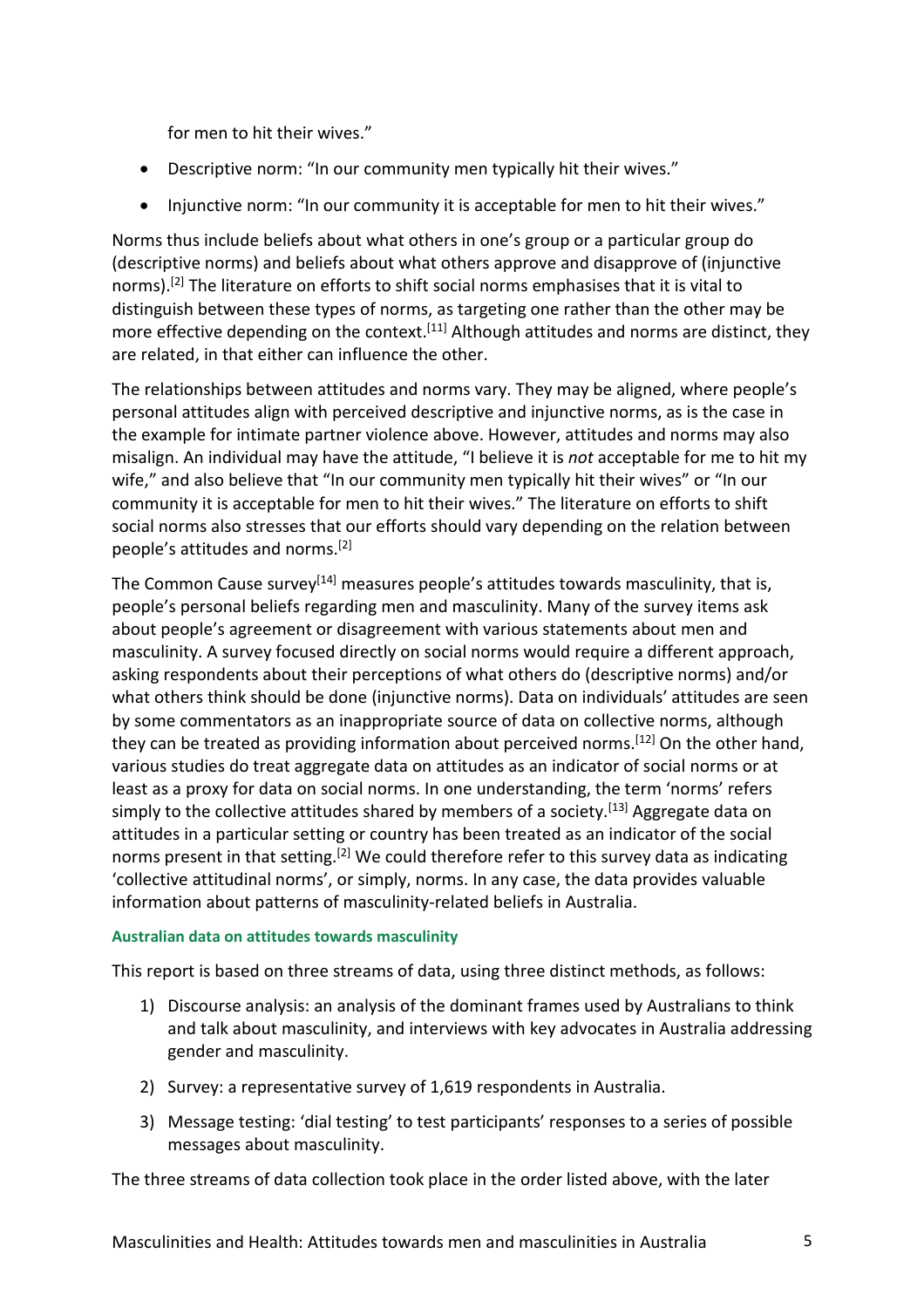for men to hit their wives."

- Descriptive norm: "In our community men typically hit their wives."
- Injunctive norm: "In our community it is acceptable for men to hit their wives."

Norms thus include beliefs about what others in one's group or a particular group do (descriptive norms) and beliefs about what others approve and disapprove of (injunctive norms).<sup>[2]</sup> The literature on efforts to shift social norms emphasises that it is vital to distinguish between these types of norms, as targeting one rather than the other may be more effective depending on the context.<sup>[11]</sup> Although attitudes and norms are distinct, they are related, in that either can influence the other.

The relationships between attitudes and norms vary. They may be aligned, where people's personal attitudes align with perceived descriptive and injunctive norms, as is the case in the example for intimate partner violence above. However, attitudes and norms may also misalign. An individual may have the attitude, "I believe it is *not* acceptable for me to hit my wife," and also believe that "In our community men typically hit their wives" or "In our community it is acceptable for men to hit their wives." The literature on efforts to shift social norms also stresses that our efforts should vary depending on the relation between people's attitudes and norms. [2]

The Common Cause survey<sup>[14]</sup> measures people's attitudes towards masculinity, that is, people's personal beliefs regarding men and masculinity. Many of the survey items ask about people's agreement or disagreement with various statements about men and masculinity. A survey focused directly on social norms would require a different approach, asking respondents about their perceptions of what others do (descriptive norms) and/or what others think should be done (injunctive norms). Data on individuals' attitudes are seen by some commentators as an inappropriate source of data on collective norms, although they can be treated as providing information about perceived norms.<sup>[12]</sup> On the other hand, various studies do treat aggregate data on attitudes as an indicator of social norms or at least as a proxy for data on social norms. In one understanding, the term 'norms' refers simply to the collective attitudes shared by members of a society.<sup>[13]</sup> Aggregate data on attitudes in a particular setting or country has been treated as an indicator of the social norms present in that setting.<sup>[2]</sup> We could therefore refer to this survey data as indicating 'collective attitudinal norms', or simply, norms. In any case, the data provides valuable information about patterns of masculinity-related beliefs in Australia.

## **Australian data on attitudes towards masculinity**

This report is based on three streams of data, using three distinct methods, as follows:

- 1) Discourse analysis: an analysis of the dominant frames used by Australians to think and talk about masculinity, and interviews with key advocates in Australia addressing gender and masculinity.
- 2) Survey: a representative survey of 1,619 respondents in Australia.
- 3) Message testing: 'dial testing' to test participants' responses to a series of possible messages about masculinity.

The three streams of data collection took place in the order listed above, with the later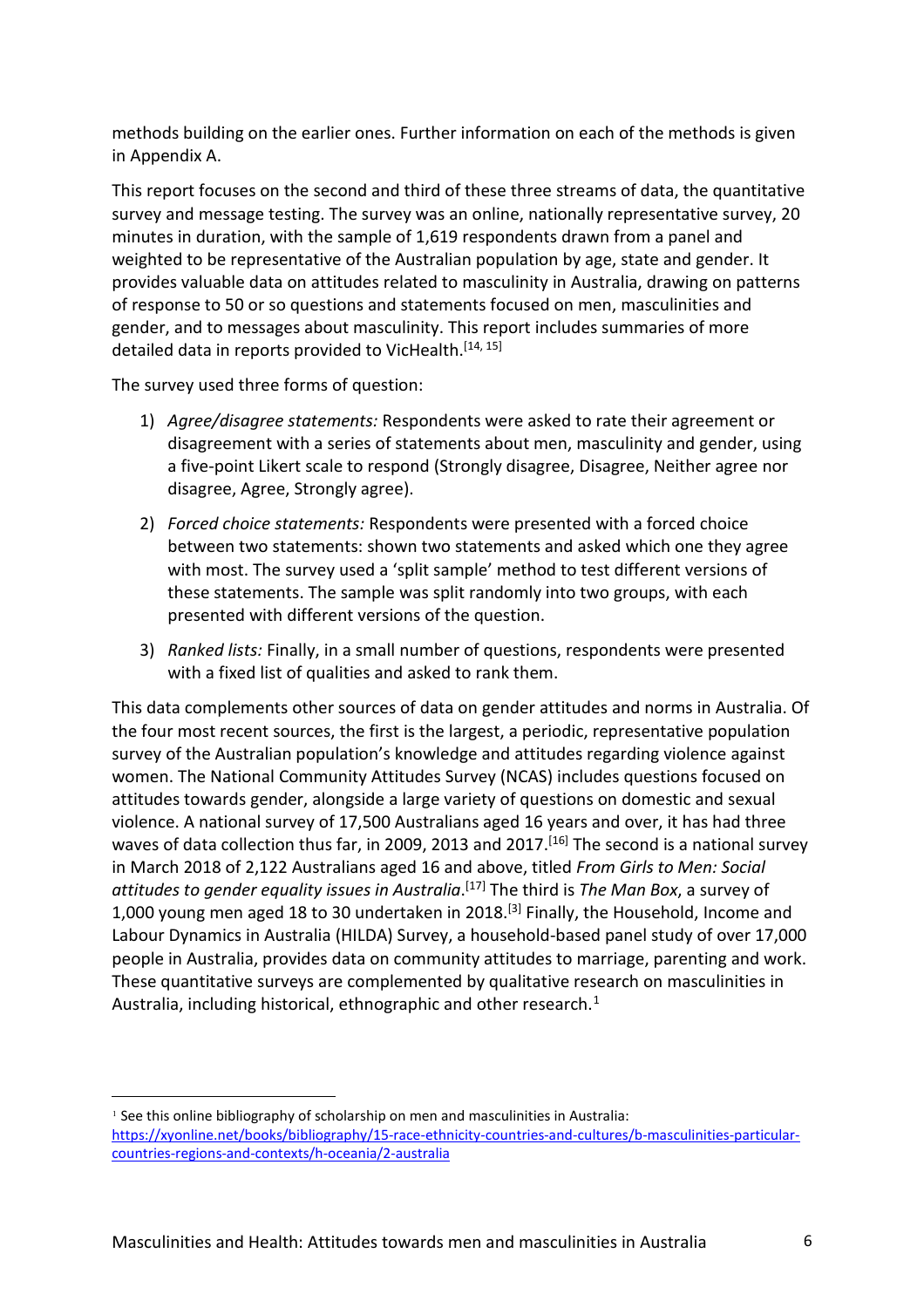methods building on the earlier ones. Further information on each of the methods is given in Appendix A.

This report focuses on the second and third of these three streams of data, the quantitative survey and message testing. The survey was an online, nationally representative survey, 20 minutes in duration, with the sample of 1,619 respondents drawn from a panel and weighted to be representative of the Australian population by age, state and gender. It provides valuable data on attitudes related to masculinity in Australia, drawing on patterns of response to 50 or so questions and statements focused on men, masculinities and gender, and to messages about masculinity. This report includes summaries of more detailed data in reports provided to VicHealth.<sup>[14, 15]</sup>

The survey used three forms of question:

- 1) *Agree/disagree statements:* Respondents were asked to rate their agreement or disagreement with a series of statements about men, masculinity and gender, using a five-point Likert scale to respond (Strongly disagree, Disagree, Neither agree nor disagree, Agree, Strongly agree).
- 2) *Forced choice statements:* Respondents were presented with a forced choice between two statements: shown two statements and asked which one they agree with most. The survey used a 'split sample' method to test different versions of these statements. The sample was split randomly into two groups, with each presented with different versions of the question.
- 3) *Ranked lists:* Finally, in a small number of questions, respondents were presented with a fixed list of qualities and asked to rank them.

This data complements other sources of data on gender attitudes and norms in Australia. Of the four most recent sources, the first is the largest, a periodic, representative population survey of the Australian population's knowledge and attitudes regarding violence against women. The National Community Attitudes Survey (NCAS) includes questions focused on attitudes towards gender, alongside a large variety of questions on domestic and sexual violence. A national survey of 17,500 Australians aged 16 years and over, it has had three waves of data collection thus far, in 2009, 2013 and 2017.<sup>[16]</sup> The second is a national survey in March 2018 of 2,122 Australians aged 16 and above, titled *From Girls to Men: Social attitudes to gender equality issues in Australia*. [17] The third is *The Man Box*, a survey of 1,000 young men aged 18 to 30 undertaken in 2018.<sup>[3]</sup> Finally, the Household, Income and Labour Dynamics in Australia (HILDA) Survey, a household-based panel study of over 17,000 people in Australia, provides data on community attitudes to marriage, parenting and work. These quantitative surveys are complemented by qualitative research on masculinities in Australia, including historical, ethnographic and other research.<sup>[1](#page-5-0)</sup>

<span id="page-5-0"></span><sup>&</sup>lt;sup>1</sup> See this online bibliography of scholarship on men and masculinities in Australia: [https://xyonline.net/books/bibliography/15-race-ethnicity-countries-and-cultures/b-masculinities-particular](https://xyonline.net/books/bibliography/15-race-ethnicity-countries-and-cultures/b-masculinities-particular-countries-regions-and-contexts/h-oceania/2-australia)[countries-regions-and-contexts/h-oceania/2-australia](https://xyonline.net/books/bibliography/15-race-ethnicity-countries-and-cultures/b-masculinities-particular-countries-regions-and-contexts/h-oceania/2-australia)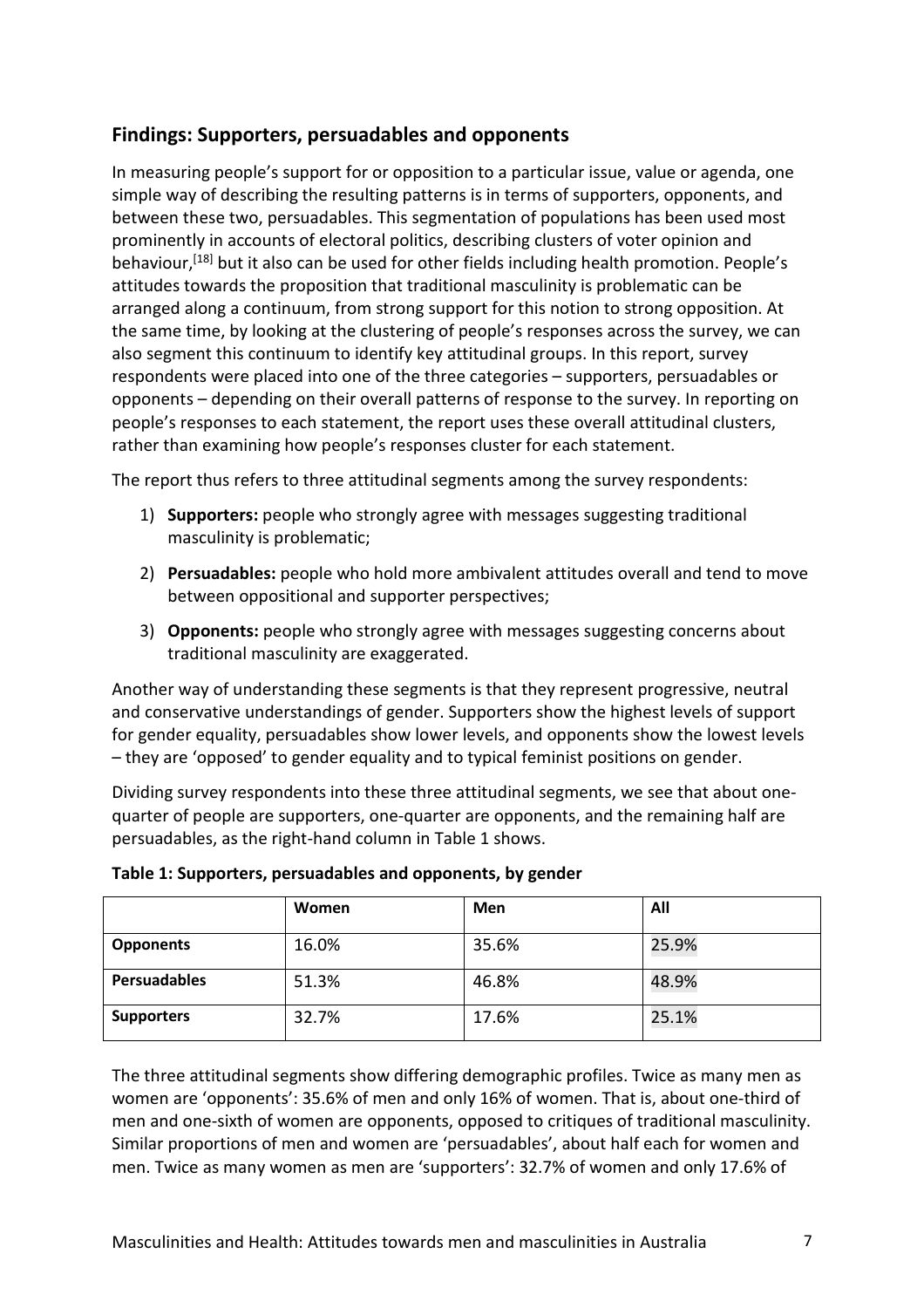# **Findings: Supporters, persuadables and opponents**

In measuring people's support for or opposition to a particular issue, value or agenda, one simple way of describing the resulting patterns is in terms of supporters, opponents, and between these two, persuadables. This segmentation of populations has been used most prominently in accounts of electoral politics, describing clusters of voter opinion and behaviour,<sup>[18]</sup> but it also can be used for other fields including health promotion. People's attitudes towards the proposition that traditional masculinity is problematic can be arranged along a continuum, from strong support for this notion to strong opposition. At the same time, by looking at the clustering of people's responses across the survey, we can also segment this continuum to identify key attitudinal groups. In this report, survey respondents were placed into one of the three categories – supporters, persuadables or opponents – depending on their overall patterns of response to the survey. In reporting on people's responses to each statement, the report uses these overall attitudinal clusters, rather than examining how people's responses cluster for each statement.

The report thus refers to three attitudinal segments among the survey respondents:

- 1) **Supporters:** people who strongly agree with messages suggesting traditional masculinity is problematic;
- 2) **Persuadables:** people who hold more ambivalent attitudes overall and tend to move between oppositional and supporter perspectives;
- 3) **Opponents:** people who strongly agree with messages suggesting concerns about traditional masculinity are exaggerated.

Another way of understanding these segments is that they represent progressive, neutral and conservative understandings of gender. Supporters show the highest levels of support for gender equality, persuadables show lower levels, and opponents show the lowest levels – they are 'opposed' to gender equality and to typical feminist positions on gender.

Dividing survey respondents into these three attitudinal segments, we see that about onequarter of people are supporters, one-quarter are opponents, and the remaining half are persuadables, as the right-hand column in Table 1 shows.

|                     | Women | Men   | All   |
|---------------------|-------|-------|-------|
| <b>Opponents</b>    | 16.0% | 35.6% | 25.9% |
| <b>Persuadables</b> | 51.3% | 46.8% | 48.9% |
| <b>Supporters</b>   | 32.7% | 17.6% | 25.1% |

|  | Table 1: Supporters, persuadables and opponents, by gender |  |  |
|--|------------------------------------------------------------|--|--|
|--|------------------------------------------------------------|--|--|

The three attitudinal segments show differing demographic profiles. Twice as many men as women are 'opponents': 35.6% of men and only 16% of women. That is, about one-third of men and one-sixth of women are opponents, opposed to critiques of traditional masculinity. Similar proportions of men and women are 'persuadables', about half each for women and men. Twice as many women as men are 'supporters': 32.7% of women and only 17.6% of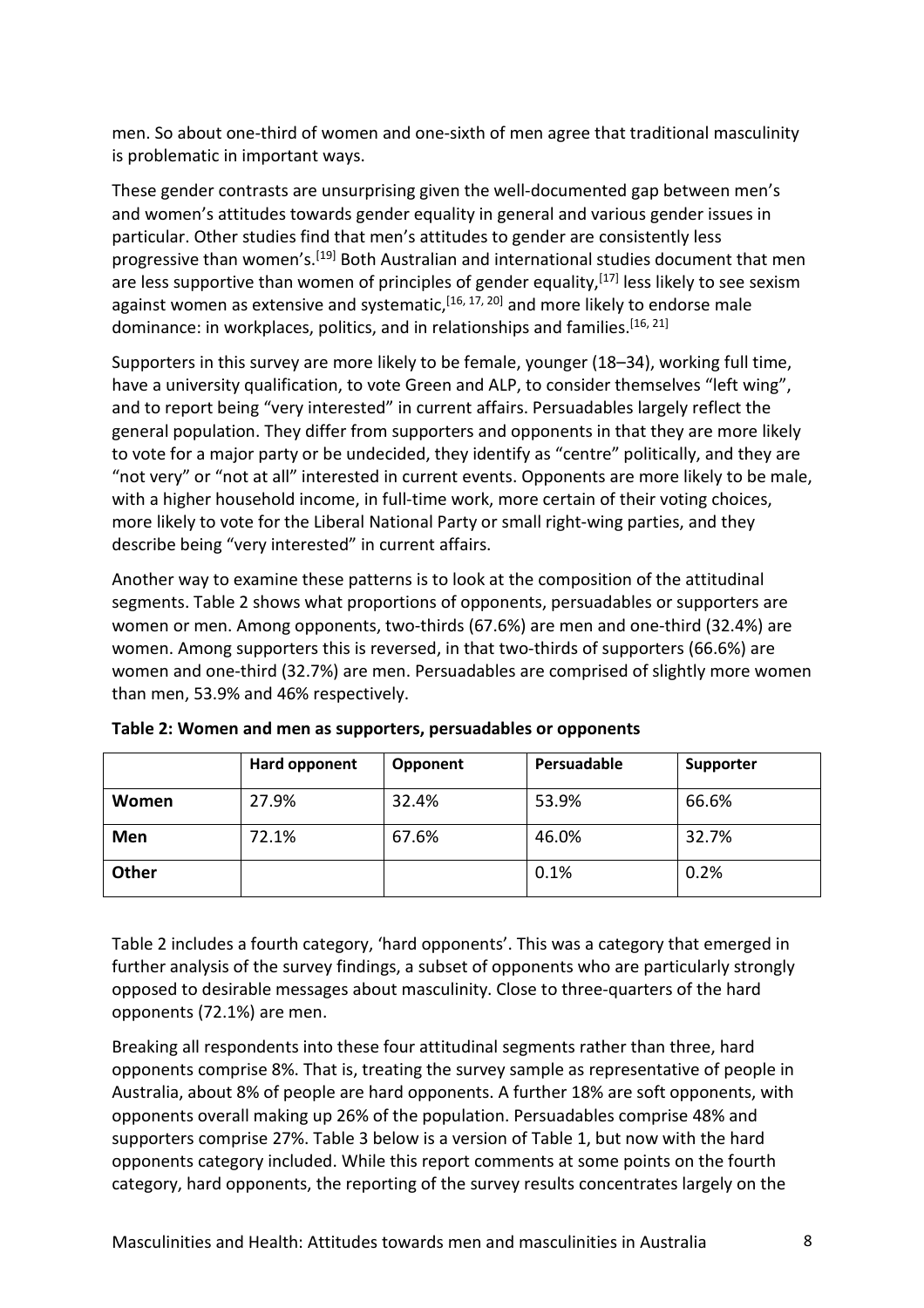men. So about one-third of women and one-sixth of men agree that traditional masculinity is problematic in important ways.

These gender contrasts are unsurprising given the well-documented gap between men's and women's attitudes towards gender equality in general and various gender issues in particular. Other studies find that men's attitudes to gender are consistently less progressive than women's.<sup>[19]</sup> Both Australian and international studies document that men are less supportive than women of principles of gender equality,<sup>[17]</sup> less likely to see sexism against women as extensive and systematic,<sup>[16, 17, 20]</sup> and more likely to endorse male dominance: in workplaces, politics, and in relationships and families.<sup>[16, 21]</sup>

Supporters in this survey are more likely to be female, younger (18–34), working full time, have a university qualification, to vote Green and ALP, to consider themselves "left wing", and to report being "very interested" in current affairs. Persuadables largely reflect the general population. They differ from supporters and opponents in that they are more likely to vote for a major party or be undecided, they identify as "centre" politically, and they are "not very" or "not at all" interested in current events. Opponents are more likely to be male, with a higher household income, in full-time work, more certain of their voting choices, more likely to vote for the Liberal National Party or small right-wing parties, and they describe being "very interested" in current affairs.

Another way to examine these patterns is to look at the composition of the attitudinal segments. Table 2 shows what proportions of opponents, persuadables or supporters are women or men. Among opponents, two-thirds (67.6%) are men and one-third (32.4%) are women. Among supporters this is reversed, in that two-thirds of supporters (66.6%) are women and one-third (32.7%) are men. Persuadables are comprised of slightly more women than men, 53.9% and 46% respectively.

|       | Hard opponent | Opponent | Persuadable | Supporter |
|-------|---------------|----------|-------------|-----------|
| Women | 27.9%         | 32.4%    | 53.9%       | 66.6%     |
| Men   | 72.1%         | 67.6%    | 46.0%       | 32.7%     |
| Other |               |          | 0.1%        | 0.2%      |

**Table 2: Women and men as supporters, persuadables or opponents**

Table 2 includes a fourth category, 'hard opponents'. This was a category that emerged in further analysis of the survey findings, a subset of opponents who are particularly strongly opposed to desirable messages about masculinity. Close to three-quarters of the hard opponents (72.1%) are men.

Breaking all respondents into these four attitudinal segments rather than three, hard opponents comprise 8%. That is, treating the survey sample as representative of people in Australia, about 8% of people are hard opponents. A further 18% are soft opponents, with opponents overall making up 26% of the population. Persuadables comprise 48% and supporters comprise 27%. Table 3 below is a version of Table 1, but now with the hard opponents category included. While this report comments at some points on the fourth category, hard opponents, the reporting of the survey results concentrates largely on the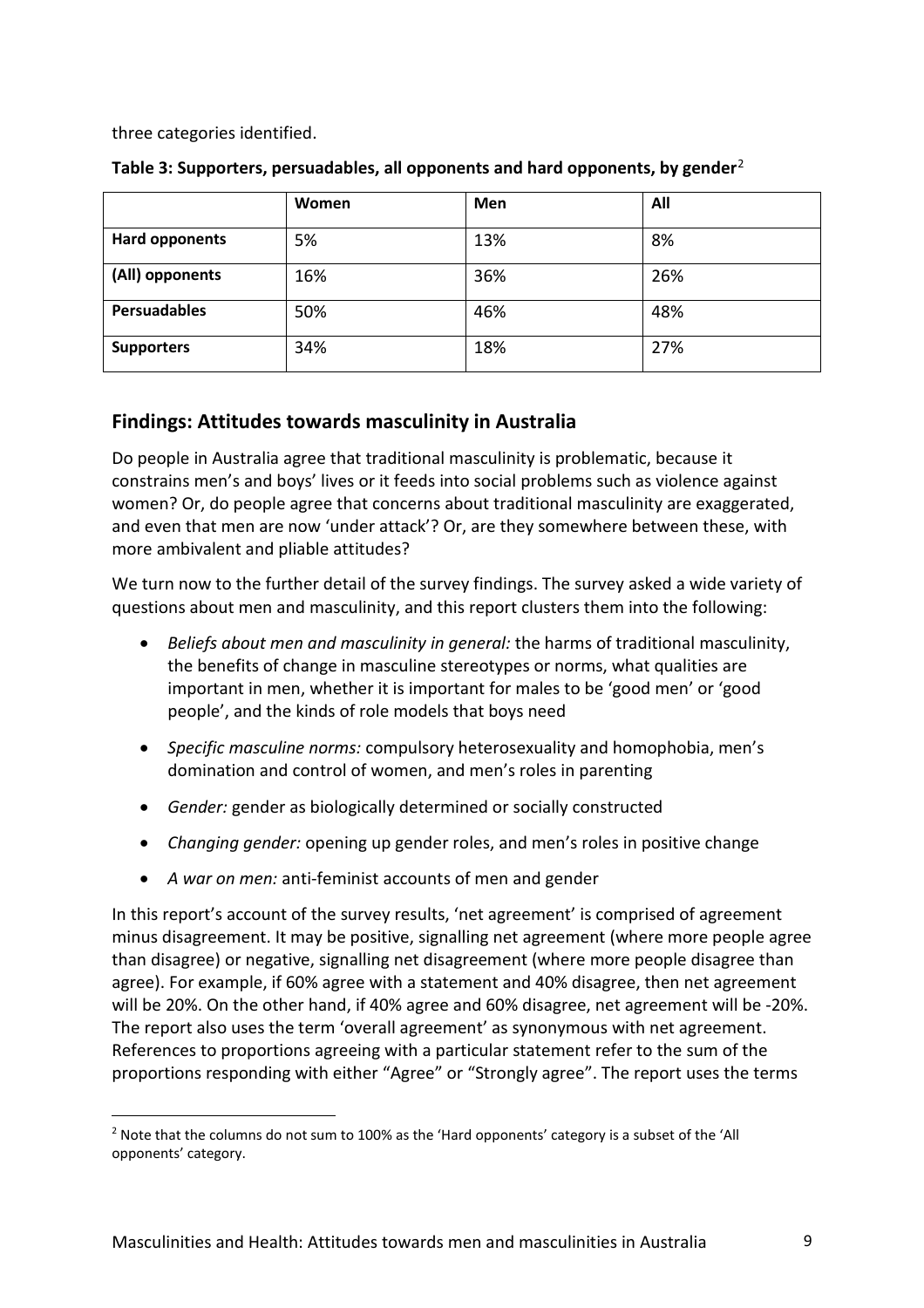three categories identified.

 $\overline{a}$ 

|                     | Women | Men | All |
|---------------------|-------|-----|-----|
| Hard opponents      | 5%    | 13% | 8%  |
| (All) opponents     | 16%   | 36% | 26% |
| <b>Persuadables</b> | 50%   | 46% | 48% |
| <b>Supporters</b>   | 34%   | 18% | 27% |

## **Table 3: Supporters, persuadables, all opponents and hard opponents, by gender**[2](#page-8-0)

# **Findings: Attitudes towards masculinity in Australia**

Do people in Australia agree that traditional masculinity is problematic, because it constrains men's and boys' lives or it feeds into social problems such as violence against women? Or, do people agree that concerns about traditional masculinity are exaggerated, and even that men are now 'under attack'? Or, are they somewhere between these, with more ambivalent and pliable attitudes?

We turn now to the further detail of the survey findings. The survey asked a wide variety of questions about men and masculinity, and this report clusters them into the following:

- *Beliefs about men and masculinity in general:* the harms of traditional masculinity, the benefits of change in masculine stereotypes or norms, what qualities are important in men, whether it is important for males to be 'good men' or 'good people', and the kinds of role models that boys need
- *Specific masculine norms:* compulsory heterosexuality and homophobia, men's domination and control of women, and men's roles in parenting
- *Gender:* gender as biologically determined or socially constructed
- *Changing gender:* opening up gender roles, and men's roles in positive change
- *A war on men:* anti-feminist accounts of men and gender

In this report's account of the survey results, 'net agreement' is comprised of agreement minus disagreement. It may be positive, signalling net agreement (where more people agree than disagree) or negative, signalling net disagreement (where more people disagree than agree). For example, if 60% agree with a statement and 40% disagree, then net agreement will be 20%. On the other hand, if 40% agree and 60% disagree, net agreement will be -20%. The report also uses the term 'overall agreement' as synonymous with net agreement. References to proportions agreeing with a particular statement refer to the sum of the proportions responding with either "Agree" or "Strongly agree". The report uses the terms

<span id="page-8-0"></span><sup>&</sup>lt;sup>2</sup> Note that the columns do not sum to 100% as the 'Hard opponents' category is a subset of the 'All opponents' category.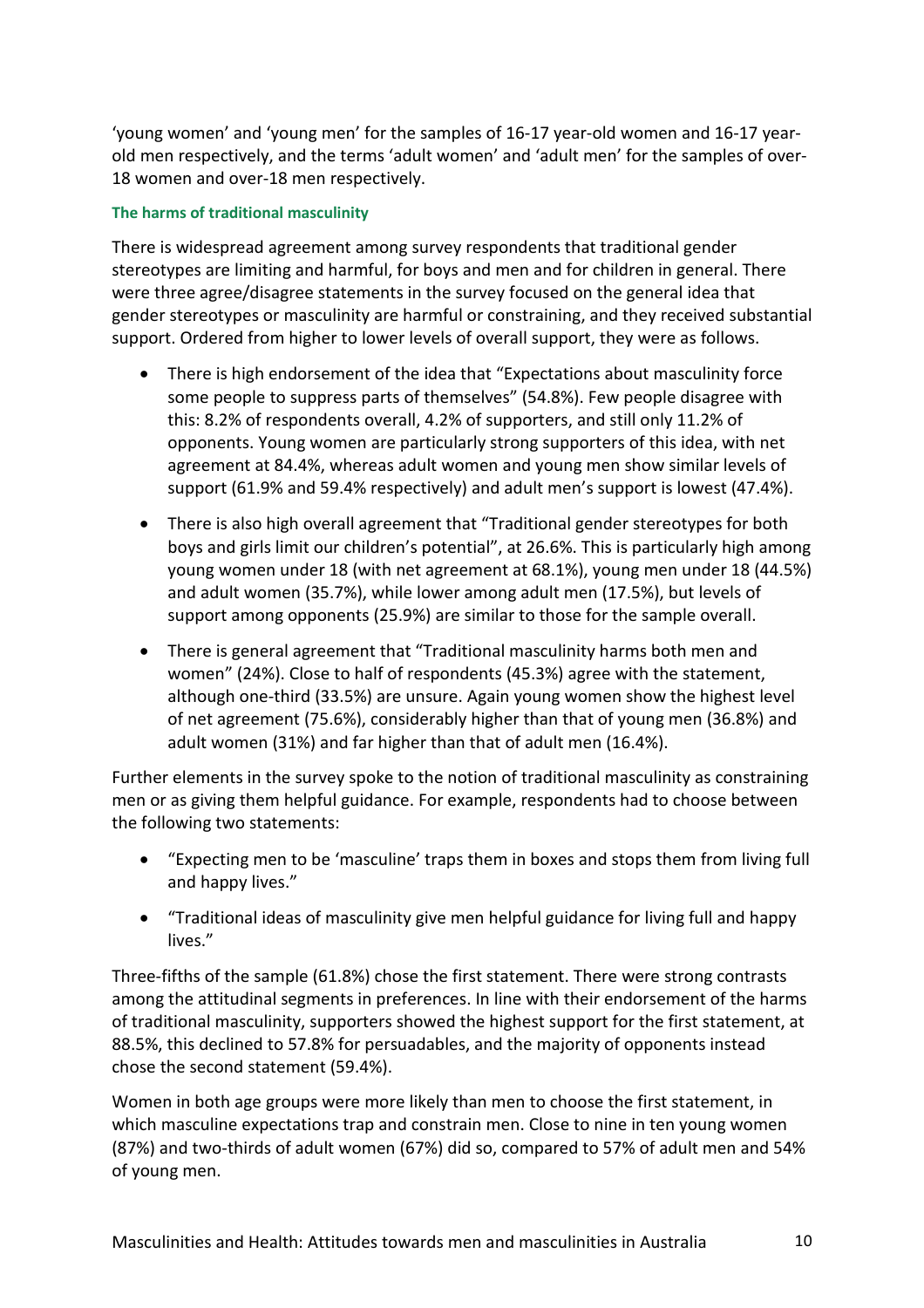'young women' and 'young men' for the samples of 16-17 year-old women and 16-17 yearold men respectively, and the terms 'adult women' and 'adult men' for the samples of over-18 women and over-18 men respectively.

#### **The harms of traditional masculinity**

There is widespread agreement among survey respondents that traditional gender stereotypes are limiting and harmful, for boys and men and for children in general. There were three agree/disagree statements in the survey focused on the general idea that gender stereotypes or masculinity are harmful or constraining, and they received substantial support. Ordered from higher to lower levels of overall support, they were as follows.

- There is high endorsement of the idea that "Expectations about masculinity force some people to suppress parts of themselves" (54.8%). Few people disagree with this: 8.2% of respondents overall, 4.2% of supporters, and still only 11.2% of opponents. Young women are particularly strong supporters of this idea, with net agreement at 84.4%, whereas adult women and young men show similar levels of support (61.9% and 59.4% respectively) and adult men's support is lowest (47.4%).
- There is also high overall agreement that "Traditional gender stereotypes for both boys and girls limit our children's potential", at 26.6%. This is particularly high among young women under 18 (with net agreement at 68.1%), young men under 18 (44.5%) and adult women (35.7%), while lower among adult men (17.5%), but levels of support among opponents (25.9%) are similar to those for the sample overall.
- There is general agreement that "Traditional masculinity harms both men and women" (24%). Close to half of respondents (45.3%) agree with the statement, although one-third (33.5%) are unsure. Again young women show the highest level of net agreement (75.6%), considerably higher than that of young men (36.8%) and adult women (31%) and far higher than that of adult men (16.4%).

Further elements in the survey spoke to the notion of traditional masculinity as constraining men or as giving them helpful guidance. For example, respondents had to choose between the following two statements:

- "Expecting men to be 'masculine' traps them in boxes and stops them from living full and happy lives."
- "Traditional ideas of masculinity give men helpful guidance for living full and happy lives."

Three-fifths of the sample (61.8%) chose the first statement. There were strong contrasts among the attitudinal segments in preferences. In line with their endorsement of the harms of traditional masculinity, supporters showed the highest support for the first statement, at 88.5%, this declined to 57.8% for persuadables, and the majority of opponents instead chose the second statement (59.4%).

Women in both age groups were more likely than men to choose the first statement, in which masculine expectations trap and constrain men. Close to nine in ten young women (87%) and two-thirds of adult women (67%) did so, compared to 57% of adult men and 54% of young men.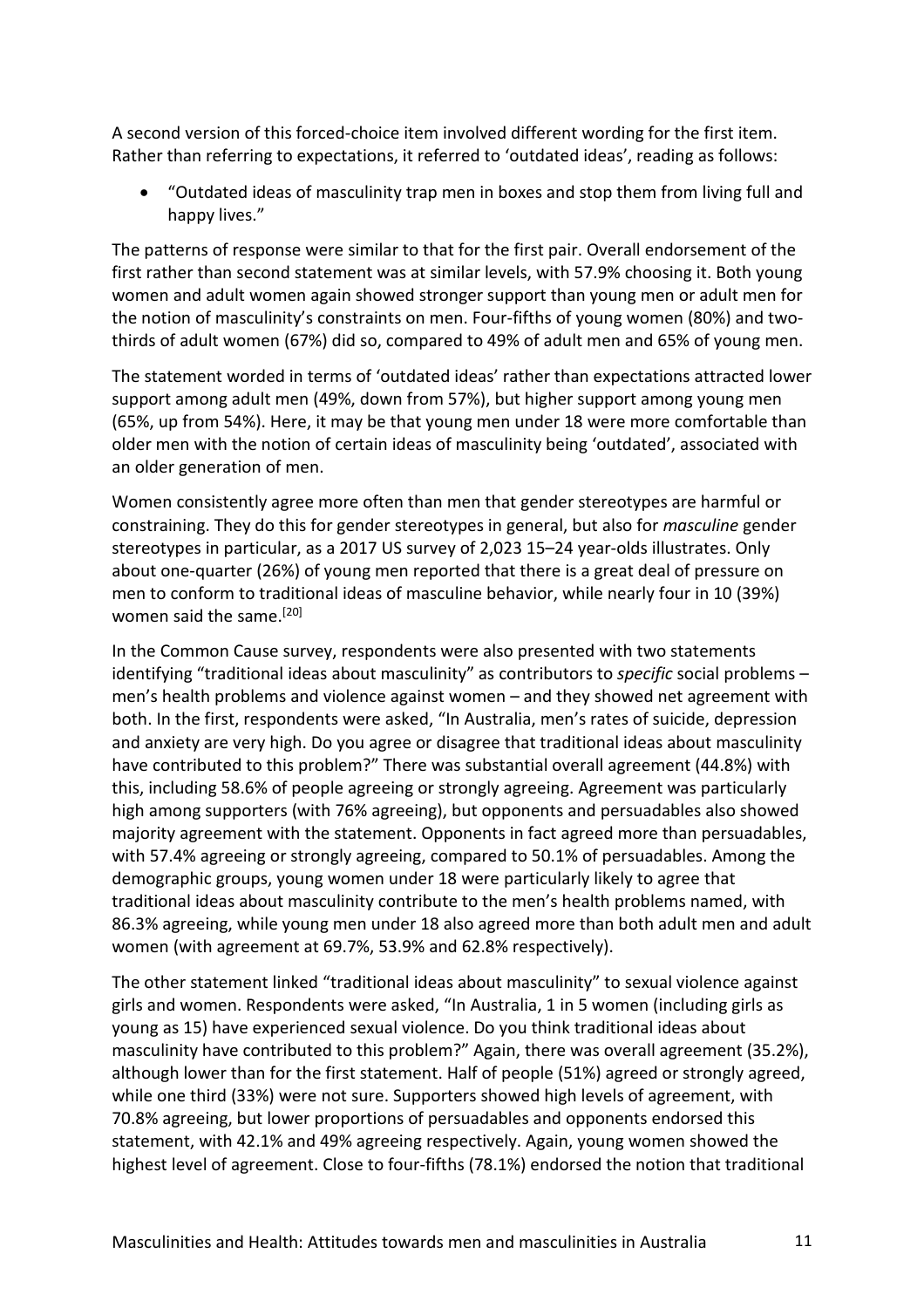A second version of this forced-choice item involved different wording for the first item. Rather than referring to expectations, it referred to 'outdated ideas', reading as follows:

• "Outdated ideas of masculinity trap men in boxes and stop them from living full and happy lives."

The patterns of response were similar to that for the first pair. Overall endorsement of the first rather than second statement was at similar levels, with 57.9% choosing it. Both young women and adult women again showed stronger support than young men or adult men for the notion of masculinity's constraints on men. Four-fifths of young women (80%) and twothirds of adult women (67%) did so, compared to 49% of adult men and 65% of young men.

The statement worded in terms of 'outdated ideas' rather than expectations attracted lower support among adult men (49%, down from 57%), but higher support among young men (65%, up from 54%). Here, it may be that young men under 18 were more comfortable than older men with the notion of certain ideas of masculinity being 'outdated', associated with an older generation of men.

Women consistently agree more often than men that gender stereotypes are harmful or constraining. They do this for gender stereotypes in general, but also for *masculine* gender stereotypes in particular, as a 2017 US survey of 2,023 15–24 year-olds illustrates. Only about one-quarter (26%) of young men reported that there is a great deal of pressure on men to conform to traditional ideas of masculine behavior, while nearly four in 10 (39%) women said the same.<sup>[20]</sup>

In the Common Cause survey, respondents were also presented with two statements identifying "traditional ideas about masculinity" as contributors to *specific* social problems – men's health problems and violence against women – and they showed net agreement with both. In the first, respondents were asked, "In Australia, men's rates of suicide, depression and anxiety are very high. Do you agree or disagree that traditional ideas about masculinity have contributed to this problem?" There was substantial overall agreement (44.8%) with this, including 58.6% of people agreeing or strongly agreeing. Agreement was particularly high among supporters (with 76% agreeing), but opponents and persuadables also showed majority agreement with the statement. Opponents in fact agreed more than persuadables, with 57.4% agreeing or strongly agreeing, compared to 50.1% of persuadables. Among the demographic groups, young women under 18 were particularly likely to agree that traditional ideas about masculinity contribute to the men's health problems named, with 86.3% agreeing, while young men under 18 also agreed more than both adult men and adult women (with agreement at 69.7%, 53.9% and 62.8% respectively).

The other statement linked "traditional ideas about masculinity" to sexual violence against girls and women. Respondents were asked, "In Australia, 1 in 5 women (including girls as young as 15) have experienced sexual violence. Do you think traditional ideas about masculinity have contributed to this problem?" Again, there was overall agreement (35.2%), although lower than for the first statement. Half of people (51%) agreed or strongly agreed, while one third (33%) were not sure. Supporters showed high levels of agreement, with 70.8% agreeing, but lower proportions of persuadables and opponents endorsed this statement, with 42.1% and 49% agreeing respectively. Again, young women showed the highest level of agreement. Close to four-fifths (78.1%) endorsed the notion that traditional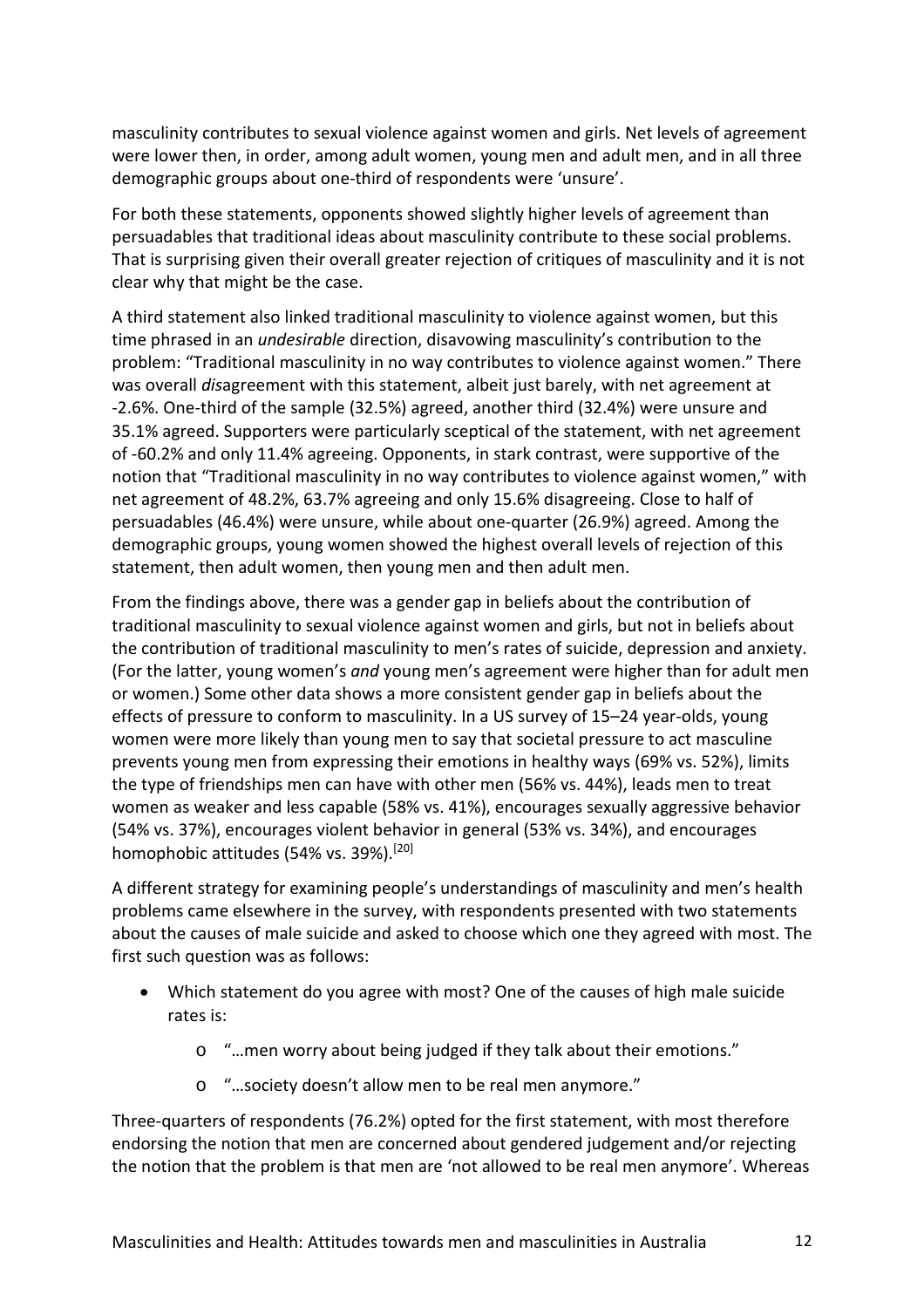masculinity contributes to sexual violence against women and girls. Net levels of agreement were lower then, in order, among adult women, young men and adult men, and in all three demographic groups about one-third of respondents were 'unsure'.

For both these statements, opponents showed slightly higher levels of agreement than persuadables that traditional ideas about masculinity contribute to these social problems. That is surprising given their overall greater rejection of critiques of masculinity and it is not clear why that might be the case.

A third statement also linked traditional masculinity to violence against women, but this time phrased in an *undesirable* direction, disavowing masculinity's contribution to the problem: "Traditional masculinity in no way contributes to violence against women." There was overall *dis*agreement with this statement, albeit just barely, with net agreement at -2.6%. One-third of the sample (32.5%) agreed, another third (32.4%) were unsure and 35.1% agreed. Supporters were particularly sceptical of the statement, with net agreement of -60.2% and only 11.4% agreeing. Opponents, in stark contrast, were supportive of the notion that "Traditional masculinity in no way contributes to violence against women," with net agreement of 48.2%, 63.7% agreeing and only 15.6% disagreeing. Close to half of persuadables (46.4%) were unsure, while about one-quarter (26.9%) agreed. Among the demographic groups, young women showed the highest overall levels of rejection of this statement, then adult women, then young men and then adult men.

From the findings above, there was a gender gap in beliefs about the contribution of traditional masculinity to sexual violence against women and girls, but not in beliefs about the contribution of traditional masculinity to men's rates of suicide, depression and anxiety. (For the latter, young women's *and* young men's agreement were higher than for adult men or women.) Some other data shows a more consistent gender gap in beliefs about the effects of pressure to conform to masculinity. In a US survey of 15–24 year-olds, young women were more likely than young men to say that societal pressure to act masculine prevents young men from expressing their emotions in healthy ways (69% vs. 52%), limits the type of friendships men can have with other men (56% vs. 44%), leads men to treat women as weaker and less capable (58% vs. 41%), encourages sexually aggressive behavior (54% vs. 37%), encourages violent behavior in general (53% vs. 34%), and encourages homophobic attitudes (54% vs. 39%).<sup>[20]</sup>

A different strategy for examining people's understandings of masculinity and men's health problems came elsewhere in the survey, with respondents presented with two statements about the causes of male suicide and asked to choose which one they agreed with most. The first such question was as follows:

- Which statement do you agree with most? One of the causes of high male suicide rates is:
	- o "…men worry about being judged if they talk about their emotions."
	- o "…society doesn't allow men to be real men anymore."

Three-quarters of respondents (76.2%) opted for the first statement, with most therefore endorsing the notion that men are concerned about gendered judgement and/or rejecting the notion that the problem is that men are 'not allowed to be real men anymore'. Whereas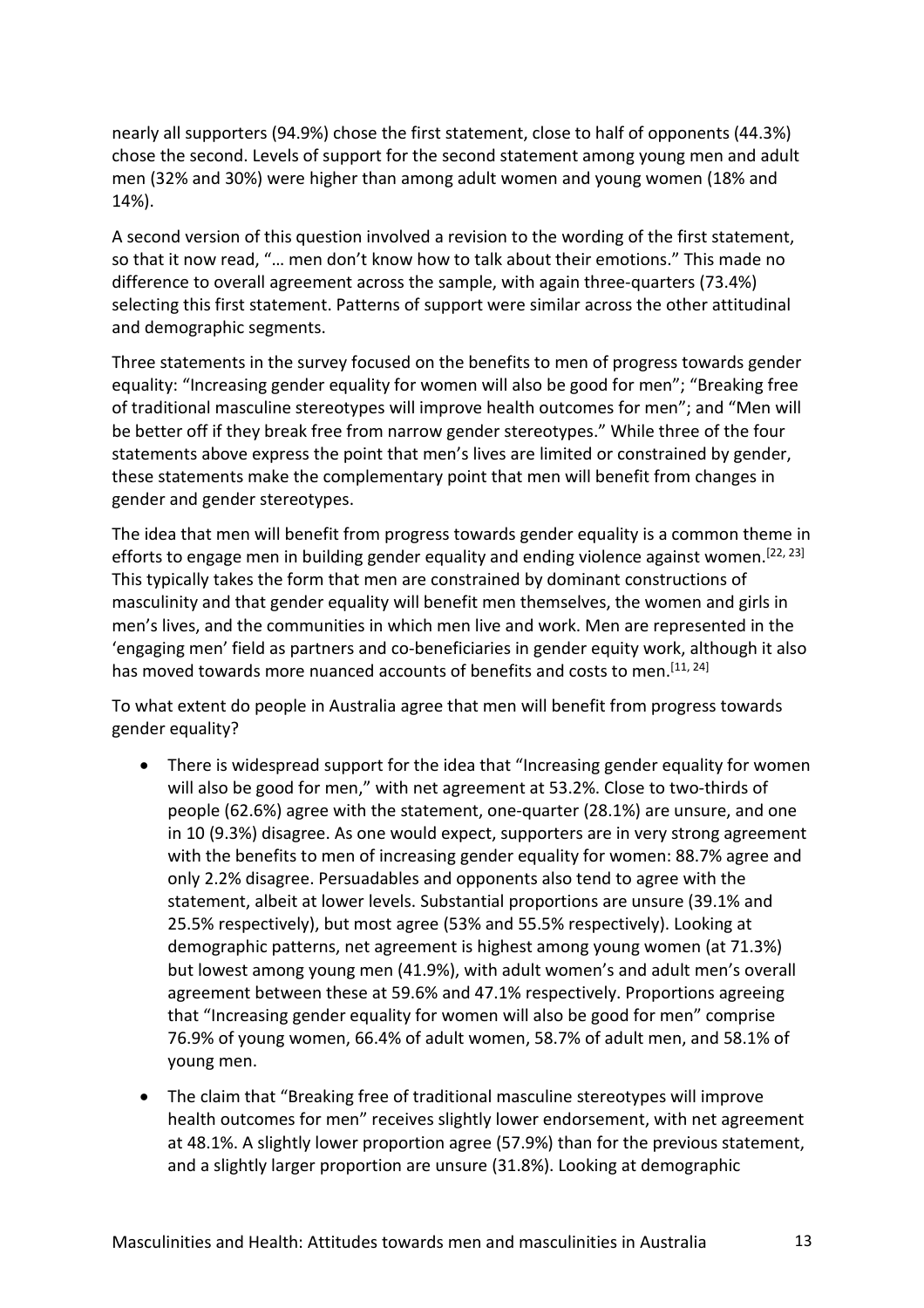nearly all supporters (94.9%) chose the first statement, close to half of opponents (44.3%) chose the second. Levels of support for the second statement among young men and adult men (32% and 30%) were higher than among adult women and young women (18% and 14%).

A second version of this question involved a revision to the wording of the first statement, so that it now read, "… men don't know how to talk about their emotions." This made no difference to overall agreement across the sample, with again three-quarters (73.4%) selecting this first statement. Patterns of support were similar across the other attitudinal and demographic segments.

Three statements in the survey focused on the benefits to men of progress towards gender equality: "Increasing gender equality for women will also be good for men"; "Breaking free of traditional masculine stereotypes will improve health outcomes for men"; and "Men will be better off if they break free from narrow gender stereotypes." While three of the four statements above express the point that men's lives are limited or constrained by gender, these statements make the complementary point that men will benefit from changes in gender and gender stereotypes.

The idea that men will benefit from progress towards gender equality is a common theme in efforts to engage men in building gender equality and ending violence against women.<sup>[22, 23]</sup> This typically takes the form that men are constrained by dominant constructions of masculinity and that gender equality will benefit men themselves, the women and girls in men's lives, and the communities in which men live and work. Men are represented in the 'engaging men' field as partners and co-beneficiaries in gender equity work, although it also has moved towards more nuanced accounts of benefits and costs to men.<sup>[11, 24]</sup>

To what extent do people in Australia agree that men will benefit from progress towards gender equality?

- There is widespread support for the idea that "Increasing gender equality for women will also be good for men," with net agreement at 53.2%. Close to two-thirds of people (62.6%) agree with the statement, one-quarter (28.1%) are unsure, and one in 10 (9.3%) disagree. As one would expect, supporters are in very strong agreement with the benefits to men of increasing gender equality for women: 88.7% agree and only 2.2% disagree. Persuadables and opponents also tend to agree with the statement, albeit at lower levels. Substantial proportions are unsure (39.1% and 25.5% respectively), but most agree (53% and 55.5% respectively). Looking at demographic patterns, net agreement is highest among young women (at 71.3%) but lowest among young men (41.9%), with adult women's and adult men's overall agreement between these at 59.6% and 47.1% respectively. Proportions agreeing that "Increasing gender equality for women will also be good for men" comprise 76.9% of young women, 66.4% of adult women, 58.7% of adult men, and 58.1% of young men.
- The claim that "Breaking free of traditional masculine stereotypes will improve health outcomes for men" receives slightly lower endorsement, with net agreement at 48.1%. A slightly lower proportion agree (57.9%) than for the previous statement, and a slightly larger proportion are unsure (31.8%). Looking at demographic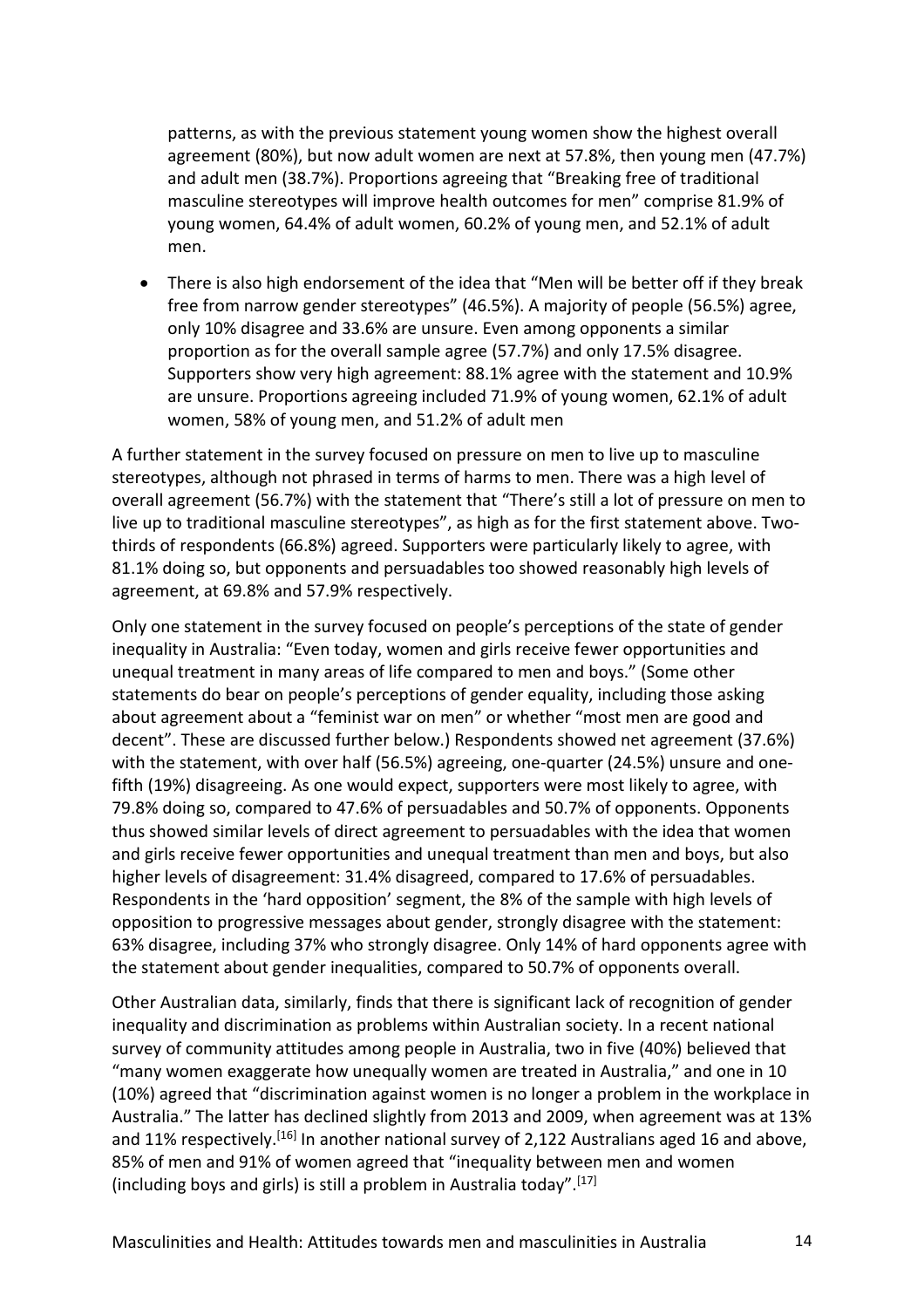patterns, as with the previous statement young women show the highest overall agreement (80%), but now adult women are next at 57.8%, then young men (47.7%) and adult men (38.7%). Proportions agreeing that "Breaking free of traditional masculine stereotypes will improve health outcomes for men" comprise 81.9% of young women, 64.4% of adult women, 60.2% of young men, and 52.1% of adult men.

• There is also high endorsement of the idea that "Men will be better off if they break free from narrow gender stereotypes" (46.5%). A majority of people (56.5%) agree, only 10% disagree and 33.6% are unsure. Even among opponents a similar proportion as for the overall sample agree (57.7%) and only 17.5% disagree. Supporters show very high agreement: 88.1% agree with the statement and 10.9% are unsure. Proportions agreeing included 71.9% of young women, 62.1% of adult women, 58% of young men, and 51.2% of adult men

A further statement in the survey focused on pressure on men to live up to masculine stereotypes, although not phrased in terms of harms to men. There was a high level of overall agreement (56.7%) with the statement that "There's still a lot of pressure on men to live up to traditional masculine stereotypes", as high as for the first statement above. Twothirds of respondents (66.8%) agreed. Supporters were particularly likely to agree, with 81.1% doing so, but opponents and persuadables too showed reasonably high levels of agreement, at 69.8% and 57.9% respectively.

Only one statement in the survey focused on people's perceptions of the state of gender inequality in Australia: "Even today, women and girls receive fewer opportunities and unequal treatment in many areas of life compared to men and boys." (Some other statements do bear on people's perceptions of gender equality, including those asking about agreement about a "feminist war on men" or whether "most men are good and decent". These are discussed further below.) Respondents showed net agreement (37.6%) with the statement, with over half (56.5%) agreeing, one-quarter (24.5%) unsure and onefifth (19%) disagreeing. As one would expect, supporters were most likely to agree, with 79.8% doing so, compared to 47.6% of persuadables and 50.7% of opponents. Opponents thus showed similar levels of direct agreement to persuadables with the idea that women and girls receive fewer opportunities and unequal treatment than men and boys, but also higher levels of disagreement: 31.4% disagreed, compared to 17.6% of persuadables. Respondents in the 'hard opposition' segment, the 8% of the sample with high levels of opposition to progressive messages about gender, strongly disagree with the statement: 63% disagree, including 37% who strongly disagree. Only 14% of hard opponents agree with the statement about gender inequalities, compared to 50.7% of opponents overall.

Other Australian data, similarly, finds that there is significant lack of recognition of gender inequality and discrimination as problems within Australian society. In a recent national survey of community attitudes among people in Australia, two in five (40%) believed that "many women exaggerate how unequally women are treated in Australia," and one in 10 (10%) agreed that "discrimination against women is no longer a problem in the workplace in Australia." The latter has declined slightly from 2013 and 2009, when agreement was at 13% and 11% respectively.<sup>[16]</sup> In another national survey of 2,122 Australians aged 16 and above, 85% of men and 91% of women agreed that "inequality between men and women (including boys and girls) is still a problem in Australia today". [17]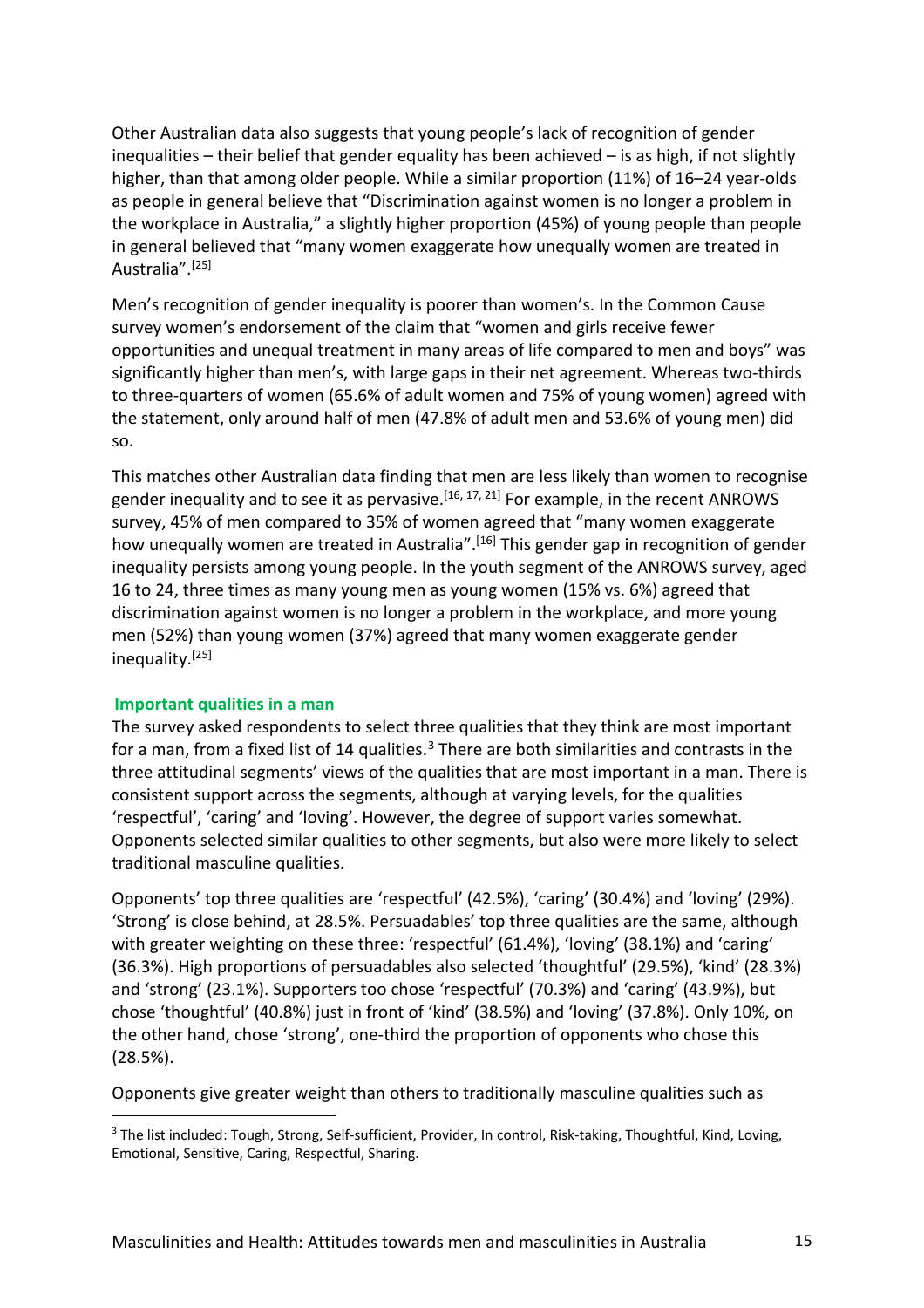Other Australian data also suggests that young people's lack of recognition of gender inequalities – their belief that gender equality has been achieved – is as high, if not slightly higher, than that among older people. While a similar proportion (11%) of 16–24 year-olds as people in general believe that "Discrimination against women is no longer a problem in the workplace in Australia," a slightly higher proportion (45%) of young people than people in general believed that "many women exaggerate how unequally women are treated in Australia".<sup>[25]</sup>

Men's recognition of gender inequality is poorer than women's. In the Common Cause survey women's endorsement of the claim that "women and girls receive fewer opportunities and unequal treatment in many areas of life compared to men and boys" was significantly higher than men's, with large gaps in their net agreement. Whereas two-thirds to three-quarters of women (65.6% of adult women and 75% of young women) agreed with the statement, only around half of men (47.8% of adult men and 53.6% of young men) did so.

This matches other Australian data finding that men are less likely than women to recognise gender inequality and to see it as pervasive.<sup>[16, 17, 21]</sup> For example, in the recent ANROWS survey, 45% of men compared to 35% of women agreed that "many women exaggerate how unequally women are treated in Australia".<sup>[16]</sup> This gender gap in recognition of gender inequality persists among young people. In the youth segment of the ANROWS survey, aged 16 to 24, three times as many young men as young women (15% vs. 6%) agreed that discrimination against women is no longer a problem in the workplace, and more young men (52%) than young women (37%) agreed that many women exaggerate gender inequality.<sup>[25]</sup>

#### **Important qualities in a man**

 $\overline{a}$ 

The survey asked respondents to select three qualities that they think are most important for a man, from a fixed list of 14 qualities. $3$  There are both similarities and contrasts in the three attitudinal segments' views of the qualities that are most important in a man. There is consistent support across the segments, although at varying levels, for the qualities 'respectful', 'caring' and 'loving'. However, the degree of support varies somewhat. Opponents selected similar qualities to other segments, but also were more likely to select traditional masculine qualities.

Opponents' top three qualities are 'respectful' (42.5%), 'caring' (30.4%) and 'loving' (29%). 'Strong' is close behind, at 28.5%. Persuadables' top three qualities are the same, although with greater weighting on these three: 'respectful' (61.4%), 'loving' (38.1%) and 'caring' (36.3%). High proportions of persuadables also selected 'thoughtful' (29.5%), 'kind' (28.3%) and 'strong' (23.1%). Supporters too chose 'respectful' (70.3%) and 'caring' (43.9%), but chose 'thoughtful' (40.8%) just in front of 'kind' (38.5%) and 'loving' (37.8%). Only 10%, on the other hand, chose 'strong', one-third the proportion of opponents who chose this (28.5%).

Opponents give greater weight than others to traditionally masculine qualities such as

<span id="page-14-0"></span><sup>&</sup>lt;sup>3</sup> The list included: Tough, Strong, Self-sufficient, Provider, In control, Risk-taking, Thoughtful, Kind, Loving, Emotional, Sensitive, Caring, Respectful, Sharing.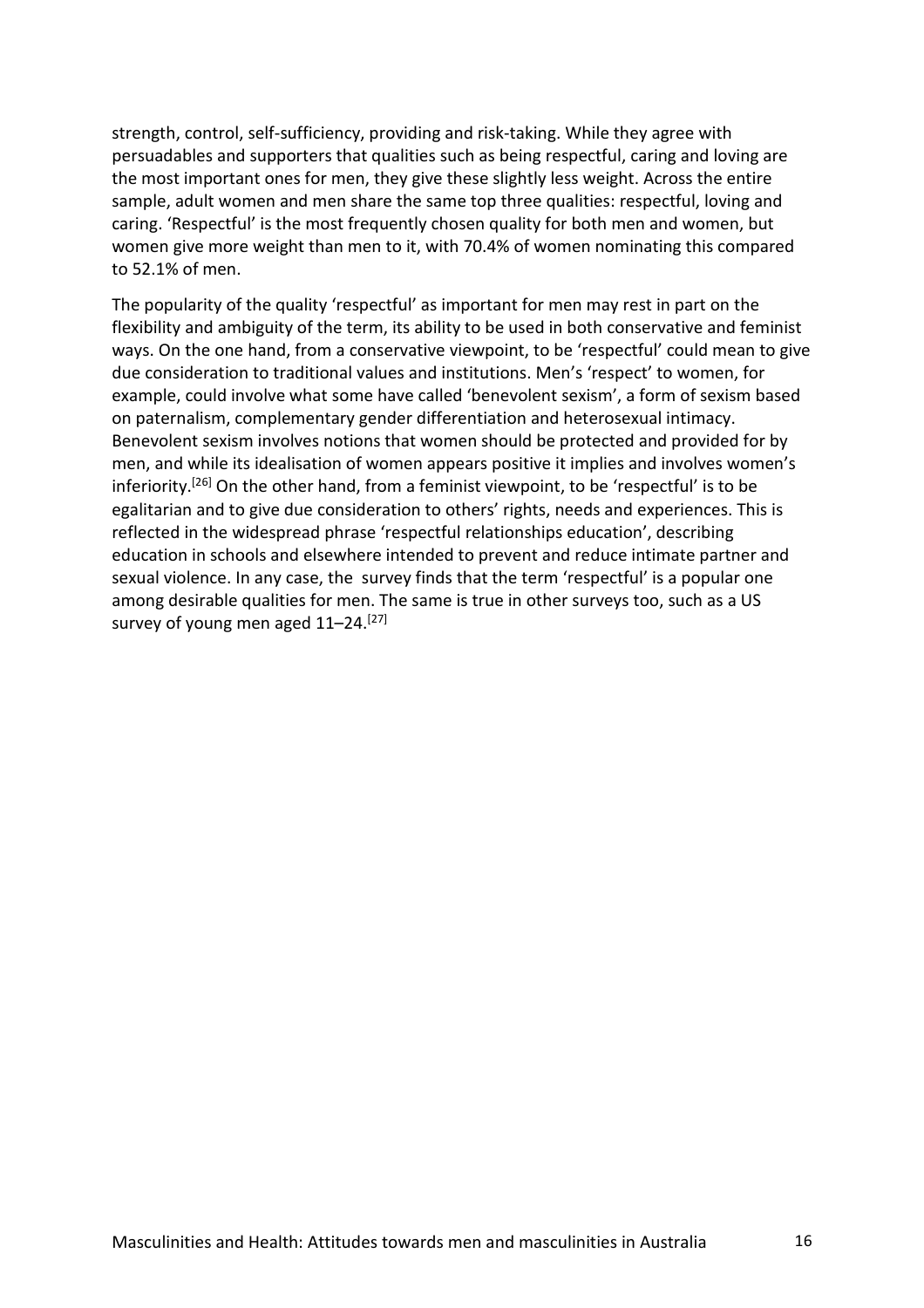strength, control, self-sufficiency, providing and risk-taking. While they agree with persuadables and supporters that qualities such as being respectful, caring and loving are the most important ones for men, they give these slightly less weight. Across the entire sample, adult women and men share the same top three qualities: respectful, loving and caring. 'Respectful' is the most frequently chosen quality for both men and women, but women give more weight than men to it, with 70.4% of women nominating this compared to 52.1% of men.

The popularity of the quality 'respectful' as important for men may rest in part on the flexibility and ambiguity of the term, its ability to be used in both conservative and feminist ways. On the one hand, from a conservative viewpoint, to be 'respectful' could mean to give due consideration to traditional values and institutions. Men's 'respect' to women, for example, could involve what some have called 'benevolent sexism', a form of sexism based on paternalism, complementary gender differentiation and heterosexual intimacy. Benevolent sexism involves notions that women should be protected and provided for by men, and while its idealisation of women appears positive it implies and involves women's inferiority.<sup>[26]</sup> On the other hand, from a feminist viewpoint, to be 'respectful' is to be egalitarian and to give due consideration to others' rights, needs and experiences. This is reflected in the widespread phrase 'respectful relationships education', describing education in schools and elsewhere intended to prevent and reduce intimate partner and sexual violence. In any case, the survey finds that the term 'respectful' is a popular one among desirable qualities for men. The same is true in other surveys too, such as a US survey of young men aged 11–24.<sup>[27]</sup>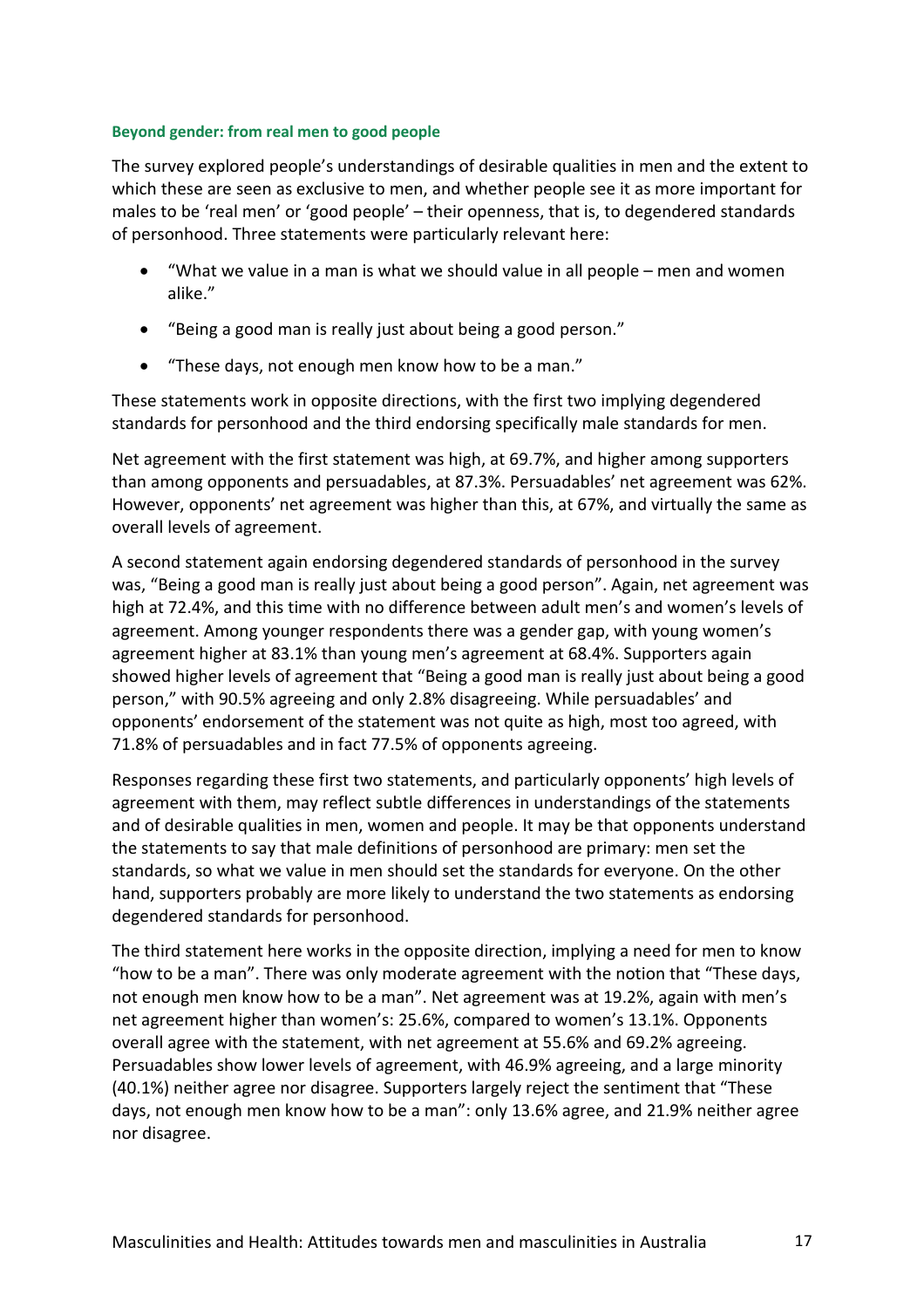#### **Beyond gender: from real men to good people**

The survey explored people's understandings of desirable qualities in men and the extent to which these are seen as exclusive to men, and whether people see it as more important for males to be 'real men' or 'good people' – their openness, that is, to degendered standards of personhood. Three statements were particularly relevant here:

- "What we value in a man is what we should value in all people men and women alike."
- "Being a good man is really just about being a good person."
- "These days, not enough men know how to be a man."

These statements work in opposite directions, with the first two implying degendered standards for personhood and the third endorsing specifically male standards for men.

Net agreement with the first statement was high, at 69.7%, and higher among supporters than among opponents and persuadables, at 87.3%. Persuadables' net agreement was 62%. However, opponents' net agreement was higher than this, at 67%, and virtually the same as overall levels of agreement.

A second statement again endorsing degendered standards of personhood in the survey was, "Being a good man is really just about being a good person". Again, net agreement was high at 72.4%, and this time with no difference between adult men's and women's levels of agreement. Among younger respondents there was a gender gap, with young women's agreement higher at 83.1% than young men's agreement at 68.4%. Supporters again showed higher levels of agreement that "Being a good man is really just about being a good person," with 90.5% agreeing and only 2.8% disagreeing. While persuadables' and opponents' endorsement of the statement was not quite as high, most too agreed, with 71.8% of persuadables and in fact 77.5% of opponents agreeing.

Responses regarding these first two statements, and particularly opponents' high levels of agreement with them, may reflect subtle differences in understandings of the statements and of desirable qualities in men, women and people. It may be that opponents understand the statements to say that male definitions of personhood are primary: men set the standards, so what we value in men should set the standards for everyone. On the other hand, supporters probably are more likely to understand the two statements as endorsing degendered standards for personhood.

The third statement here works in the opposite direction, implying a need for men to know "how to be a man". There was only moderate agreement with the notion that "These days, not enough men know how to be a man". Net agreement was at 19.2%, again with men's net agreement higher than women's: 25.6%, compared to women's 13.1%. Opponents overall agree with the statement, with net agreement at 55.6% and 69.2% agreeing. Persuadables show lower levels of agreement, with 46.9% agreeing, and a large minority (40.1%) neither agree nor disagree. Supporters largely reject the sentiment that "These days, not enough men know how to be a man": only 13.6% agree, and 21.9% neither agree nor disagree.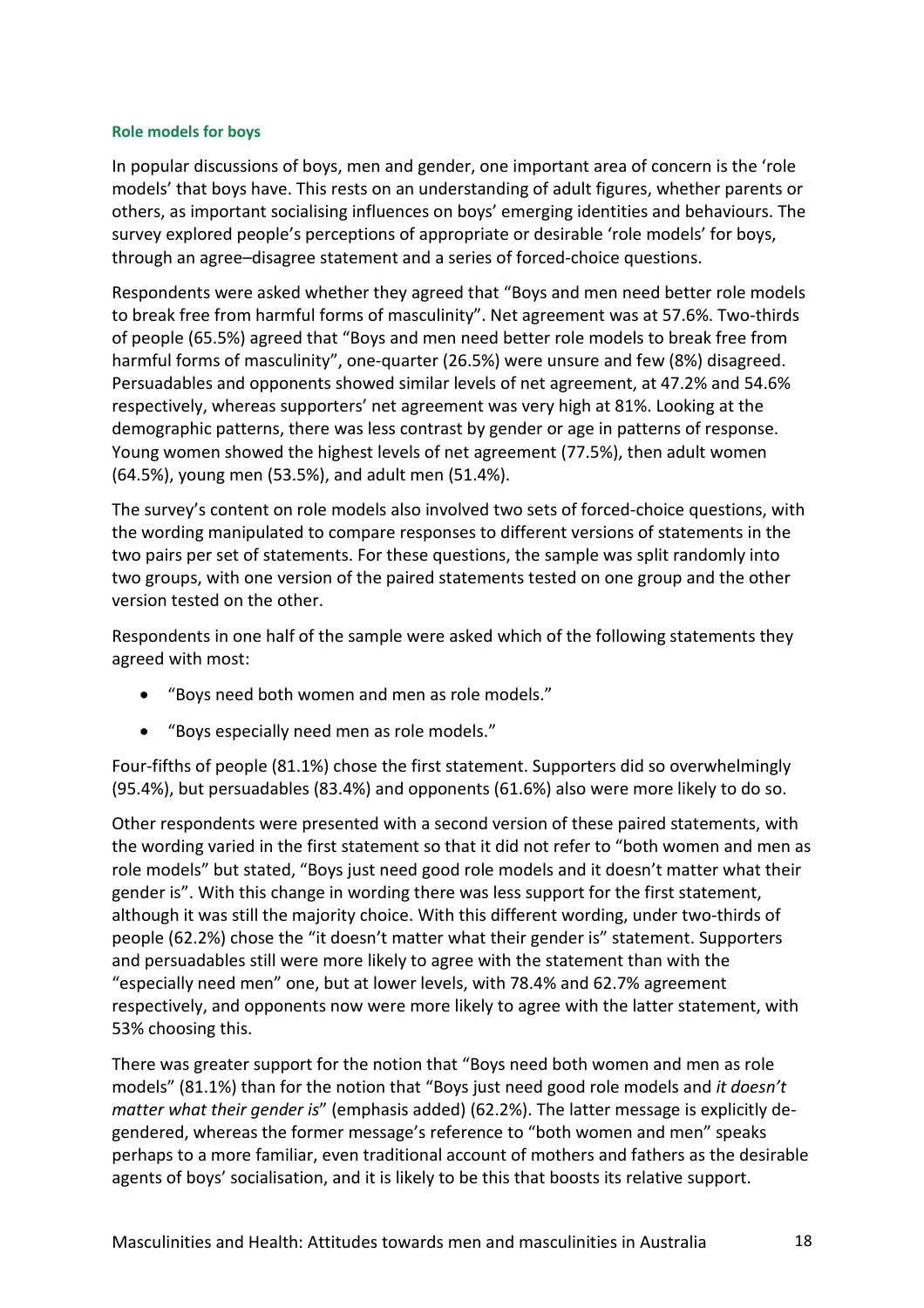#### **Role models for boys**

In popular discussions of boys, men and gender, one important area of concern is the 'role models' that boys have. This rests on an understanding of adult figures, whether parents or others, as important socialising influences on boys' emerging identities and behaviours. The survey explored people's perceptions of appropriate or desirable 'role models' for boys, through an agree–disagree statement and a series of forced-choice questions.

Respondents were asked whether they agreed that "Boys and men need better role models to break free from harmful forms of masculinity". Net agreement was at 57.6%. Two-thirds of people (65.5%) agreed that "Boys and men need better role models to break free from harmful forms of masculinity", one-quarter (26.5%) were unsure and few (8%) disagreed. Persuadables and opponents showed similar levels of net agreement, at 47.2% and 54.6% respectively, whereas supporters' net agreement was very high at 81%. Looking at the demographic patterns, there was less contrast by gender or age in patterns of response. Young women showed the highest levels of net agreement (77.5%), then adult women (64.5%), young men (53.5%), and adult men (51.4%).

The survey's content on role models also involved two sets of forced-choice questions, with the wording manipulated to compare responses to different versions of statements in the two pairs per set of statements. For these questions, the sample was split randomly into two groups, with one version of the paired statements tested on one group and the other version tested on the other.

Respondents in one half of the sample were asked which of the following statements they agreed with most:

- "Boys need both women and men as role models."
- "Boys especially need men as role models."

Four-fifths of people (81.1%) chose the first statement. Supporters did so overwhelmingly (95.4%), but persuadables (83.4%) and opponents (61.6%) also were more likely to do so.

Other respondents were presented with a second version of these paired statements, with the wording varied in the first statement so that it did not refer to "both women and men as role models" but stated, "Boys just need good role models and it doesn't matter what their gender is". With this change in wording there was less support for the first statement, although it was still the majority choice. With this different wording, under two-thirds of people (62.2%) chose the "it doesn't matter what their gender is" statement. Supporters and persuadables still were more likely to agree with the statement than with the "especially need men" one, but at lower levels, with 78.4% and 62.7% agreement respectively, and opponents now were more likely to agree with the latter statement, with 53% choosing this.

There was greater support for the notion that "Boys need both women and men as role models" (81.1%) than for the notion that "Boys just need good role models and *it doesn't matter what their gender is*" (emphasis added) (62.2%). The latter message is explicitly degendered, whereas the former message's reference to "both women and men" speaks perhaps to a more familiar, even traditional account of mothers and fathers as the desirable agents of boys' socialisation, and it is likely to be this that boosts its relative support.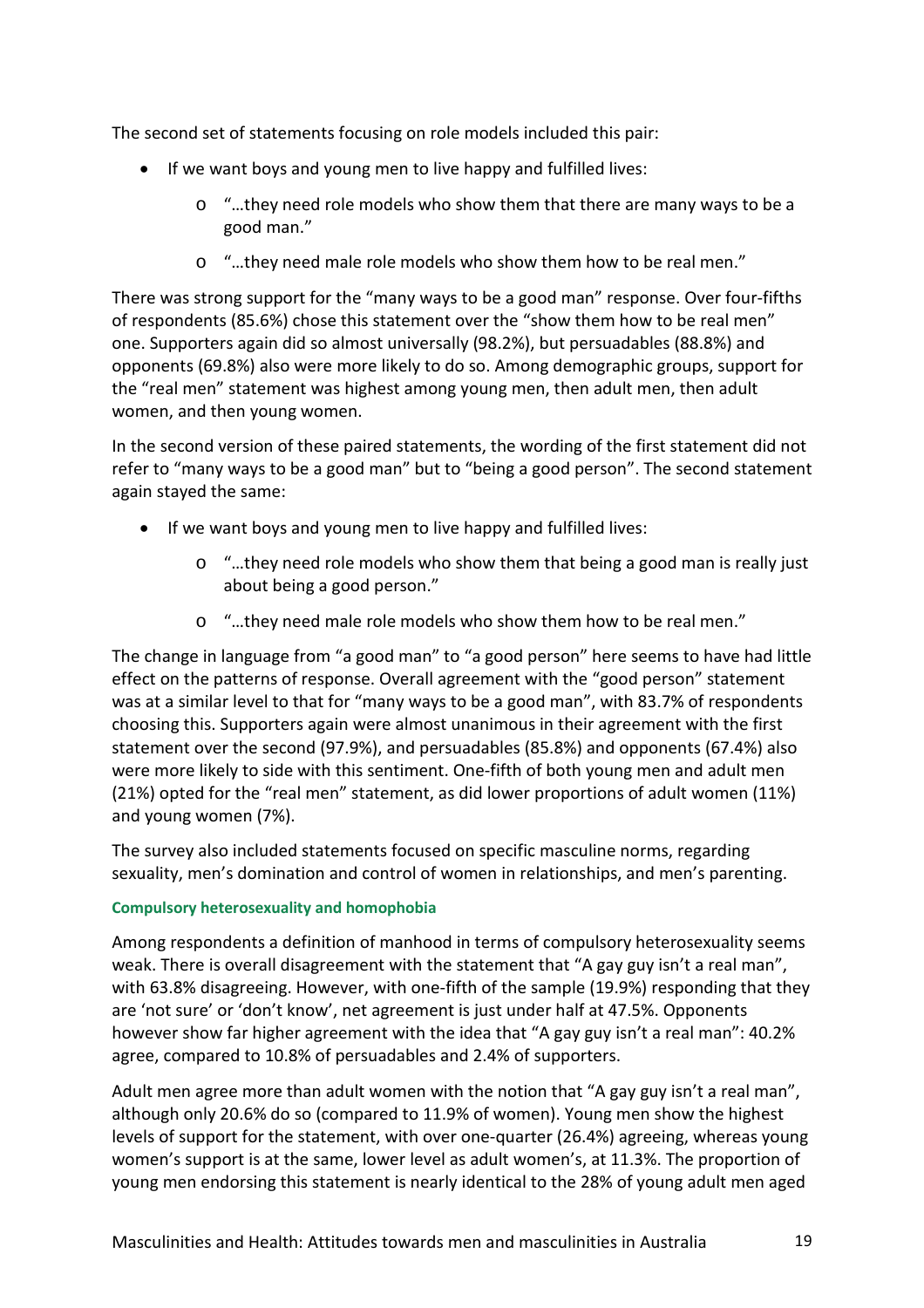The second set of statements focusing on role models included this pair:

- If we want boys and young men to live happy and fulfilled lives:
	- o "…they need role models who show them that there are many ways to be a good man."
	- o "…they need male role models who show them how to be real men."

There was strong support for the "many ways to be a good man" response. Over four-fifths of respondents (85.6%) chose this statement over the "show them how to be real men" one. Supporters again did so almost universally (98.2%), but persuadables (88.8%) and opponents (69.8%) also were more likely to do so. Among demographic groups, support for the "real men" statement was highest among young men, then adult men, then adult women, and then young women.

In the second version of these paired statements, the wording of the first statement did not refer to "many ways to be a good man" but to "being a good person". The second statement again stayed the same:

- If we want boys and young men to live happy and fulfilled lives:
	- o "…they need role models who show them that being a good man is really just about being a good person."
	- o "…they need male role models who show them how to be real men."

The change in language from "a good man" to "a good person" here seems to have had little effect on the patterns of response. Overall agreement with the "good person" statement was at a similar level to that for "many ways to be a good man", with 83.7% of respondents choosing this. Supporters again were almost unanimous in their agreement with the first statement over the second (97.9%), and persuadables (85.8%) and opponents (67.4%) also were more likely to side with this sentiment. One-fifth of both young men and adult men (21%) opted for the "real men" statement, as did lower proportions of adult women (11%) and young women (7%).

The survey also included statements focused on specific masculine norms, regarding sexuality, men's domination and control of women in relationships, and men's parenting.

## **Compulsory heterosexuality and homophobia**

Among respondents a definition of manhood in terms of compulsory heterosexuality seems weak. There is overall disagreement with the statement that "A gay guy isn't a real man", with 63.8% disagreeing. However, with one-fifth of the sample (19.9%) responding that they are 'not sure' or 'don't know', net agreement is just under half at 47.5%. Opponents however show far higher agreement with the idea that "A gay guy isn't a real man": 40.2% agree, compared to 10.8% of persuadables and 2.4% of supporters.

Adult men agree more than adult women with the notion that "A gay guy isn't a real man", although only 20.6% do so (compared to 11.9% of women). Young men show the highest levels of support for the statement, with over one-quarter (26.4%) agreeing, whereas young women's support is at the same, lower level as adult women's, at 11.3%. The proportion of young men endorsing this statement is nearly identical to the 28% of young adult men aged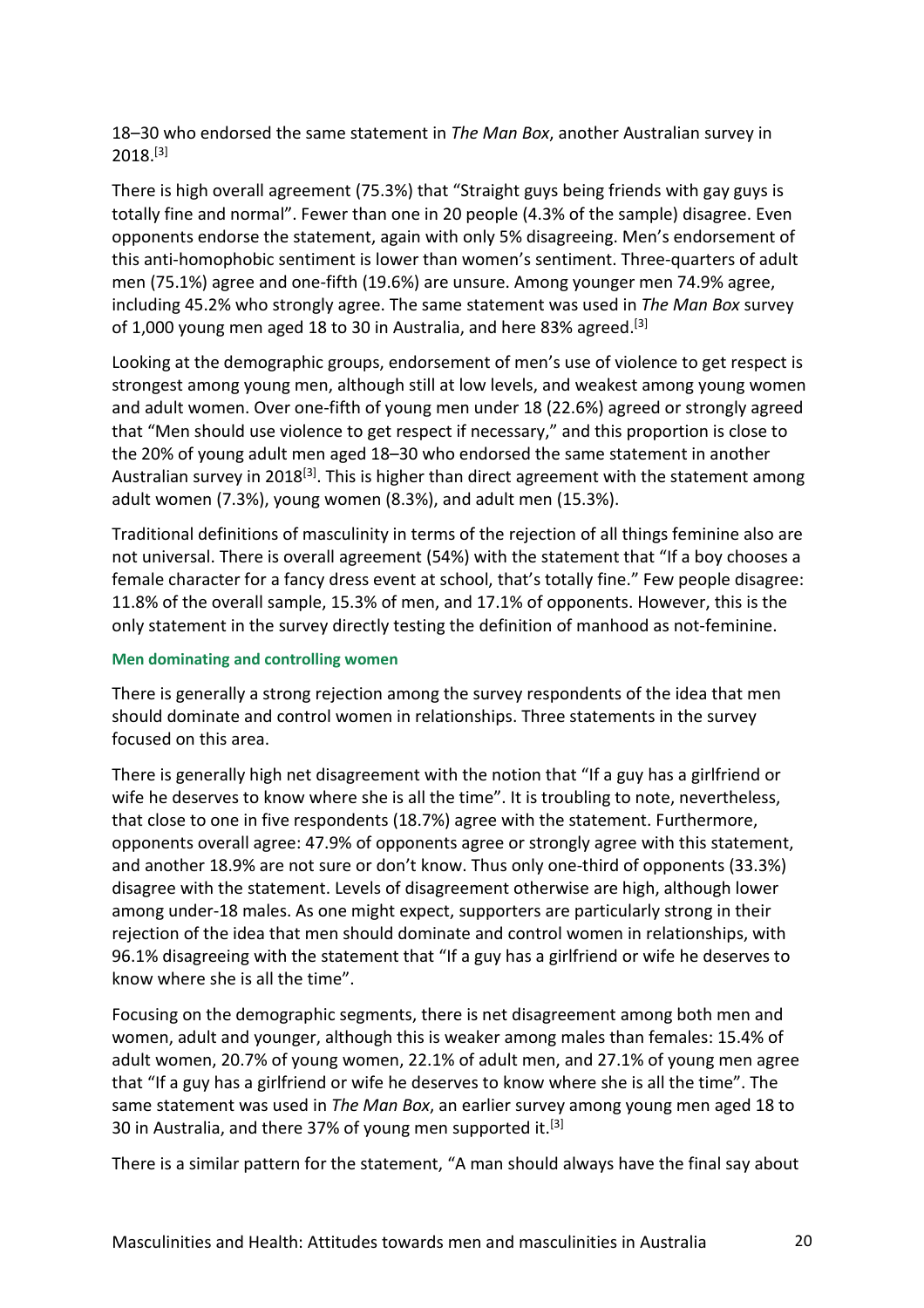18–30 who endorsed the same statement in *The Man Box*, another Australian survey in  $2018.<sup>[3]</sup>$ 

There is high overall agreement (75.3%) that "Straight guys being friends with gay guys is totally fine and normal". Fewer than one in 20 people (4.3% of the sample) disagree. Even opponents endorse the statement, again with only 5% disagreeing. Men's endorsement of this anti-homophobic sentiment is lower than women's sentiment. Three-quarters of adult men (75.1%) agree and one-fifth (19.6%) are unsure. Among younger men 74.9% agree, including 45.2% who strongly agree. The same statement was used in *The Man Box* survey of 1,000 young men aged 18 to 30 in Australia, and here 83% agreed.<sup>[3]</sup>

Looking at the demographic groups, endorsement of men's use of violence to get respect is strongest among young men, although still at low levels, and weakest among young women and adult women. Over one-fifth of young men under 18 (22.6%) agreed or strongly agreed that "Men should use violence to get respect if necessary," and this proportion is close to the 20% of young adult men aged 18–30 who endorsed the same statement in another Australian survey in 2018<sup>[3]</sup>. This is higher than direct agreement with the statement among adult women (7.3%), young women (8.3%), and adult men (15.3%).

Traditional definitions of masculinity in terms of the rejection of all things feminine also are not universal. There is overall agreement (54%) with the statement that "If a boy chooses a female character for a fancy dress event at school, that's totally fine." Few people disagree: 11.8% of the overall sample, 15.3% of men, and 17.1% of opponents. However, this is the only statement in the survey directly testing the definition of manhood as not-feminine.

#### **Men dominating and controlling women**

There is generally a strong rejection among the survey respondents of the idea that men should dominate and control women in relationships. Three statements in the survey focused on this area.

There is generally high net disagreement with the notion that "If a guy has a girlfriend or wife he deserves to know where she is all the time". It is troubling to note, nevertheless, that close to one in five respondents (18.7%) agree with the statement. Furthermore, opponents overall agree: 47.9% of opponents agree or strongly agree with this statement, and another 18.9% are not sure or don't know. Thus only one-third of opponents (33.3%) disagree with the statement. Levels of disagreement otherwise are high, although lower among under-18 males. As one might expect, supporters are particularly strong in their rejection of the idea that men should dominate and control women in relationships, with 96.1% disagreeing with the statement that "If a guy has a girlfriend or wife he deserves to know where she is all the time".

Focusing on the demographic segments, there is net disagreement among both men and women, adult and younger, although this is weaker among males than females: 15.4% of adult women, 20.7% of young women, 22.1% of adult men, and 27.1% of young men agree that "If a guy has a girlfriend or wife he deserves to know where she is all the time". The same statement was used in *The Man Box*, an earlier survey among young men aged 18 to 30 in Australia, and there 37% of young men supported it.<sup>[3]</sup>

There is a similar pattern for the statement, "A man should always have the final say about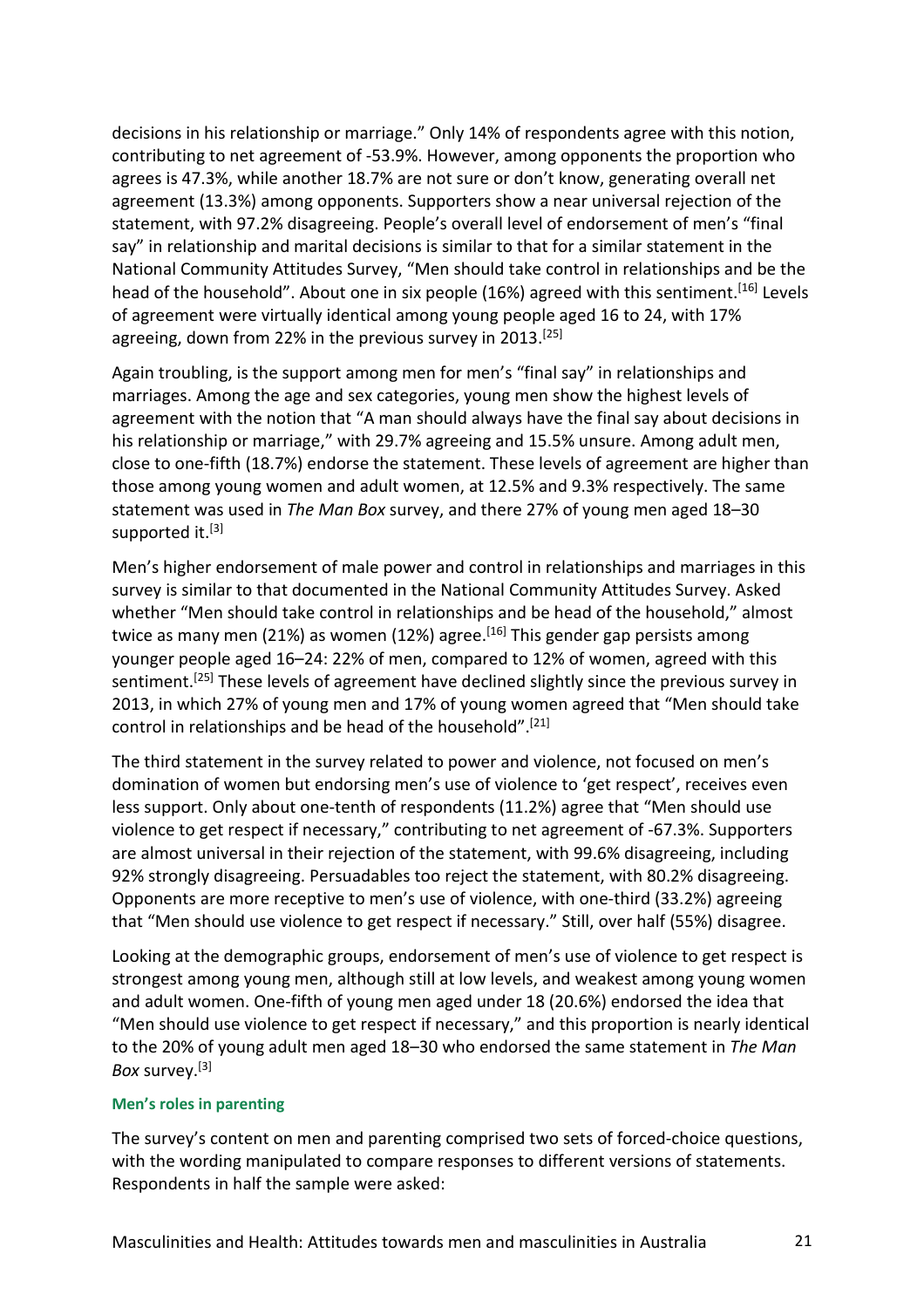decisions in his relationship or marriage." Only 14% of respondents agree with this notion, contributing to net agreement of -53.9%. However, among opponents the proportion who agrees is 47.3%, while another 18.7% are not sure or don't know, generating overall net agreement (13.3%) among opponents. Supporters show a near universal rejection of the statement, with 97.2% disagreeing. People's overall level of endorsement of men's "final say" in relationship and marital decisions is similar to that for a similar statement in the National Community Attitudes Survey, "Men should take control in relationships and be the head of the household". About one in six people (16%) agreed with this sentiment.<sup>[16]</sup> Levels of agreement were virtually identical among young people aged 16 to 24, with 17% agreeing, down from 22% in the previous survey in 2013. [25]

Again troubling, is the support among men for men's "final say" in relationships and marriages. Among the age and sex categories, young men show the highest levels of agreement with the notion that "A man should always have the final say about decisions in his relationship or marriage," with 29.7% agreeing and 15.5% unsure. Among adult men, close to one-fifth (18.7%) endorse the statement. These levels of agreement are higher than those among young women and adult women, at 12.5% and 9.3% respectively. The same statement was used in *The Man Box* survey, and there 27% of young men aged 18–30 supported it.<sup>[3]</sup>

Men's higher endorsement of male power and control in relationships and marriages in this survey is similar to that documented in the National Community Attitudes Survey. Asked whether "Men should take control in relationships and be head of the household," almost twice as many men (21%) as women (12%) agree.<sup>[16]</sup> This gender gap persists among younger people aged 16–24: 22% of men, compared to 12% of women, agreed with this sentiment.<sup>[25]</sup> These levels of agreement have declined slightly since the previous survey in 2013, in which 27% of young men and 17% of young women agreed that "Men should take control in relationships and be head of the household". [21]

The third statement in the survey related to power and violence, not focused on men's domination of women but endorsing men's use of violence to 'get respect', receives even less support. Only about one-tenth of respondents (11.2%) agree that "Men should use violence to get respect if necessary," contributing to net agreement of -67.3%. Supporters are almost universal in their rejection of the statement, with 99.6% disagreeing, including 92% strongly disagreeing. Persuadables too reject the statement, with 80.2% disagreeing. Opponents are more receptive to men's use of violence, with one-third (33.2%) agreeing that "Men should use violence to get respect if necessary." Still, over half (55%) disagree.

Looking at the demographic groups, endorsement of men's use of violence to get respect is strongest among young men, although still at low levels, and weakest among young women and adult women. One-fifth of young men aged under 18 (20.6%) endorsed the idea that "Men should use violence to get respect if necessary," and this proportion is nearly identical to the 20% of young adult men aged 18–30 who endorsed the same statement in *The Man Box* survey. [3]

#### **Men's roles in parenting**

The survey's content on men and parenting comprised two sets of forced-choice questions, with the wording manipulated to compare responses to different versions of statements. Respondents in half the sample were asked: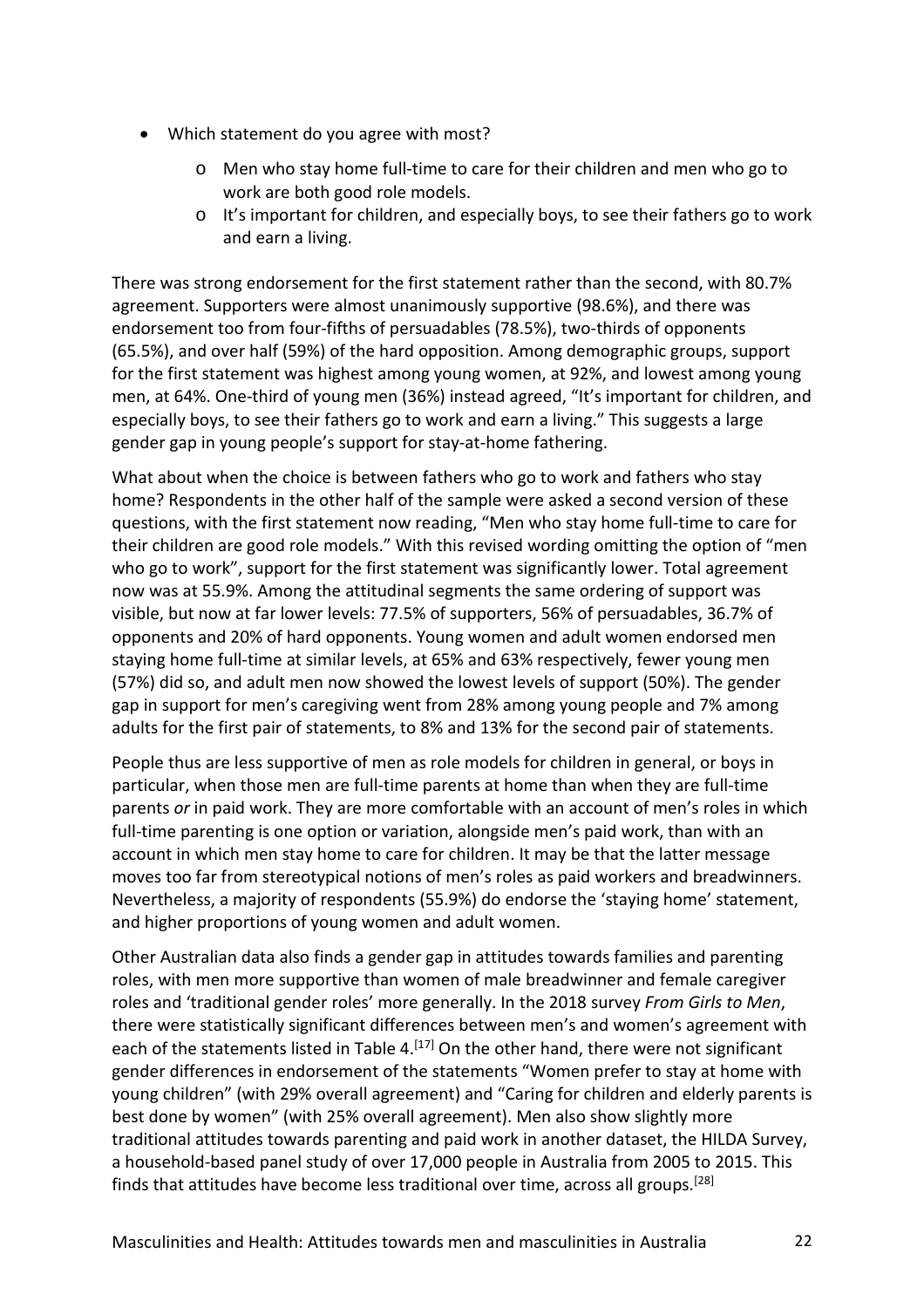- Which statement do you agree with most?
	- Men who stay home full-time to care for their children and men who go to work are both good role models.
	- o It's important for children, and especially boys, to see their fathers go to work and earn a living.

There was strong endorsement for the first statement rather than the second, with 80.7% agreement. Supporters were almost unanimously supportive (98.6%), and there was endorsement too from four-fifths of persuadables (78.5%), two-thirds of opponents (65.5%), and over half (59%) of the hard opposition. Among demographic groups, support for the first statement was highest among young women, at 92%, and lowest among young men, at 64%. One-third of young men (36%) instead agreed, "It's important for children, and especially boys, to see their fathers go to work and earn a living." This suggests a large gender gap in young people's support for stay-at-home fathering.

What about when the choice is between fathers who go to work and fathers who stay home? Respondents in the other half of the sample were asked a second version of these questions, with the first statement now reading, "Men who stay home full-time to care for their children are good role models." With this revised wording omitting the option of "men who go to work", support for the first statement was significantly lower. Total agreement now was at 55.9%. Among the attitudinal segments the same ordering of support was visible, but now at far lower levels: 77.5% of supporters, 56% of persuadables, 36.7% of opponents and 20% of hard opponents. Young women and adult women endorsed men staying home full-time at similar levels, at 65% and 63% respectively, fewer young men (57%) did so, and adult men now showed the lowest levels of support (50%). The gender gap in support for men's caregiving went from 28% among young people and 7% among adults for the first pair of statements, to 8% and 13% for the second pair of statements.

People thus are less supportive of men as role models for children in general, or boys in particular, when those men are full-time parents at home than when they are full-time parents *or* in paid work. They are more comfortable with an account of men's roles in which full-time parenting is one option or variation, alongside men's paid work, than with an account in which men stay home to care for children. It may be that the latter message moves too far from stereotypical notions of men's roles as paid workers and breadwinners. Nevertheless, a majority of respondents (55.9%) do endorse the 'staying home' statement, and higher proportions of young women and adult women.

Other Australian data also finds a gender gap in attitudes towards families and parenting roles, with men more supportive than women of male breadwinner and female caregiver roles and 'traditional gender roles' more generally. In the 2018 survey *From Girls to Men*, there were statistically significant differences between men's and women's agreement with each of the statements listed in Table 4.<sup>[17]</sup> On the other hand, there were not significant gender differences in endorsement of the statements "Women prefer to stay at home with young children" (with 29% overall agreement) and "Caring for children and elderly parents is best done by women" (with 25% overall agreement). Men also show slightly more traditional attitudes towards parenting and paid work in another dataset, the HILDA Survey, a household-based panel study of over 17,000 people in Australia from 2005 to 2015. This finds that attitudes have become less traditional over time, across all groups.<sup>[28]</sup>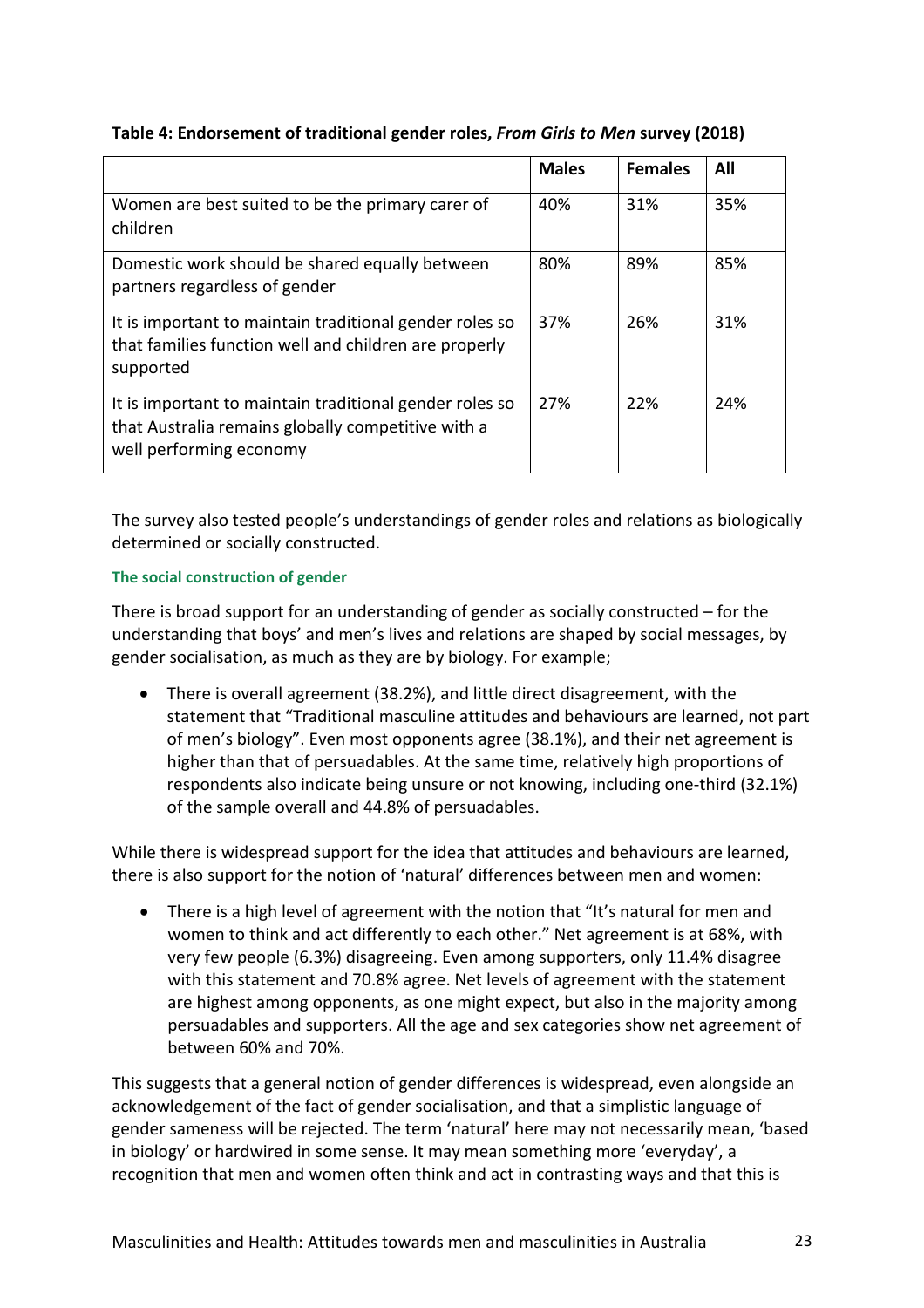# **Table 4: Endorsement of traditional gender roles,** *From Girls to Men* **survey (2018)**

|                                                                                                                                          | <b>Males</b> | <b>Females</b> | All |
|------------------------------------------------------------------------------------------------------------------------------------------|--------------|----------------|-----|
| Women are best suited to be the primary carer of<br>children                                                                             | 40%          | 31%            | 35% |
| Domestic work should be shared equally between<br>partners regardless of gender                                                          | 80%          | 89%            | 85% |
| It is important to maintain traditional gender roles so<br>that families function well and children are properly<br>supported            | 37%          | 26%            | 31% |
| It is important to maintain traditional gender roles so<br>that Australia remains globally competitive with a<br>well performing economy | 27%          | 22%            | 24% |

The survey also tested people's understandings of gender roles and relations as biologically determined or socially constructed.

# **The social construction of gender**

There is broad support for an understanding of gender as socially constructed – for the understanding that boys' and men's lives and relations are shaped by social messages, by gender socialisation, as much as they are by biology. For example;

• There is overall agreement (38.2%), and little direct disagreement, with the statement that "Traditional masculine attitudes and behaviours are learned, not part of men's biology". Even most opponents agree (38.1%), and their net agreement is higher than that of persuadables. At the same time, relatively high proportions of respondents also indicate being unsure or not knowing, including one-third (32.1%) of the sample overall and 44.8% of persuadables.

While there is widespread support for the idea that attitudes and behaviours are learned, there is also support for the notion of 'natural' differences between men and women:

• There is a high level of agreement with the notion that "It's natural for men and women to think and act differently to each other." Net agreement is at 68%, with very few people (6.3%) disagreeing. Even among supporters, only 11.4% disagree with this statement and 70.8% agree. Net levels of agreement with the statement are highest among opponents, as one might expect, but also in the majority among persuadables and supporters. All the age and sex categories show net agreement of between 60% and 70%.

This suggests that a general notion of gender differences is widespread, even alongside an acknowledgement of the fact of gender socialisation, and that a simplistic language of gender sameness will be rejected. The term 'natural' here may not necessarily mean, 'based in biology' or hardwired in some sense. It may mean something more 'everyday', a recognition that men and women often think and act in contrasting ways and that this is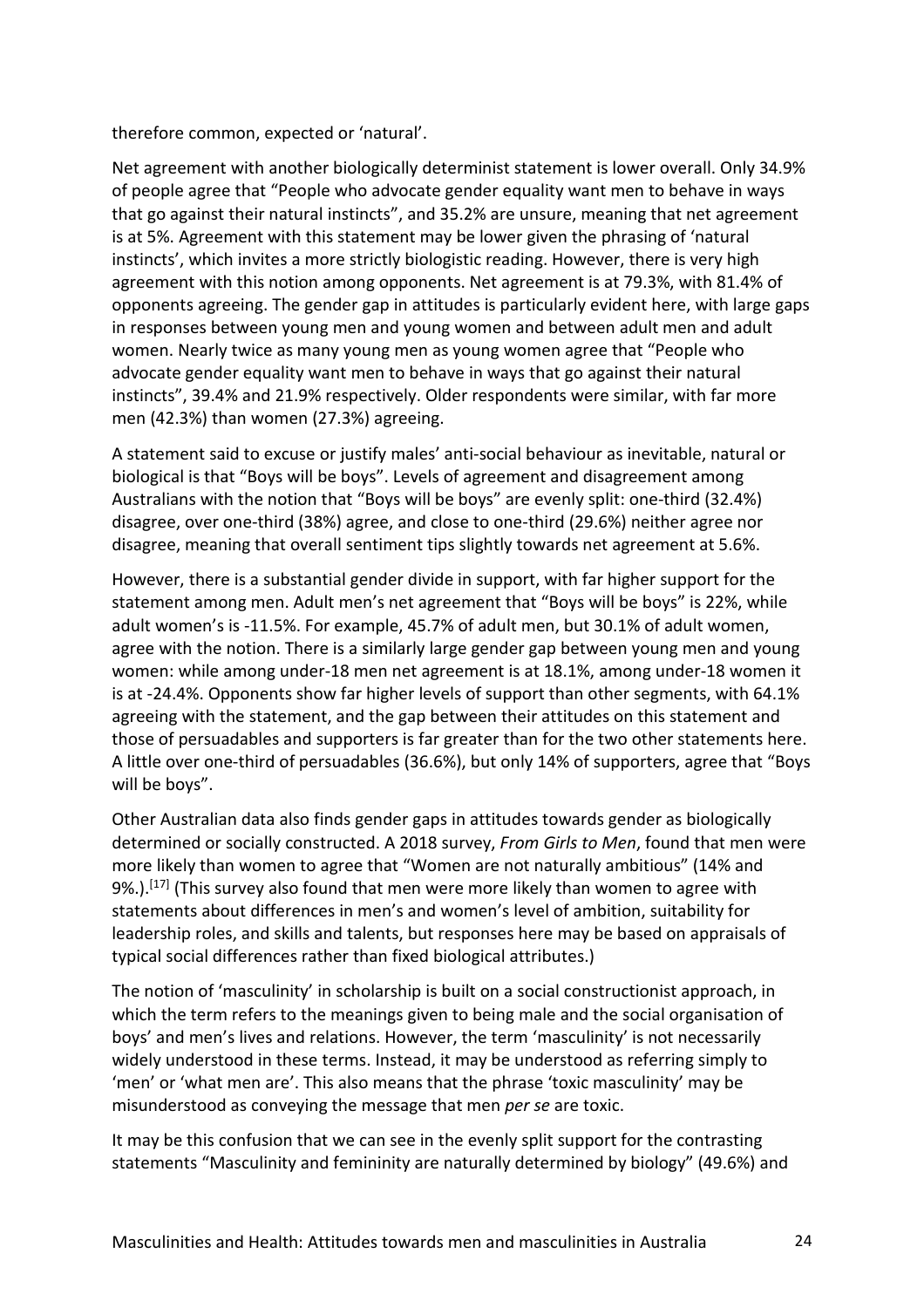therefore common, expected or 'natural'.

Net agreement with another biologically determinist statement is lower overall. Only 34.9% of people agree that "People who advocate gender equality want men to behave in ways that go against their natural instincts", and 35.2% are unsure, meaning that net agreement is at 5%. Agreement with this statement may be lower given the phrasing of 'natural instincts', which invites a more strictly biologistic reading. However, there is very high agreement with this notion among opponents. Net agreement is at 79.3%, with 81.4% of opponents agreeing. The gender gap in attitudes is particularly evident here, with large gaps in responses between young men and young women and between adult men and adult women. Nearly twice as many young men as young women agree that "People who advocate gender equality want men to behave in ways that go against their natural instincts", 39.4% and 21.9% respectively. Older respondents were similar, with far more men (42.3%) than women (27.3%) agreeing.

A statement said to excuse or justify males' anti-social behaviour as inevitable, natural or biological is that "Boys will be boys". Levels of agreement and disagreement among Australians with the notion that "Boys will be boys" are evenly split: one-third (32.4%) disagree, over one-third (38%) agree, and close to one-third (29.6%) neither agree nor disagree, meaning that overall sentiment tips slightly towards net agreement at 5.6%.

However, there is a substantial gender divide in support, with far higher support for the statement among men. Adult men's net agreement that "Boys will be boys" is 22%, while adult women's is -11.5%. For example, 45.7% of adult men, but 30.1% of adult women, agree with the notion. There is a similarly large gender gap between young men and young women: while among under-18 men net agreement is at 18.1%, among under-18 women it is at -24.4%. Opponents show far higher levels of support than other segments, with 64.1% agreeing with the statement, and the gap between their attitudes on this statement and those of persuadables and supporters is far greater than for the two other statements here. A little over one-third of persuadables (36.6%), but only 14% of supporters, agree that "Boys will be boys".

Other Australian data also finds gender gaps in attitudes towards gender as biologically determined or socially constructed. A 2018 survey, *From Girls to Men*, found that men were more likely than women to agree that "Women are not naturally ambitious" (14% and 9%.).<sup>[17]</sup> (This survey also found that men were more likely than women to agree with statements about differences in men's and women's level of ambition, suitability for leadership roles, and skills and talents, but responses here may be based on appraisals of typical social differences rather than fixed biological attributes.)

The notion of 'masculinity' in scholarship is built on a social constructionist approach, in which the term refers to the meanings given to being male and the social organisation of boys' and men's lives and relations. However, the term 'masculinity' is not necessarily widely understood in these terms. Instead, it may be understood as referring simply to 'men' or 'what men are'. This also means that the phrase 'toxic masculinity' may be misunderstood as conveying the message that men *per se* are toxic.

It may be this confusion that we can see in the evenly split support for the contrasting statements "Masculinity and femininity are naturally determined by biology" (49.6%) and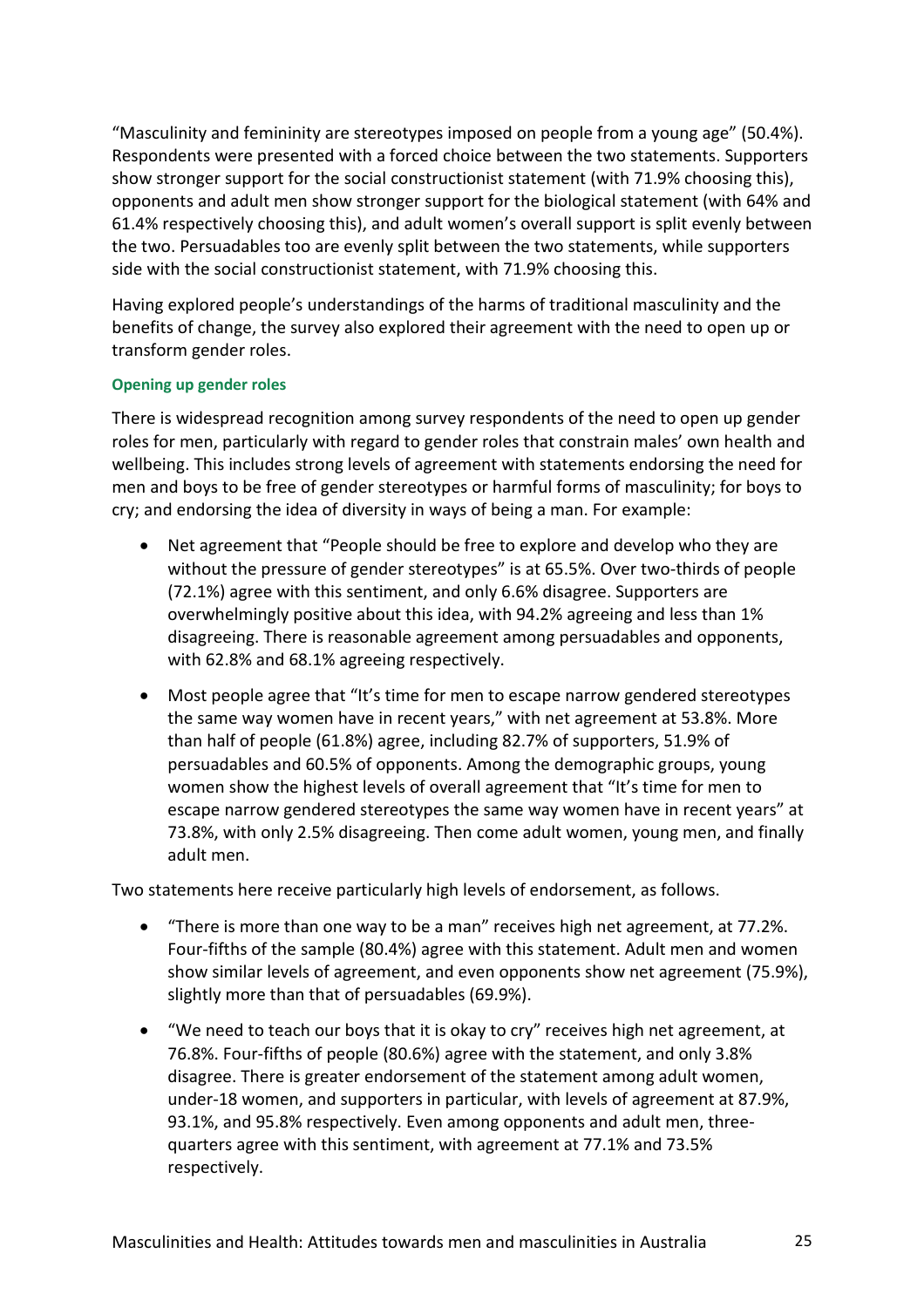"Masculinity and femininity are stereotypes imposed on people from a young age" (50.4%). Respondents were presented with a forced choice between the two statements. Supporters show stronger support for the social constructionist statement (with 71.9% choosing this), opponents and adult men show stronger support for the biological statement (with 64% and 61.4% respectively choosing this), and adult women's overall support is split evenly between the two. Persuadables too are evenly split between the two statements, while supporters side with the social constructionist statement, with 71.9% choosing this.

Having explored people's understandings of the harms of traditional masculinity and the benefits of change, the survey also explored their agreement with the need to open up or transform gender roles.

## **Opening up gender roles**

There is widespread recognition among survey respondents of the need to open up gender roles for men, particularly with regard to gender roles that constrain males' own health and wellbeing. This includes strong levels of agreement with statements endorsing the need for men and boys to be free of gender stereotypes or harmful forms of masculinity; for boys to cry; and endorsing the idea of diversity in ways of being a man. For example:

- Net agreement that "People should be free to explore and develop who they are without the pressure of gender stereotypes" is at 65.5%. Over two-thirds of people (72.1%) agree with this sentiment, and only 6.6% disagree. Supporters are overwhelmingly positive about this idea, with 94.2% agreeing and less than 1% disagreeing. There is reasonable agreement among persuadables and opponents, with 62.8% and 68.1% agreeing respectively.
- Most people agree that "It's time for men to escape narrow gendered stereotypes the same way women have in recent years," with net agreement at 53.8%. More than half of people (61.8%) agree, including 82.7% of supporters, 51.9% of persuadables and 60.5% of opponents. Among the demographic groups, young women show the highest levels of overall agreement that "It's time for men to escape narrow gendered stereotypes the same way women have in recent years" at 73.8%, with only 2.5% disagreeing. Then come adult women, young men, and finally adult men.

Two statements here receive particularly high levels of endorsement, as follows.

- "There is more than one way to be a man" receives high net agreement, at 77.2%. Four-fifths of the sample (80.4%) agree with this statement. Adult men and women show similar levels of agreement, and even opponents show net agreement (75.9%), slightly more than that of persuadables (69.9%).
- "We need to teach our boys that it is okay to cry" receives high net agreement, at 76.8%. Four-fifths of people (80.6%) agree with the statement, and only 3.8% disagree. There is greater endorsement of the statement among adult women, under-18 women, and supporters in particular, with levels of agreement at 87.9%, 93.1%, and 95.8% respectively. Even among opponents and adult men, threequarters agree with this sentiment, with agreement at 77.1% and 73.5% respectively.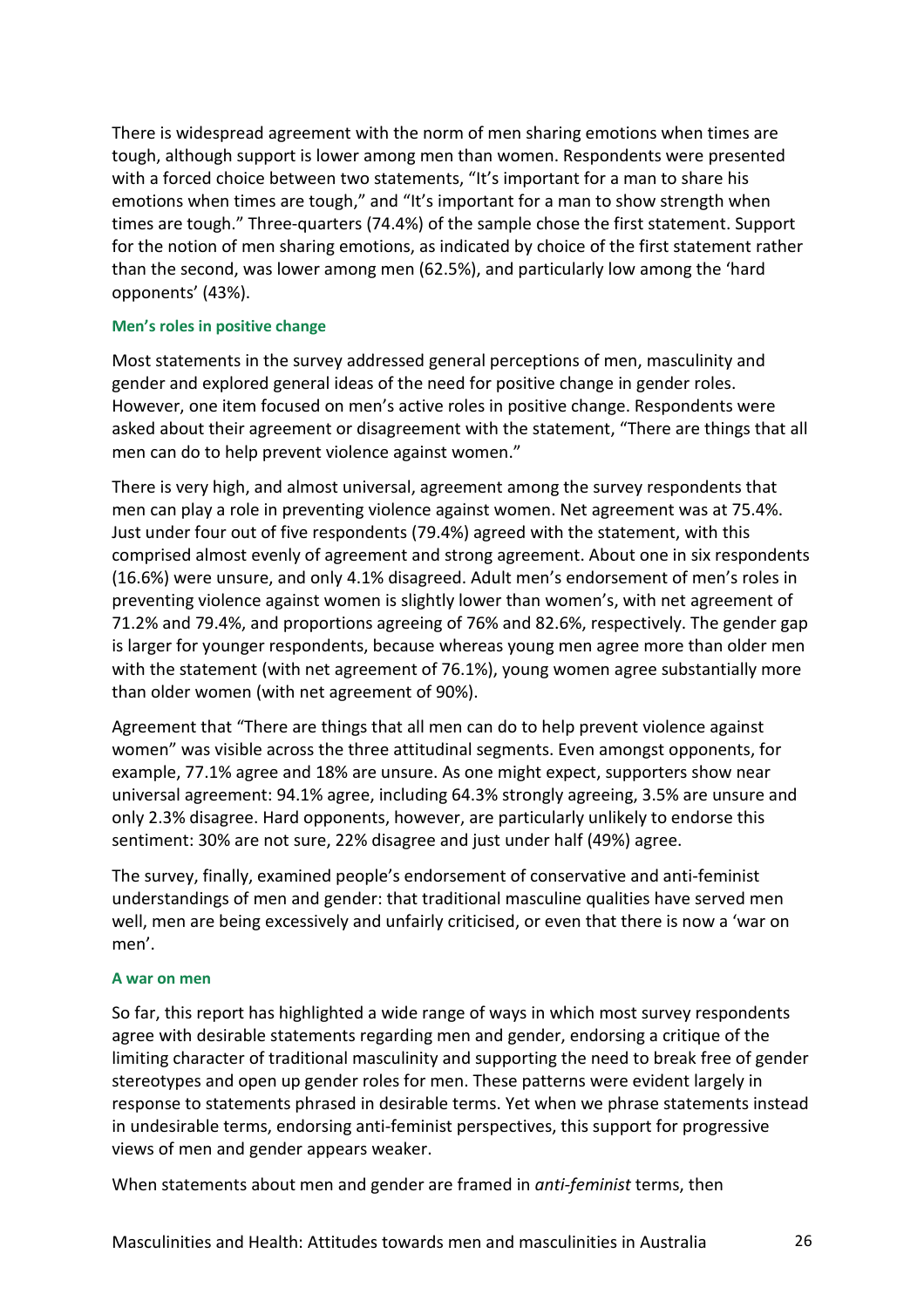There is widespread agreement with the norm of men sharing emotions when times are tough, although support is lower among men than women. Respondents were presented with a forced choice between two statements, "It's important for a man to share his emotions when times are tough," and "It's important for a man to show strength when times are tough." Three-quarters (74.4%) of the sample chose the first statement. Support for the notion of men sharing emotions, as indicated by choice of the first statement rather than the second, was lower among men (62.5%), and particularly low among the 'hard opponents' (43%).

## **Men's roles in positive change**

Most statements in the survey addressed general perceptions of men, masculinity and gender and explored general ideas of the need for positive change in gender roles. However, one item focused on men's active roles in positive change. Respondents were asked about their agreement or disagreement with the statement, "There are things that all men can do to help prevent violence against women."

There is very high, and almost universal, agreement among the survey respondents that men can play a role in preventing violence against women. Net agreement was at 75.4%. Just under four out of five respondents (79.4%) agreed with the statement, with this comprised almost evenly of agreement and strong agreement. About one in six respondents (16.6%) were unsure, and only 4.1% disagreed. Adult men's endorsement of men's roles in preventing violence against women is slightly lower than women's, with net agreement of 71.2% and 79.4%, and proportions agreeing of 76% and 82.6%, respectively. The gender gap is larger for younger respondents, because whereas young men agree more than older men with the statement (with net agreement of 76.1%), young women agree substantially more than older women (with net agreement of 90%).

Agreement that "There are things that all men can do to help prevent violence against women" was visible across the three attitudinal segments. Even amongst opponents, for example, 77.1% agree and 18% are unsure. As one might expect, supporters show near universal agreement: 94.1% agree, including 64.3% strongly agreeing, 3.5% are unsure and only 2.3% disagree. Hard opponents, however, are particularly unlikely to endorse this sentiment: 30% are not sure, 22% disagree and just under half (49%) agree.

The survey, finally, examined people's endorsement of conservative and anti-feminist understandings of men and gender: that traditional masculine qualities have served men well, men are being excessively and unfairly criticised, or even that there is now a 'war on men'.

#### **A war on men**

So far, this report has highlighted a wide range of ways in which most survey respondents agree with desirable statements regarding men and gender, endorsing a critique of the limiting character of traditional masculinity and supporting the need to break free of gender stereotypes and open up gender roles for men. These patterns were evident largely in response to statements phrased in desirable terms. Yet when we phrase statements instead in undesirable terms, endorsing anti-feminist perspectives, this support for progressive views of men and gender appears weaker.

When statements about men and gender are framed in *anti-feminist* terms, then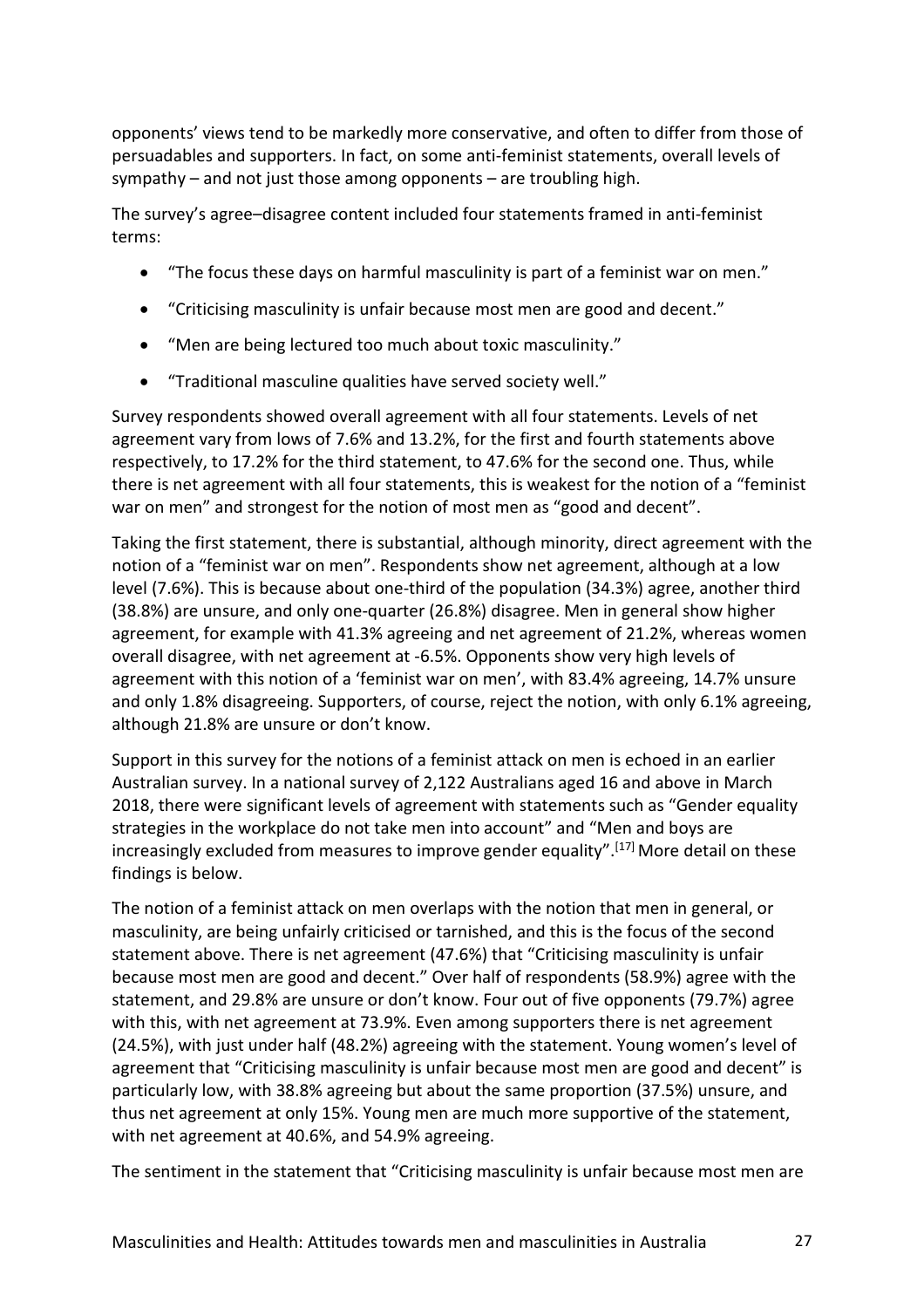opponents' views tend to be markedly more conservative, and often to differ from those of persuadables and supporters. In fact, on some anti-feminist statements, overall levels of sympathy – and not just those among opponents – are troubling high.

The survey's agree–disagree content included four statements framed in anti-feminist terms:

- "The focus these days on harmful masculinity is part of a feminist war on men."
- "Criticising masculinity is unfair because most men are good and decent."
- "Men are being lectured too much about toxic masculinity."
- "Traditional masculine qualities have served society well."

Survey respondents showed overall agreement with all four statements. Levels of net agreement vary from lows of 7.6% and 13.2%, for the first and fourth statements above respectively, to 17.2% for the third statement, to 47.6% for the second one. Thus, while there is net agreement with all four statements, this is weakest for the notion of a "feminist war on men" and strongest for the notion of most men as "good and decent".

Taking the first statement, there is substantial, although minority, direct agreement with the notion of a "feminist war on men". Respondents show net agreement, although at a low level (7.6%). This is because about one-third of the population (34.3%) agree, another third (38.8%) are unsure, and only one-quarter (26.8%) disagree. Men in general show higher agreement, for example with 41.3% agreeing and net agreement of 21.2%, whereas women overall disagree, with net agreement at -6.5%. Opponents show very high levels of agreement with this notion of a 'feminist war on men', with 83.4% agreeing, 14.7% unsure and only 1.8% disagreeing. Supporters, of course, reject the notion, with only 6.1% agreeing, although 21.8% are unsure or don't know.

Support in this survey for the notions of a feminist attack on men is echoed in an earlier Australian survey. In a national survey of 2,122 Australians aged 16 and above in March 2018, there were significant levels of agreement with statements such as "Gender equality strategies in the workplace do not take men into account" and "Men and boys are increasingly excluded from measures to improve gender equality".<sup>[17]</sup> More detail on these findings is below.

The notion of a feminist attack on men overlaps with the notion that men in general, or masculinity, are being unfairly criticised or tarnished, and this is the focus of the second statement above. There is net agreement (47.6%) that "Criticising masculinity is unfair because most men are good and decent." Over half of respondents (58.9%) agree with the statement, and 29.8% are unsure or don't know. Four out of five opponents (79.7%) agree with this, with net agreement at 73.9%. Even among supporters there is net agreement (24.5%), with just under half (48.2%) agreeing with the statement. Young women's level of agreement that "Criticising masculinity is unfair because most men are good and decent" is particularly low, with 38.8% agreeing but about the same proportion (37.5%) unsure, and thus net agreement at only 15%. Young men are much more supportive of the statement, with net agreement at 40.6%, and 54.9% agreeing.

The sentiment in the statement that "Criticising masculinity is unfair because most men are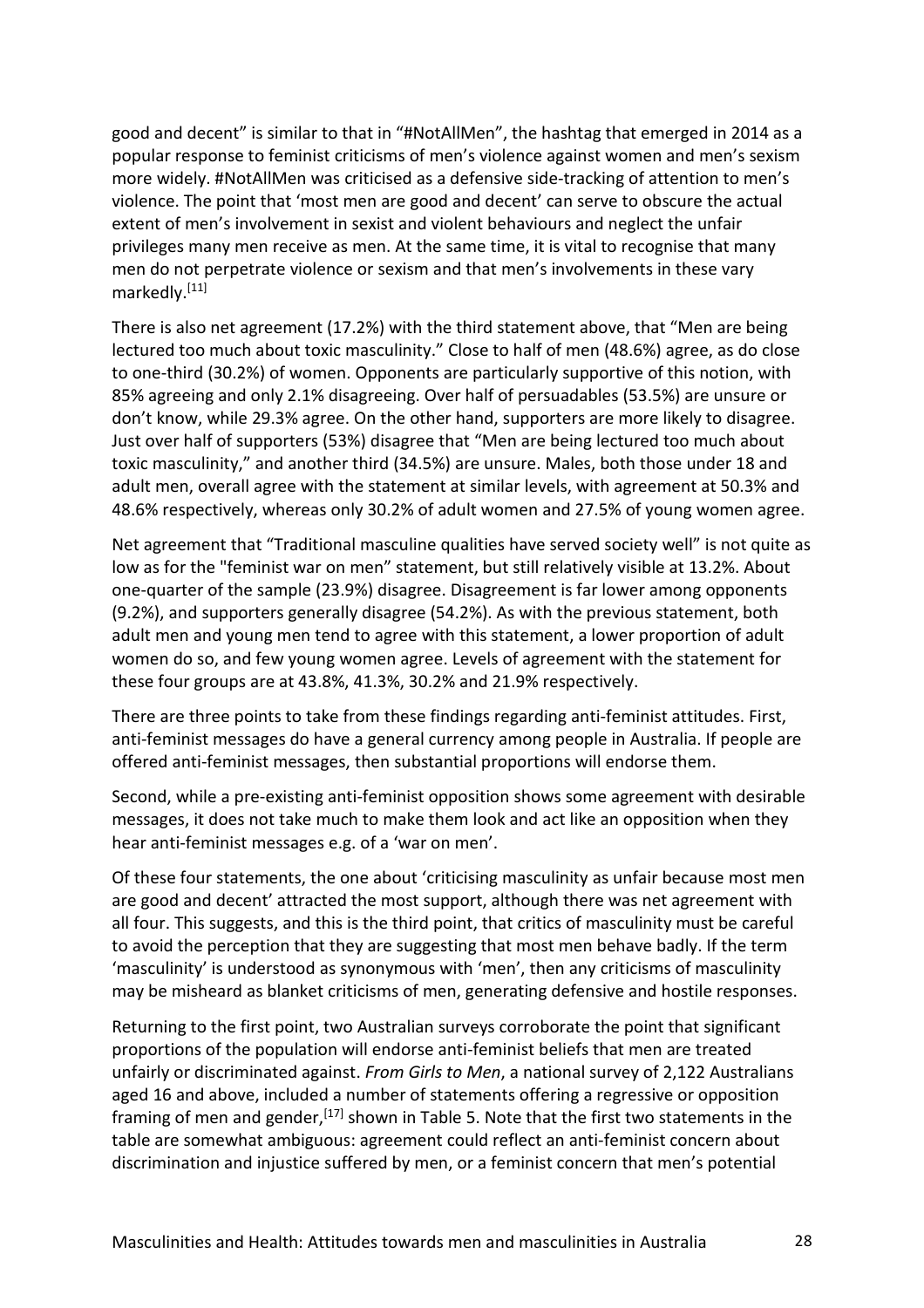good and decent" is similar to that in "#NotAllMen", the hashtag that emerged in 2014 as a popular response to feminist criticisms of men's violence against women and men's sexism more widely. #NotAllMen was criticised as a defensive side-tracking of attention to men's violence. The point that 'most men are good and decent' can serve to obscure the actual extent of men's involvement in sexist and violent behaviours and neglect the unfair privileges many men receive as men. At the same time, it is vital to recognise that many men do not perpetrate violence or sexism and that men's involvements in these vary markedly.<sup>[11]</sup>

There is also net agreement (17.2%) with the third statement above, that "Men are being lectured too much about toxic masculinity." Close to half of men (48.6%) agree, as do close to one-third (30.2%) of women. Opponents are particularly supportive of this notion, with 85% agreeing and only 2.1% disagreeing. Over half of persuadables (53.5%) are unsure or don't know, while 29.3% agree. On the other hand, supporters are more likely to disagree. Just over half of supporters (53%) disagree that "Men are being lectured too much about toxic masculinity," and another third (34.5%) are unsure. Males, both those under 18 and adult men, overall agree with the statement at similar levels, with agreement at 50.3% and 48.6% respectively, whereas only 30.2% of adult women and 27.5% of young women agree.

Net agreement that "Traditional masculine qualities have served society well" is not quite as low as for the "feminist war on men" statement, but still relatively visible at 13.2%. About one-quarter of the sample (23.9%) disagree. Disagreement is far lower among opponents (9.2%), and supporters generally disagree (54.2%). As with the previous statement, both adult men and young men tend to agree with this statement, a lower proportion of adult women do so, and few young women agree. Levels of agreement with the statement for these four groups are at 43.8%, 41.3%, 30.2% and 21.9% respectively.

There are three points to take from these findings regarding anti-feminist attitudes. First, anti-feminist messages do have a general currency among people in Australia. If people are offered anti-feminist messages, then substantial proportions will endorse them.

Second, while a pre-existing anti-feminist opposition shows some agreement with desirable messages, it does not take much to make them look and act like an opposition when they hear anti-feminist messages e.g. of a 'war on men'.

Of these four statements, the one about 'criticising masculinity as unfair because most men are good and decent' attracted the most support, although there was net agreement with all four. This suggests, and this is the third point, that critics of masculinity must be careful to avoid the perception that they are suggesting that most men behave badly. If the term 'masculinity' is understood as synonymous with 'men', then any criticisms of masculinity may be misheard as blanket criticisms of men, generating defensive and hostile responses.

Returning to the first point, two Australian surveys corroborate the point that significant proportions of the population will endorse anti-feminist beliefs that men are treated unfairly or discriminated against. *From Girls to Men*, a national survey of 2,122 Australians aged 16 and above, included a number of statements offering a regressive or opposition framing of men and gender,<sup>[17]</sup> shown in Table 5. Note that the first two statements in the table are somewhat ambiguous: agreement could reflect an anti-feminist concern about discrimination and injustice suffered by men, or a feminist concern that men's potential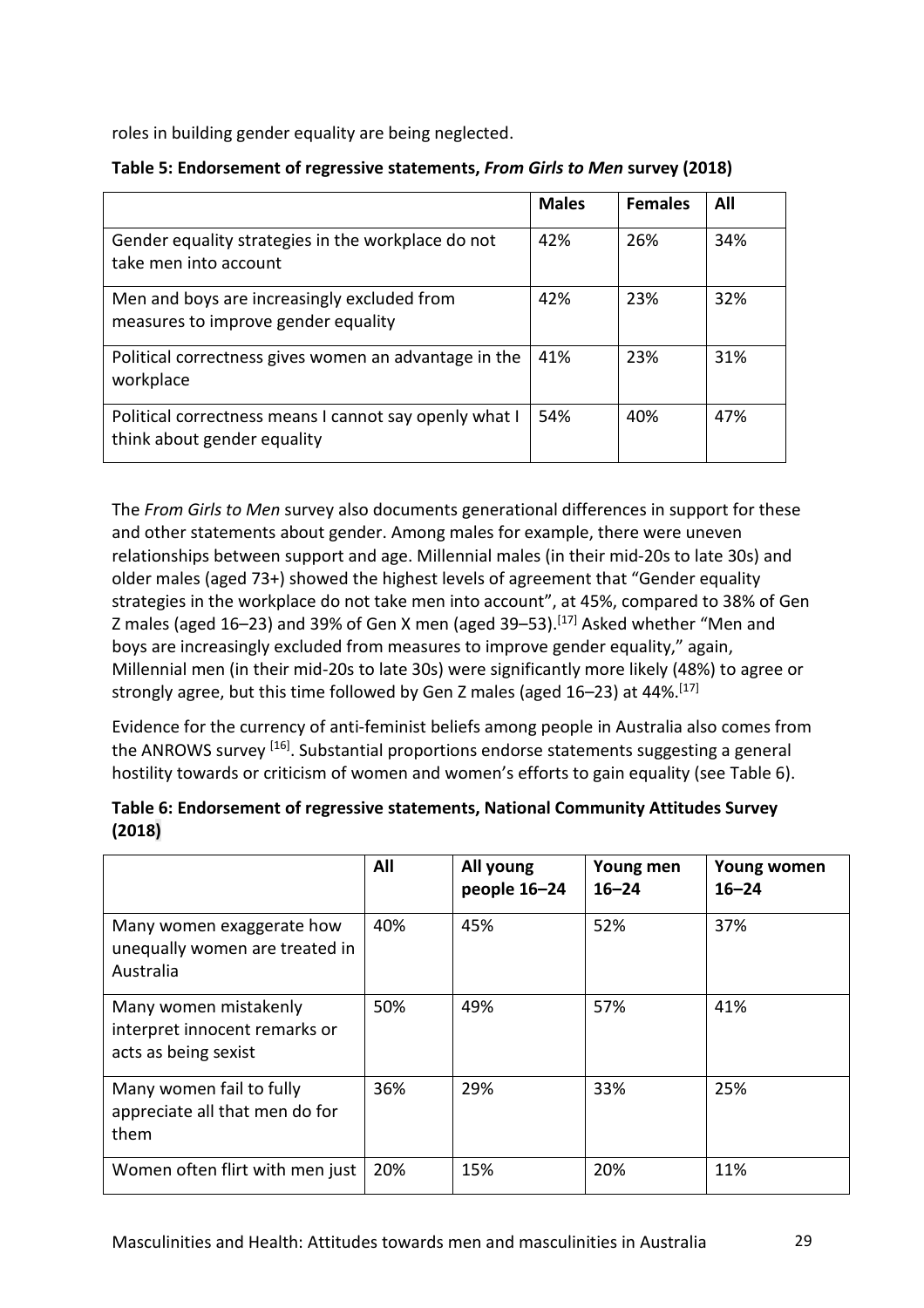roles in building gender equality are being neglected.

| Table 5: Endorsement of regressive statements, From Girls to Men survey (2018) |  |  |  |  |  |
|--------------------------------------------------------------------------------|--|--|--|--|--|
|--------------------------------------------------------------------------------|--|--|--|--|--|

|                                                                                       | <b>Males</b> | <b>Females</b> | All |
|---------------------------------------------------------------------------------------|--------------|----------------|-----|
| Gender equality strategies in the workplace do not<br>take men into account           | 42%          | 26%            | 34% |
| Men and boys are increasingly excluded from<br>measures to improve gender equality    | 42%          | 23%            | 32% |
| Political correctness gives women an advantage in the<br>workplace                    | 41%          | 23%            | 31% |
| Political correctness means I cannot say openly what I<br>think about gender equality | 54%          | 40%            | 47% |

The *From Girls to Men* survey also documents generational differences in support for these and other statements about gender. Among males for example, there were uneven relationships between support and age. Millennial males (in their mid-20s to late 30s) and older males (aged 73+) showed the highest levels of agreement that "Gender equality strategies in the workplace do not take men into account", at 45%, compared to 38% of Gen Z males (aged 16–23) and 39% of Gen X men (aged 39–53).<sup>[17]</sup> Asked whether "Men and boys are increasingly excluded from measures to improve gender equality," again, Millennial men (in their mid-20s to late 30s) were significantly more likely (48%) to agree or strongly agree, but this time followed by Gen Z males (aged 16–23) at 44%.<sup>[17]</sup>

Evidence for the currency of anti-feminist beliefs among people in Australia also comes from the ANROWS survey [16]. Substantial proportions endorse statements suggesting a general hostility towards or criticism of women and women's efforts to gain equality (see Table 6).

|                                                                                | All | All young<br>people 16-24 | Young men<br>$16 - 24$ | Young women<br>$16 - 24$ |
|--------------------------------------------------------------------------------|-----|---------------------------|------------------------|--------------------------|
| Many women exaggerate how<br>unequally women are treated in<br>Australia       | 40% | 45%                       | 52%                    | 37%                      |
| Many women mistakenly<br>interpret innocent remarks or<br>acts as being sexist | 50% | 49%                       | 57%                    | 41%                      |
| Many women fail to fully<br>appreciate all that men do for<br>them             | 36% | 29%                       | 33%                    | 25%                      |
| Women often flirt with men just                                                | 20% | 15%                       | 20%                    | 11%                      |

| Table 6: Endorsement of regressive statements, National Community Attitudes Survey |  |
|------------------------------------------------------------------------------------|--|
| (2018)                                                                             |  |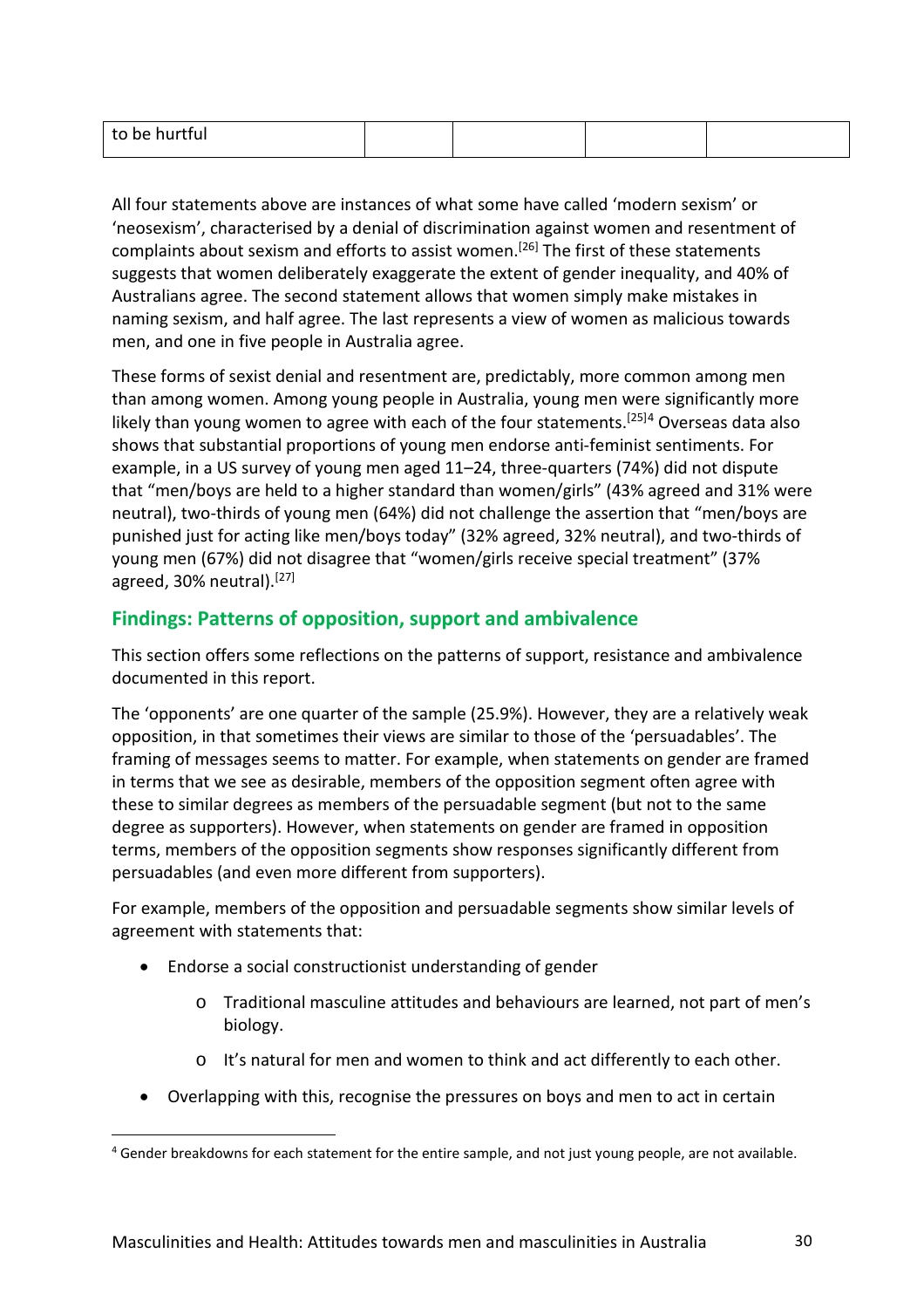All four statements above are instances of what some have called 'modern sexism' or 'neosexism', characterised by a denial of discrimination against women and resentment of complaints about sexism and efforts to assist women.<sup>[26]</sup> The first of these statements suggests that women deliberately exaggerate the extent of gender inequality, and 40% of Australians agree. The second statement allows that women simply make mistakes in naming sexism, and half agree. The last represents a view of women as malicious towards men, and one in five people in Australia agree.

These forms of sexist denial and resentment are, predictably, more common among men than among women. Among young people in Australia, young men were significantly more likely than young women to agree with each of the four statements. [25][4](#page-29-0) Overseas data also shows that substantial proportions of young men endorse anti-feminist sentiments. For example, in a US survey of young men aged 11–24, three-quarters (74%) did not dispute that "men/boys are held to a higher standard than women/girls" (43% agreed and 31% were neutral), two-thirds of young men (64%) did not challenge the assertion that "men/boys are punished just for acting like men/boys today" (32% agreed, 32% neutral), and two-thirds of young men (67%) did not disagree that "women/girls receive special treatment" (37% agreed, 30% neutral).<sup>[27]</sup>

# **Findings: Patterns of opposition, support and ambivalence**

This section offers some reflections on the patterns of support, resistance and ambivalence documented in this report.

The 'opponents' are one quarter of the sample (25.9%). However, they are a relatively weak opposition, in that sometimes their views are similar to those of the 'persuadables'. The framing of messages seems to matter. For example, when statements on gender are framed in terms that we see as desirable, members of the opposition segment often agree with these to similar degrees as members of the persuadable segment (but not to the same degree as supporters). However, when statements on gender are framed in opposition terms, members of the opposition segments show responses significantly different from persuadables (and even more different from supporters).

For example, members of the opposition and persuadable segments show similar levels of agreement with statements that:

• Endorse a social constructionist understanding of gender

 $\overline{a}$ 

- o Traditional masculine attitudes and behaviours are learned, not part of men's biology.
- o It's natural for men and women to think and act differently to each other.
- Overlapping with this, recognise the pressures on boys and men to act in certain

<span id="page-29-0"></span><sup>&</sup>lt;sup>4</sup> Gender breakdowns for each statement for the entire sample, and not just young people, are not available.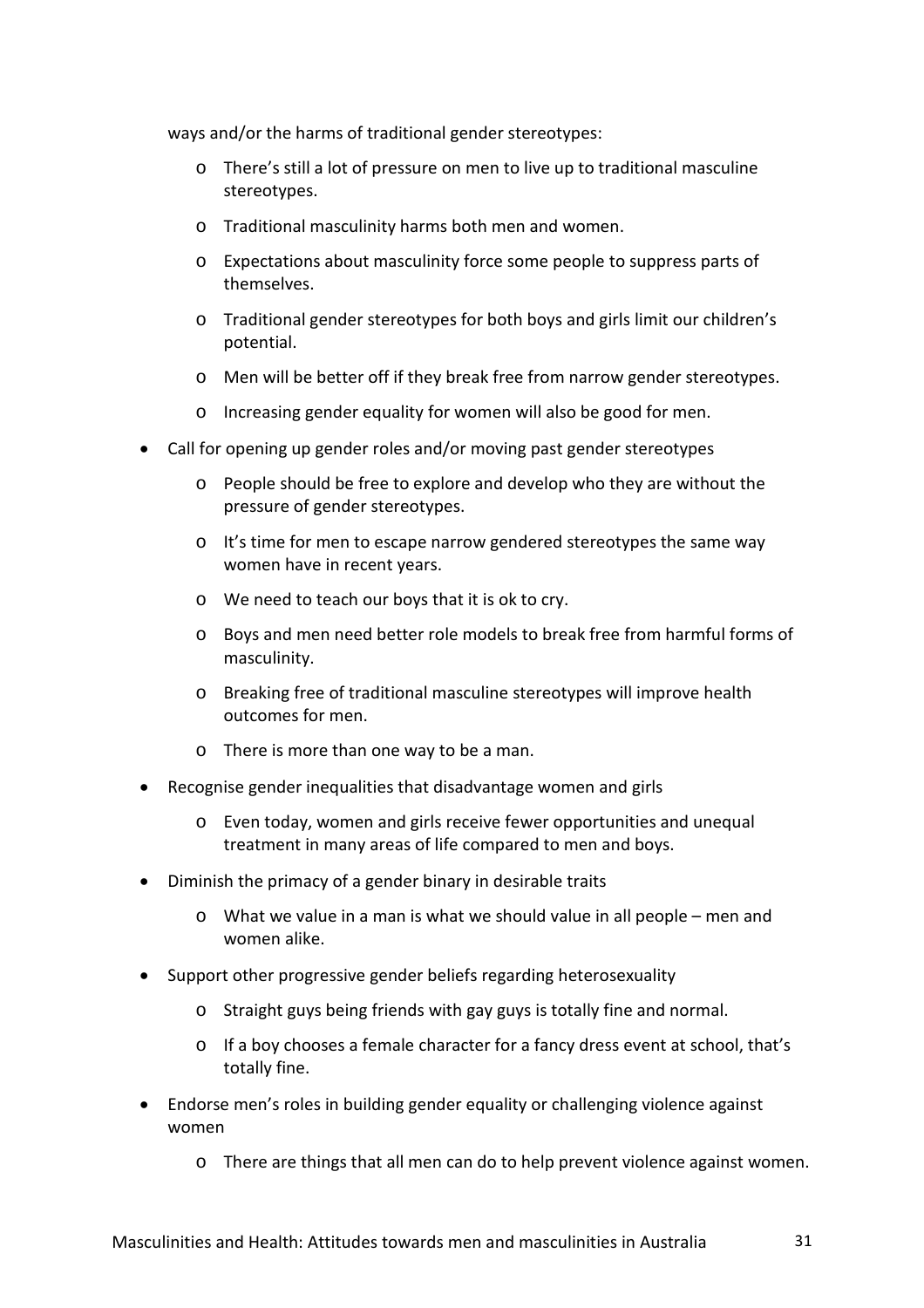ways and/or the harms of traditional gender stereotypes:

- o There's still a lot of pressure on men to live up to traditional masculine stereotypes.
- o Traditional masculinity harms both men and women.
- o Expectations about masculinity force some people to suppress parts of themselves.
- o Traditional gender stereotypes for both boys and girls limit our children's potential.
- o Men will be better off if they break free from narrow gender stereotypes.
- o Increasing gender equality for women will also be good for men.
- Call for opening up gender roles and/or moving past gender stereotypes
	- o People should be free to explore and develop who they are without the pressure of gender stereotypes.
	- o It's time for men to escape narrow gendered stereotypes the same way women have in recent years.
	- o We need to teach our boys that it is ok to cry.
	- o Boys and men need better role models to break free from harmful forms of masculinity.
	- o Breaking free of traditional masculine stereotypes will improve health outcomes for men.
	- o There is more than one way to be a man.
- Recognise gender inequalities that disadvantage women and girls
	- o Even today, women and girls receive fewer opportunities and unequal treatment in many areas of life compared to men and boys.
- Diminish the primacy of a gender binary in desirable traits
	- o What we value in a man is what we should value in all people men and women alike.
- Support other progressive gender beliefs regarding heterosexuality
	- o Straight guys being friends with gay guys is totally fine and normal.
	- o If a boy chooses a female character for a fancy dress event at school, that's totally fine.
- Endorse men's roles in building gender equality or challenging violence against women
	- o There are things that all men can do to help prevent violence against women.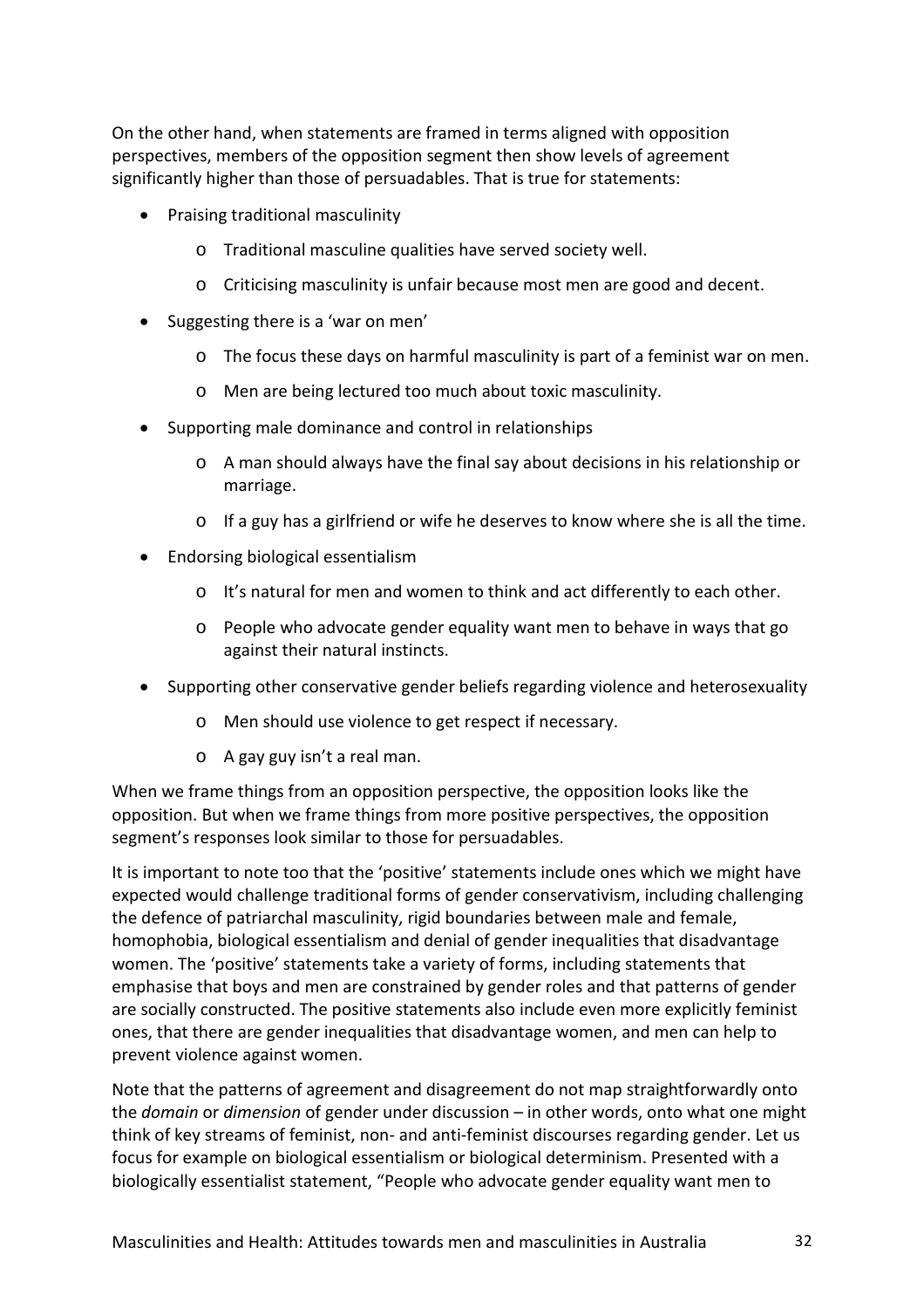On the other hand, when statements are framed in terms aligned with opposition perspectives, members of the opposition segment then show levels of agreement significantly higher than those of persuadables. That is true for statements:

- Praising traditional masculinity
	- o Traditional masculine qualities have served society well.
	- o Criticising masculinity is unfair because most men are good and decent.
- Suggesting there is a 'war on men'
	- o The focus these days on harmful masculinity is part of a feminist war on men.
	- o Men are being lectured too much about toxic masculinity.
- Supporting male dominance and control in relationships
	- o A man should always have the final say about decisions in his relationship or marriage.
	- $\circ$  If a guy has a girlfriend or wife he deserves to know where she is all the time.
- Endorsing biological essentialism
	- o It's natural for men and women to think and act differently to each other.
	- o People who advocate gender equality want men to behave in ways that go against their natural instincts.
- Supporting other conservative gender beliefs regarding violence and heterosexuality
	- o Men should use violence to get respect if necessary.
	- o A gay guy isn't a real man.

When we frame things from an opposition perspective, the opposition looks like the opposition. But when we frame things from more positive perspectives, the opposition segment's responses look similar to those for persuadables.

It is important to note too that the 'positive' statements include ones which we might have expected would challenge traditional forms of gender conservativism, including challenging the defence of patriarchal masculinity, rigid boundaries between male and female, homophobia, biological essentialism and denial of gender inequalities that disadvantage women. The 'positive' statements take a variety of forms, including statements that emphasise that boys and men are constrained by gender roles and that patterns of gender are socially constructed. The positive statements also include even more explicitly feminist ones, that there are gender inequalities that disadvantage women, and men can help to prevent violence against women.

Note that the patterns of agreement and disagreement do not map straightforwardly onto the *domain* or *dimension* of gender under discussion – in other words, onto what one might think of key streams of feminist, non- and anti-feminist discourses regarding gender. Let us focus for example on biological essentialism or biological determinism. Presented with a biologically essentialist statement, "People who advocate gender equality want men to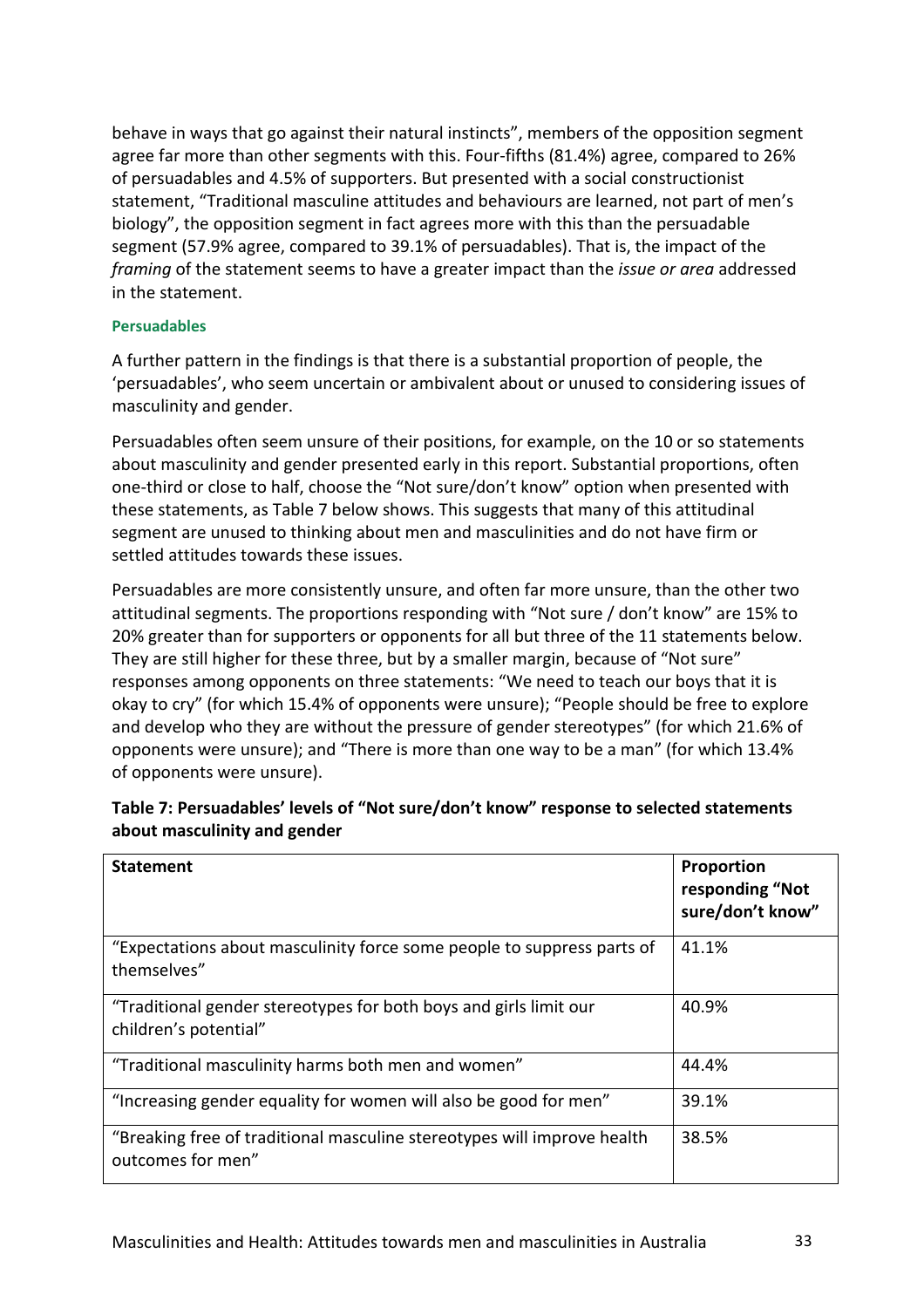behave in ways that go against their natural instincts", members of the opposition segment agree far more than other segments with this. Four-fifths (81.4%) agree, compared to 26% of persuadables and 4.5% of supporters. But presented with a social constructionist statement, "Traditional masculine attitudes and behaviours are learned, not part of men's biology", the opposition segment in fact agrees more with this than the persuadable segment (57.9% agree, compared to 39.1% of persuadables). That is, the impact of the *framing* of the statement seems to have a greater impact than the *issue or area* addressed in the statement.

#### **Persuadables**

A further pattern in the findings is that there is a substantial proportion of people, the 'persuadables', who seem uncertain or ambivalent about or unused to considering issues of masculinity and gender.

Persuadables often seem unsure of their positions, for example, on the 10 or so statements about masculinity and gender presented early in this report. Substantial proportions, often one-third or close to half, choose the "Not sure/don't know" option when presented with these statements, as Table 7 below shows. This suggests that many of this attitudinal segment are unused to thinking about men and masculinities and do not have firm or settled attitudes towards these issues.

Persuadables are more consistently unsure, and often far more unsure, than the other two attitudinal segments. The proportions responding with "Not sure / don't know" are 15% to 20% greater than for supporters or opponents for all but three of the 11 statements below. They are still higher for these three, but by a smaller margin, because of "Not sure" responses among opponents on three statements: "We need to teach our boys that it is okay to cry" (for which 15.4% of opponents were unsure); "People should be free to explore and develop who they are without the pressure of gender stereotypes" (for which 21.6% of opponents were unsure); and "There is more than one way to be a man" (for which 13.4% of opponents were unsure).

| <b>Statement</b>                                                                             | Proportion<br>responding "Not<br>sure/don't know" |
|----------------------------------------------------------------------------------------------|---------------------------------------------------|
| "Expectations about masculinity force some people to suppress parts of<br>themselves"        | 41.1%                                             |
| "Traditional gender stereotypes for both boys and girls limit our<br>children's potential"   | 40.9%                                             |
| "Traditional masculinity harms both men and women"                                           | 44.4%                                             |
| "Increasing gender equality for women will also be good for men"                             | 39.1%                                             |
| "Breaking free of traditional masculine stereotypes will improve health<br>outcomes for men" | 38.5%                                             |

# **Table 7: Persuadables' levels of "Not sure/don't know" response to selected statements about masculinity and gender**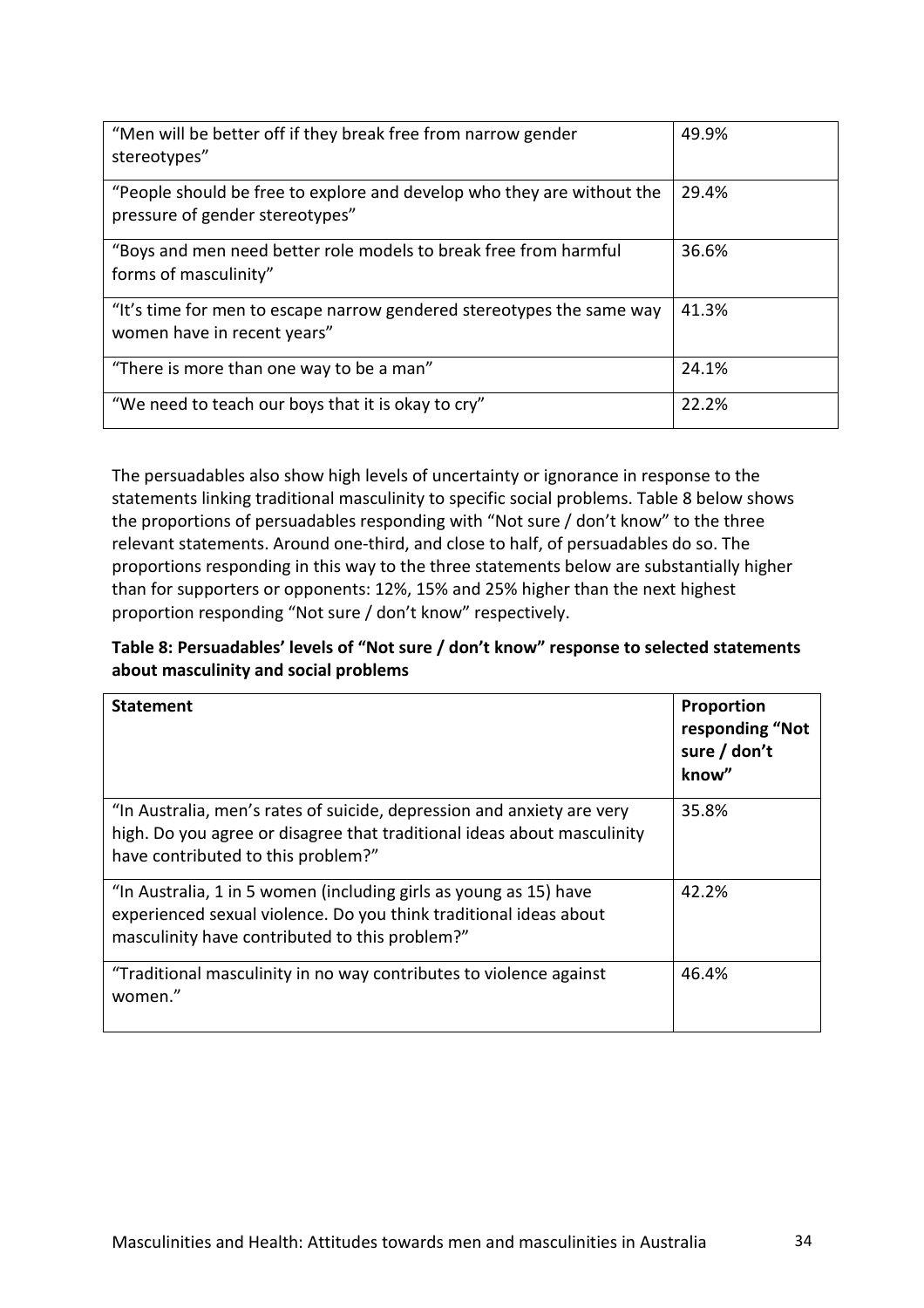| "Men will be better off if they break free from narrow gender<br>stereotypes"                             | 49.9% |
|-----------------------------------------------------------------------------------------------------------|-------|
| "People should be free to explore and develop who they are without the<br>pressure of gender stereotypes" | 29.4% |
| "Boys and men need better role models to break free from harmful<br>forms of masculinity"                 | 36.6% |
| "It's time for men to escape narrow gendered stereotypes the same way<br>women have in recent years"      | 41.3% |
| "There is more than one way to be a man"                                                                  | 24.1% |
| "We need to teach our boys that it is okay to cry"                                                        | 22.2% |

The persuadables also show high levels of uncertainty or ignorance in response to the statements linking traditional masculinity to specific social problems. Table 8 below shows the proportions of persuadables responding with "Not sure / don't know" to the three relevant statements. Around one-third, and close to half, of persuadables do so. The proportions responding in this way to the three statements below are substantially higher than for supporters or opponents: 12%, 15% and 25% higher than the next highest proportion responding "Not sure / don't know" respectively.

# **Table 8: Persuadables' levels of "Not sure / don't know" response to selected statements about masculinity and social problems**

| <b>Statement</b>                                                                                                                                                                         | Proportion<br>responding "Not<br>sure / don't<br>know" |
|------------------------------------------------------------------------------------------------------------------------------------------------------------------------------------------|--------------------------------------------------------|
| "In Australia, men's rates of suicide, depression and anxiety are very<br>high. Do you agree or disagree that traditional ideas about masculinity<br>have contributed to this problem?"  | 35.8%                                                  |
| "In Australia, 1 in 5 women (including girls as young as 15) have<br>experienced sexual violence. Do you think traditional ideas about<br>masculinity have contributed to this problem?" | 42.2%                                                  |
| "Traditional masculinity in no way contributes to violence against<br>women."                                                                                                            | 46.4%                                                  |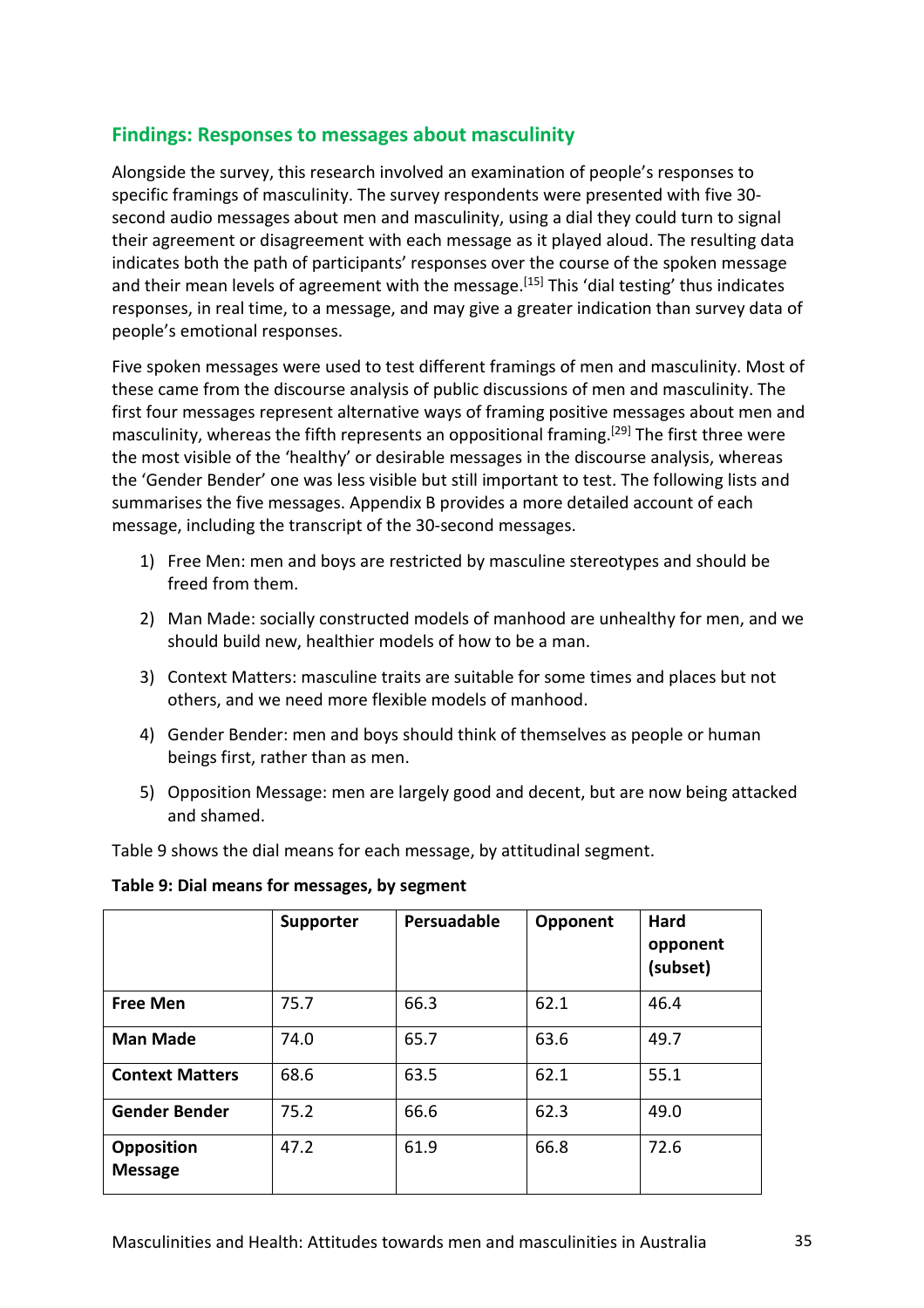# **Findings: Responses to messages about masculinity**

Alongside the survey, this research involved an examination of people's responses to specific framings of masculinity. The survey respondents were presented with five 30 second audio messages about men and masculinity, using a dial they could turn to signal their agreement or disagreement with each message as it played aloud. The resulting data indicates both the path of participants' responses over the course of the spoken message and their mean levels of agreement with the message.<sup>[15]</sup> This 'dial testing' thus indicates responses, in real time, to a message, and may give a greater indication than survey data of people's emotional responses.

Five spoken messages were used to test different framings of men and masculinity. Most of these came from the discourse analysis of public discussions of men and masculinity. The first four messages represent alternative ways of framing positive messages about men and masculinity, whereas the fifth represents an oppositional framing.<sup>[29]</sup> The first three were the most visible of the 'healthy' or desirable messages in the discourse analysis, whereas the 'Gender Bender' one was less visible but still important to test. The following lists and summarises the five messages. Appendix B provides a more detailed account of each message, including the transcript of the 30-second messages.

- 1) Free Men: men and boys are restricted by masculine stereotypes and should be freed from them.
- 2) Man Made: socially constructed models of manhood are unhealthy for men, and we should build new, healthier models of how to be a man.
- 3) Context Matters: masculine traits are suitable for some times and places but not others, and we need more flexible models of manhood.
- 4) Gender Bender: men and boys should think of themselves as people or human beings first, rather than as men.
- 5) Opposition Message: men are largely good and decent, but are now being attacked and shamed.

Table 9 shows the dial means for each message, by attitudinal segment.

**Table 9: Dial means for messages, by segment**

|                                     | Supporter | Persuadable | Opponent | <b>Hard</b><br>opponent<br>(subset) |
|-------------------------------------|-----------|-------------|----------|-------------------------------------|
| <b>Free Men</b>                     | 75.7      | 66.3        | 62.1     | 46.4                                |
| <b>Man Made</b>                     | 74.0      | 65.7        | 63.6     | 49.7                                |
| <b>Context Matters</b>              | 68.6      | 63.5        | 62.1     | 55.1                                |
| <b>Gender Bender</b>                | 75.2      | 66.6        | 62.3     | 49.0                                |
| <b>Opposition</b><br><b>Message</b> | 47.2      | 61.9        | 66.8     | 72.6                                |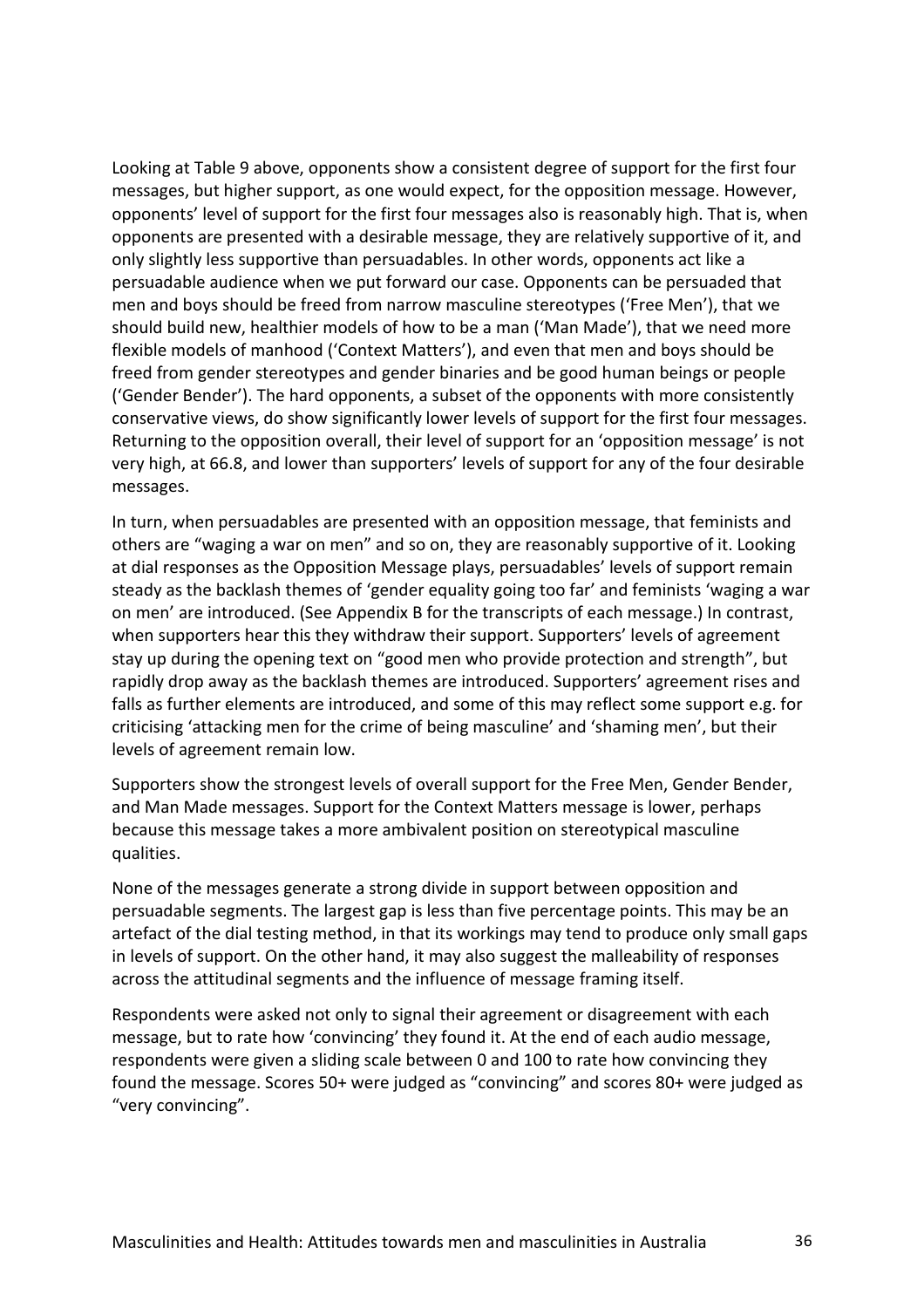Looking at Table 9 above, opponents show a consistent degree of support for the first four messages, but higher support, as one would expect, for the opposition message. However, opponents' level of support for the first four messages also is reasonably high. That is, when opponents are presented with a desirable message, they are relatively supportive of it, and only slightly less supportive than persuadables. In other words, opponents act like a persuadable audience when we put forward our case. Opponents can be persuaded that men and boys should be freed from narrow masculine stereotypes ('Free Men'), that we should build new, healthier models of how to be a man ('Man Made'), that we need more flexible models of manhood ('Context Matters'), and even that men and boys should be freed from gender stereotypes and gender binaries and be good human beings or people ('Gender Bender'). The hard opponents, a subset of the opponents with more consistently conservative views, do show significantly lower levels of support for the first four messages. Returning to the opposition overall, their level of support for an 'opposition message' is not very high, at 66.8, and lower than supporters' levels of support for any of the four desirable messages.

In turn, when persuadables are presented with an opposition message, that feminists and others are "waging a war on men" and so on, they are reasonably supportive of it. Looking at dial responses as the Opposition Message plays, persuadables' levels of support remain steady as the backlash themes of 'gender equality going too far' and feminists 'waging a war on men' are introduced. (See Appendix B for the transcripts of each message.) In contrast, when supporters hear this they withdraw their support. Supporters' levels of agreement stay up during the opening text on "good men who provide protection and strength", but rapidly drop away as the backlash themes are introduced. Supporters' agreement rises and falls as further elements are introduced, and some of this may reflect some support e.g. for criticising 'attacking men for the crime of being masculine' and 'shaming men', but their levels of agreement remain low.

Supporters show the strongest levels of overall support for the Free Men, Gender Bender, and Man Made messages. Support for the Context Matters message is lower, perhaps because this message takes a more ambivalent position on stereotypical masculine qualities.

None of the messages generate a strong divide in support between opposition and persuadable segments. The largest gap is less than five percentage points. This may be an artefact of the dial testing method, in that its workings may tend to produce only small gaps in levels of support. On the other hand, it may also suggest the malleability of responses across the attitudinal segments and the influence of message framing itself.

Respondents were asked not only to signal their agreement or disagreement with each message, but to rate how 'convincing' they found it. At the end of each audio message, respondents were given a sliding scale between 0 and 100 to rate how convincing they found the message. Scores 50+ were judged as "convincing" and scores 80+ were judged as "very convincing".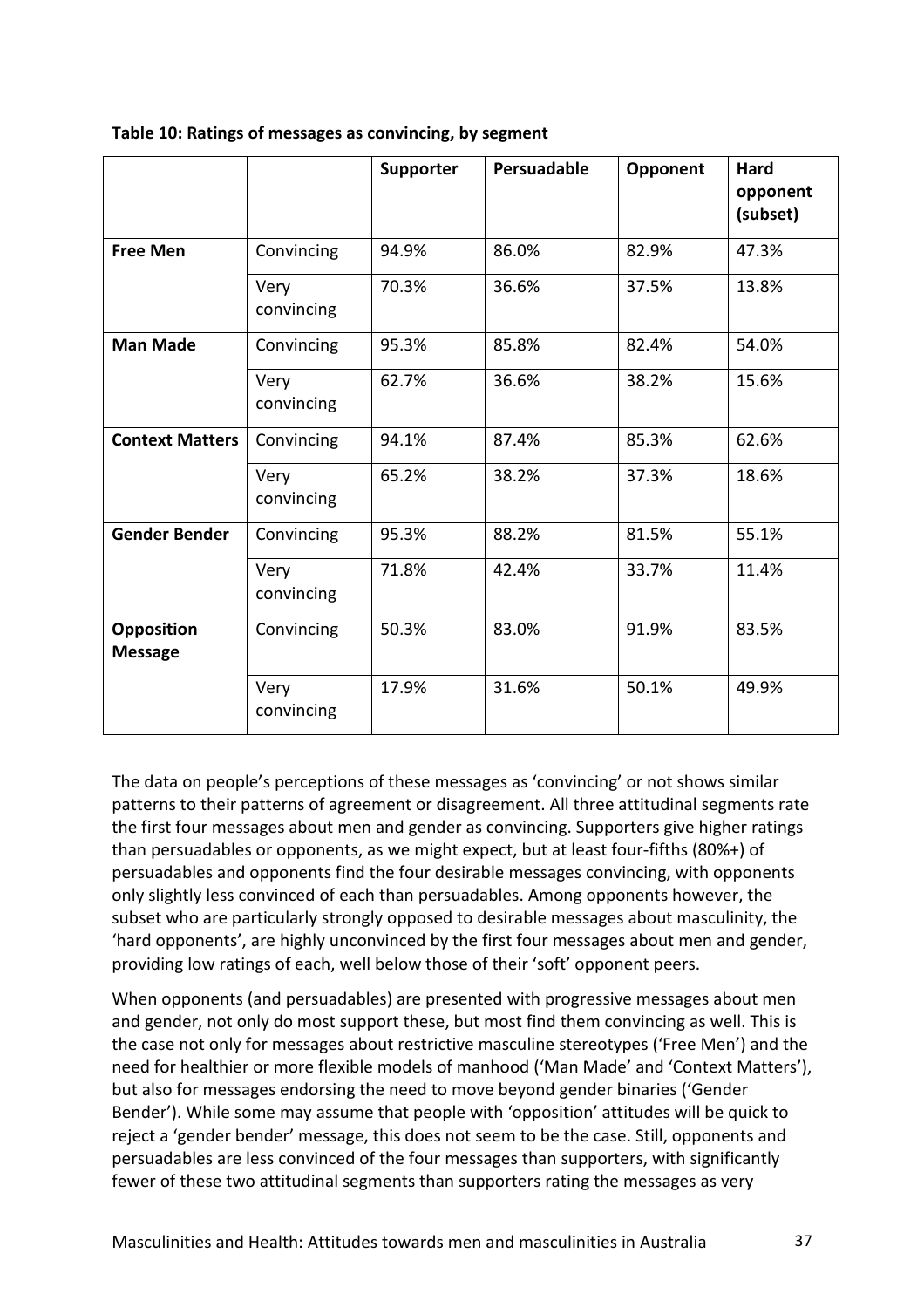|                                     |                    | <b>Supporter</b> | Persuadable | Opponent | Hard<br>opponent<br>(subset) |
|-------------------------------------|--------------------|------------------|-------------|----------|------------------------------|
| <b>Free Men</b>                     | Convincing         | 94.9%            | 86.0%       | 82.9%    | 47.3%                        |
|                                     | Very<br>convincing | 70.3%            | 36.6%       | 37.5%    | 13.8%                        |
| <b>Man Made</b>                     | Convincing         | 95.3%            | 85.8%       | 82.4%    | 54.0%                        |
|                                     | Very<br>convincing | 62.7%            | 36.6%       | 38.2%    | 15.6%                        |
| <b>Context Matters</b>              | Convincing         | 94.1%            | 87.4%       | 85.3%    | 62.6%                        |
|                                     | Very<br>convincing | 65.2%            | 38.2%       | 37.3%    | 18.6%                        |
| <b>Gender Bender</b>                | Convincing         | 95.3%            | 88.2%       | 81.5%    | 55.1%                        |
|                                     | Very<br>convincing | 71.8%            | 42.4%       | 33.7%    | 11.4%                        |
| <b>Opposition</b><br><b>Message</b> | Convincing         | 50.3%            | 83.0%       | 91.9%    | 83.5%                        |
|                                     | Very<br>convincing | 17.9%            | 31.6%       | 50.1%    | 49.9%                        |

**Table 10: Ratings of messages as convincing, by segment**

The data on people's perceptions of these messages as 'convincing' or not shows similar patterns to their patterns of agreement or disagreement. All three attitudinal segments rate the first four messages about men and gender as convincing. Supporters give higher ratings than persuadables or opponents, as we might expect, but at least four-fifths (80%+) of persuadables and opponents find the four desirable messages convincing, with opponents only slightly less convinced of each than persuadables. Among opponents however, the subset who are particularly strongly opposed to desirable messages about masculinity, the 'hard opponents', are highly unconvinced by the first four messages about men and gender, providing low ratings of each, well below those of their 'soft' opponent peers.

When opponents (and persuadables) are presented with progressive messages about men and gender, not only do most support these, but most find them convincing as well. This is the case not only for messages about restrictive masculine stereotypes ('Free Men') and the need for healthier or more flexible models of manhood ('Man Made' and 'Context Matters'), but also for messages endorsing the need to move beyond gender binaries ('Gender Bender'). While some may assume that people with 'opposition' attitudes will be quick to reject a 'gender bender' message, this does not seem to be the case. Still, opponents and persuadables are less convinced of the four messages than supporters, with significantly fewer of these two attitudinal segments than supporters rating the messages as very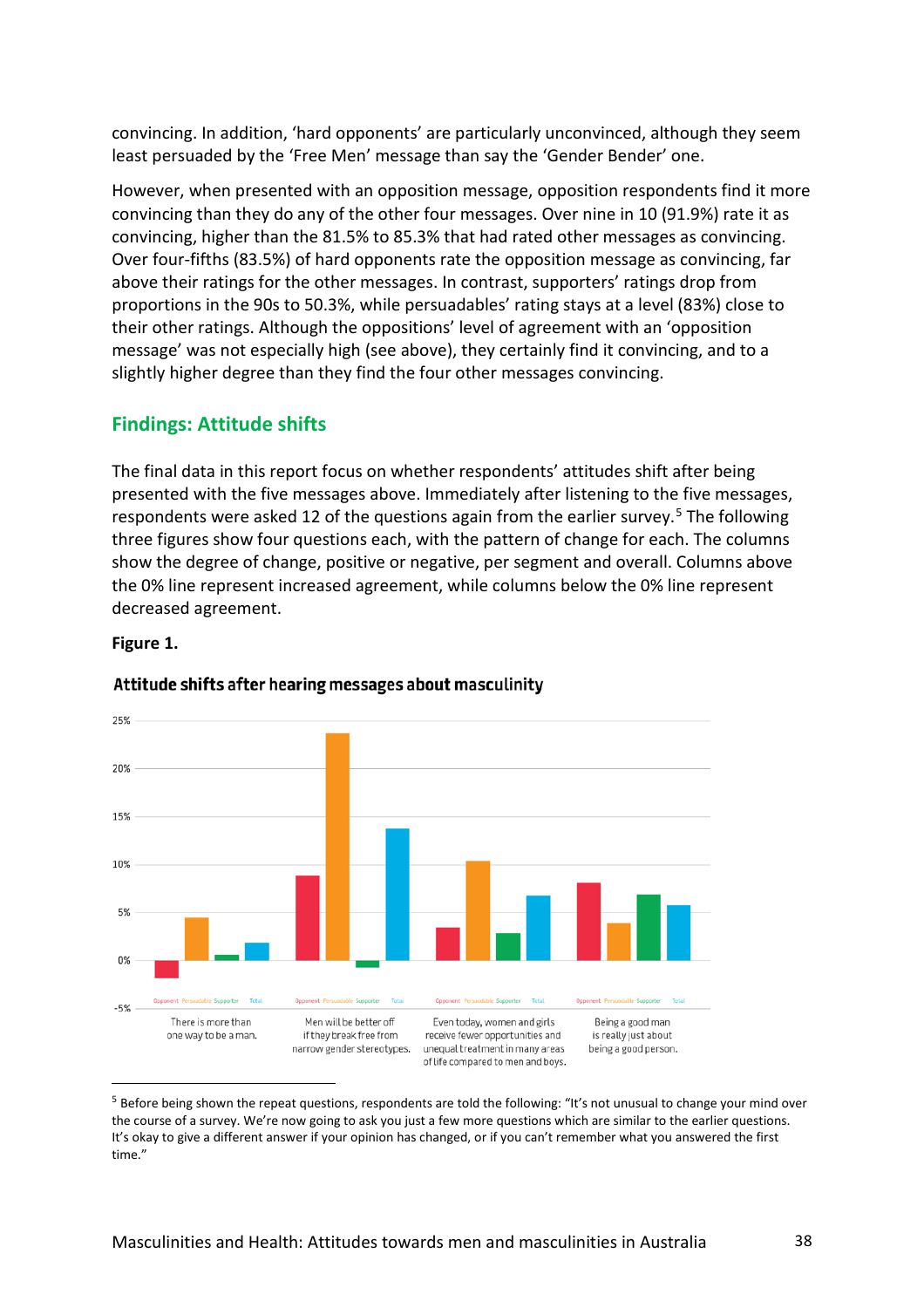convincing. In addition, 'hard opponents' are particularly unconvinced, although they seem least persuaded by the 'Free Men' message than say the 'Gender Bender' one.

However, when presented with an opposition message, opposition respondents find it more convincing than they do any of the other four messages. Over nine in 10 (91.9%) rate it as convincing, higher than the 81.5% to 85.3% that had rated other messages as convincing. Over four-fifths (83.5%) of hard opponents rate the opposition message as convincing, far above their ratings for the other messages. In contrast, supporters' ratings drop from proportions in the 90s to 50.3%, while persuadables' rating stays at a level (83%) close to their other ratings. Although the oppositions' level of agreement with an 'opposition message' was not especially high (see above), they certainly find it convincing, and to a slightly higher degree than they find the four other messages convincing.

# **Findings: Attitude shifts**

The final data in this report focus on whether respondents' attitudes shift after being presented with the five messages above. Immediately after listening to the five messages, respondents were asked 12 of the questions again from the earlier survey.<sup>[5](#page-37-0)</sup> The following three figures show four questions each, with the pattern of change for each. The columns show the degree of change, positive or negative, per segment and overall. Columns above the 0% line represent increased agreement, while columns below the 0% line represent decreased agreement.

## **Figure 1.**



## Attitude shifts after hearing messages about masculinity

<span id="page-37-0"></span><sup>5</sup> Before being shown the repeat questions, respondents are told the following: "It's not unusual to change your mind over the course of a survey. We're now going to ask you just a few more questions which are similar to the earlier questions. It's okay to give a different answer if your opinion has changed, or if you can't remember what you answered the first time."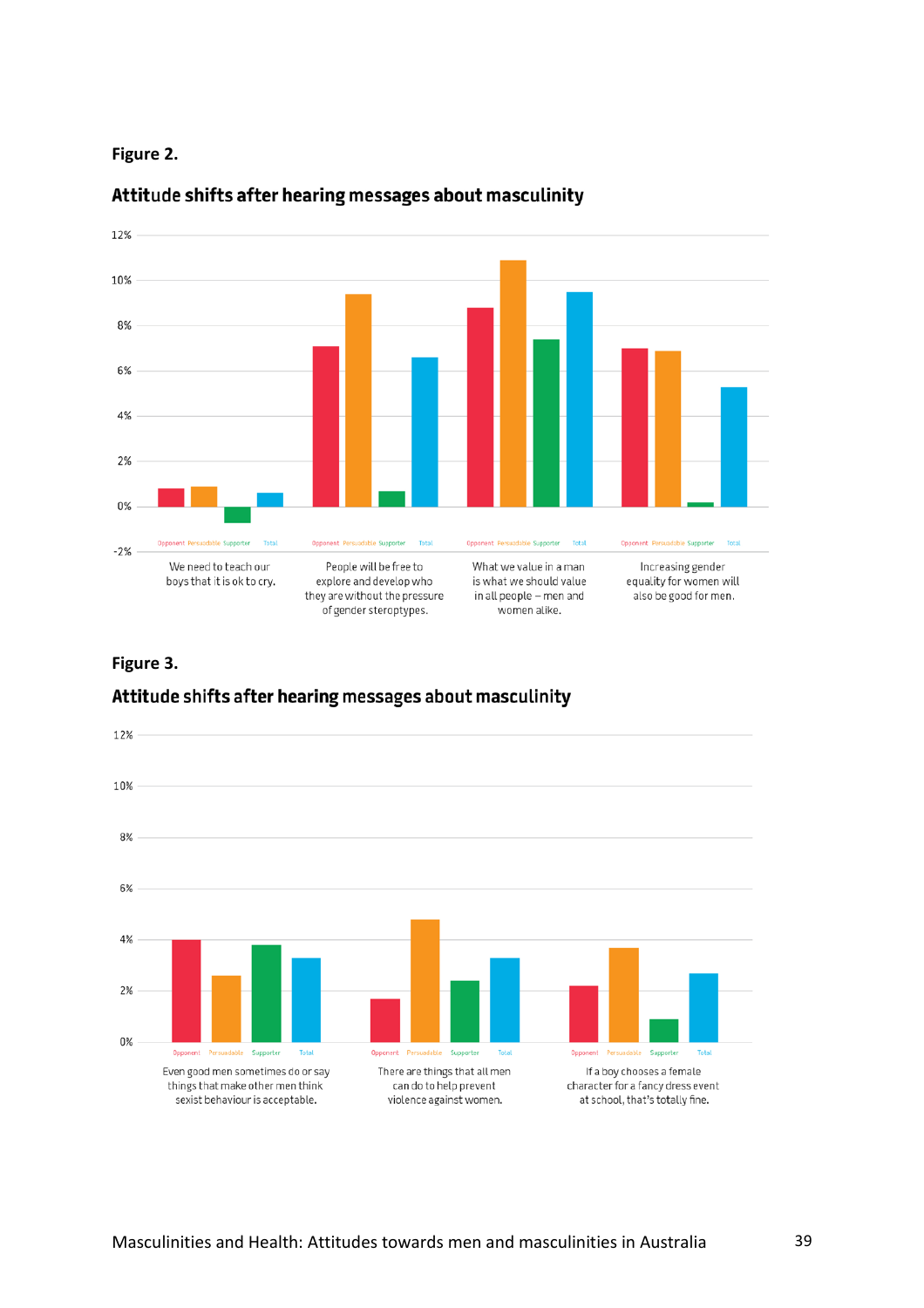



# Attitude shifts after hearing messages about masculinity

## **Figure 3.**

# Attitude shifts after hearing messages about masculinity

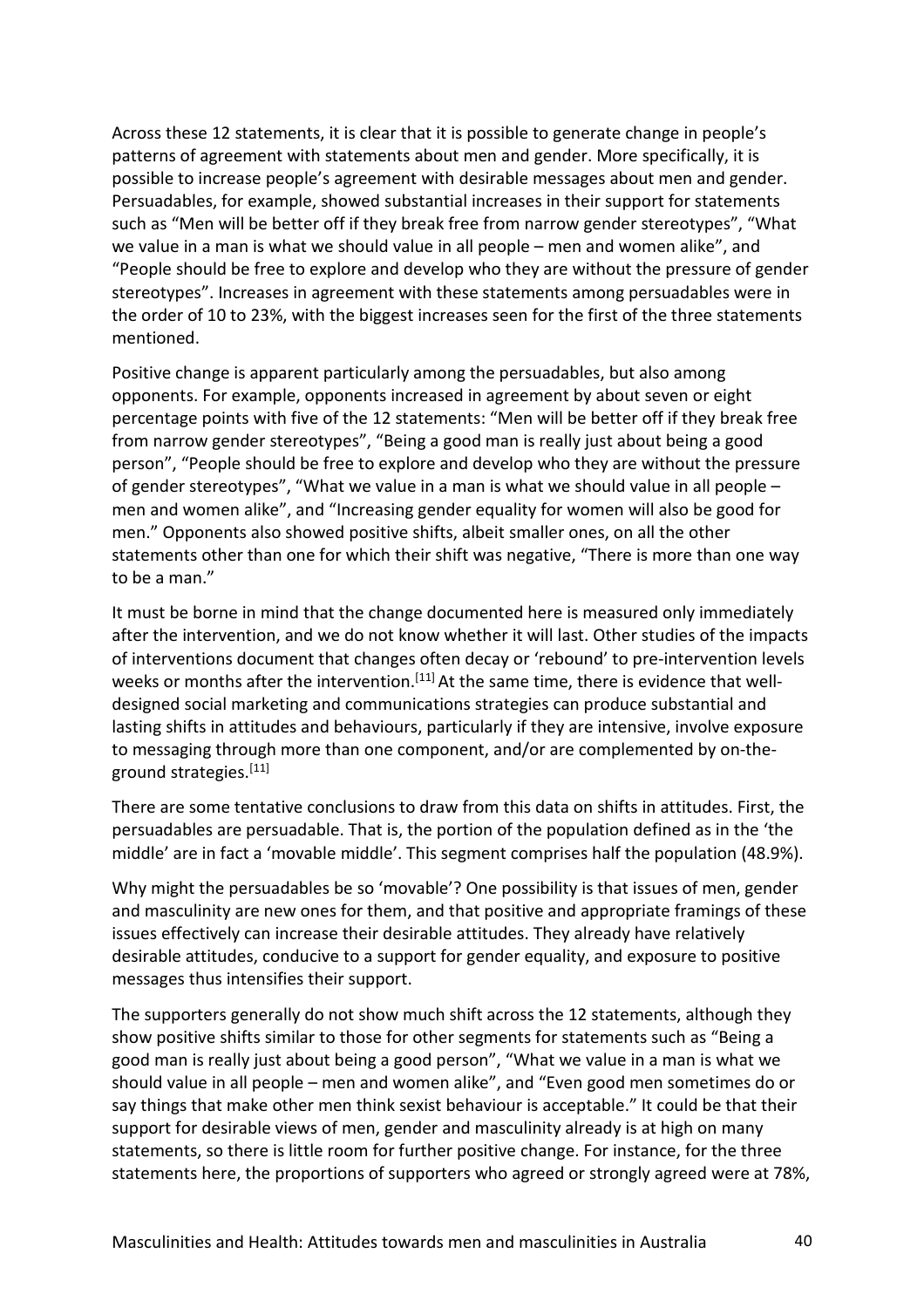Across these 12 statements, it is clear that it is possible to generate change in people's patterns of agreement with statements about men and gender. More specifically, it is possible to increase people's agreement with desirable messages about men and gender. Persuadables, for example, showed substantial increases in their support for statements such as "Men will be better off if they break free from narrow gender stereotypes", "What we value in a man is what we should value in all people – men and women alike", and "People should be free to explore and develop who they are without the pressure of gender stereotypes". Increases in agreement with these statements among persuadables were in the order of 10 to 23%, with the biggest increases seen for the first of the three statements mentioned.

Positive change is apparent particularly among the persuadables, but also among opponents. For example, opponents increased in agreement by about seven or eight percentage points with five of the 12 statements: "Men will be better off if they break free from narrow gender stereotypes", "Being a good man is really just about being a good person", "People should be free to explore and develop who they are without the pressure of gender stereotypes", "What we value in a man is what we should value in all people – men and women alike", and "Increasing gender equality for women will also be good for men." Opponents also showed positive shifts, albeit smaller ones, on all the other statements other than one for which their shift was negative, "There is more than one way to be a man."

It must be borne in mind that the change documented here is measured only immediately after the intervention, and we do not know whether it will last. Other studies of the impacts of interventions document that changes often decay or 'rebound' to pre-intervention levels weeks or months after the intervention.<sup>[11]</sup> At the same time, there is evidence that welldesigned social marketing and communications strategies can produce substantial and lasting shifts in attitudes and behaviours, particularly if they are intensive, involve exposure to messaging through more than one component, and/or are complemented by on-theground strategies.<sup>[11]</sup>

There are some tentative conclusions to draw from this data on shifts in attitudes. First, the persuadables are persuadable. That is, the portion of the population defined as in the 'the middle' are in fact a 'movable middle'. This segment comprises half the population (48.9%).

Why might the persuadables be so 'movable'? One possibility is that issues of men, gender and masculinity are new ones for them, and that positive and appropriate framings of these issues effectively can increase their desirable attitudes. They already have relatively desirable attitudes, conducive to a support for gender equality, and exposure to positive messages thus intensifies their support.

The supporters generally do not show much shift across the 12 statements, although they show positive shifts similar to those for other segments for statements such as "Being a good man is really just about being a good person", "What we value in a man is what we should value in all people – men and women alike", and "Even good men sometimes do or say things that make other men think sexist behaviour is acceptable." It could be that their support for desirable views of men, gender and masculinity already is at high on many statements, so there is little room for further positive change. For instance, for the three statements here, the proportions of supporters who agreed or strongly agreed were at 78%,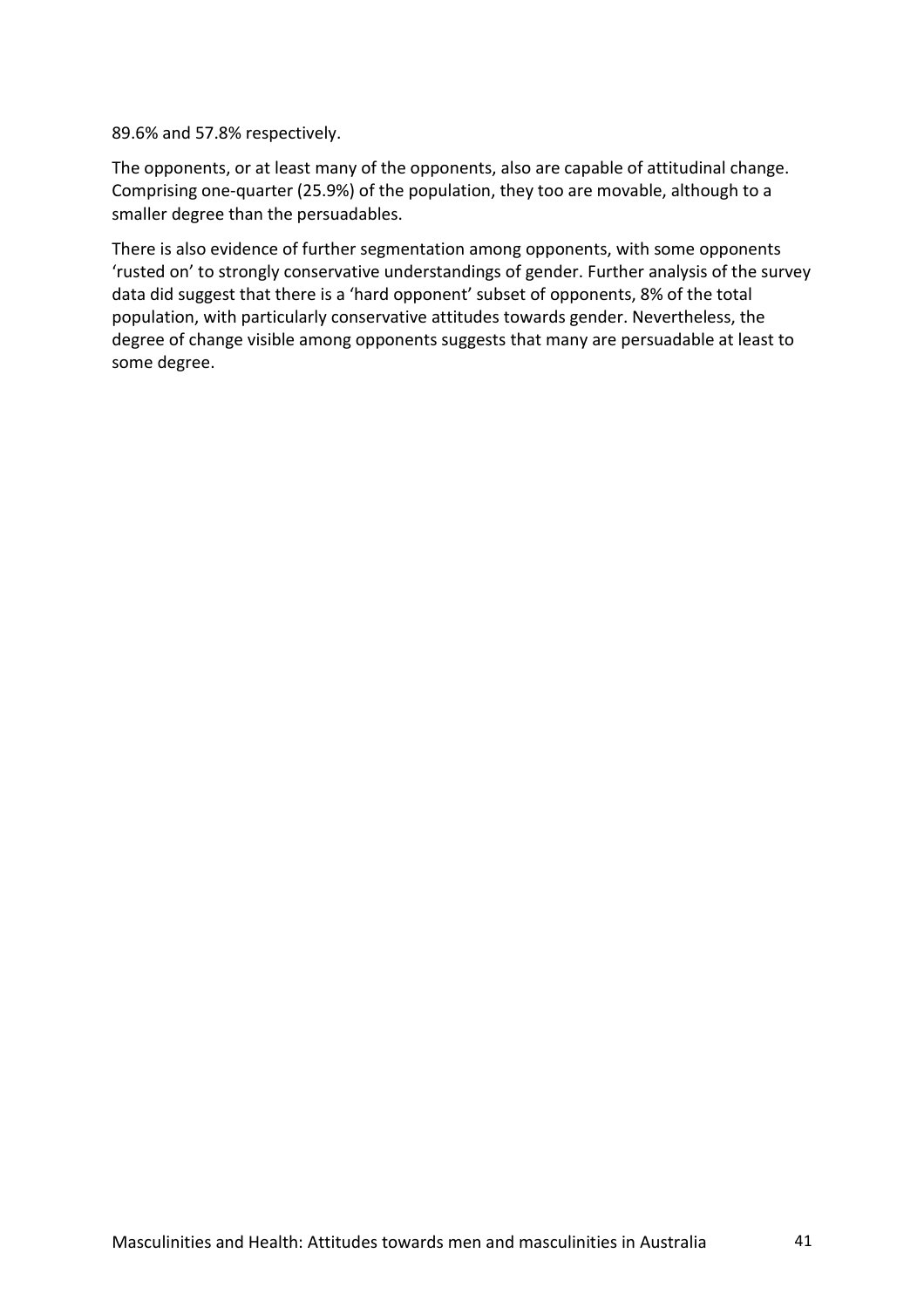89.6% and 57.8% respectively.

The opponents, or at least many of the opponents, also are capable of attitudinal change. Comprising one-quarter (25.9%) of the population, they too are movable, although to a smaller degree than the persuadables.

There is also evidence of further segmentation among opponents, with some opponents 'rusted on' to strongly conservative understandings of gender. Further analysis of the survey data did suggest that there is a 'hard opponent' subset of opponents, 8% of the total population, with particularly conservative attitudes towards gender. Nevertheless, the degree of change visible among opponents suggests that many are persuadable at least to some degree.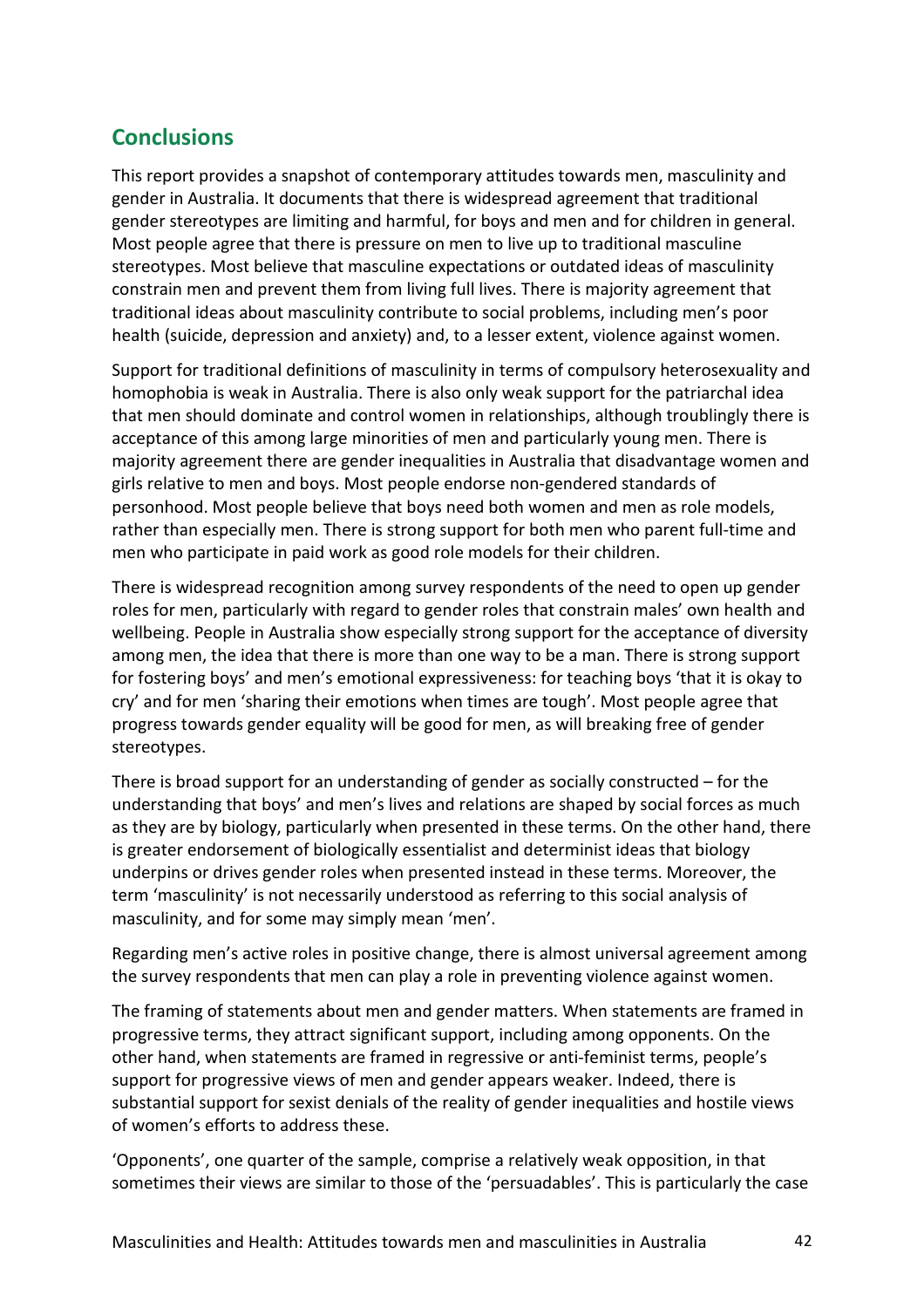# **Conclusions**

This report provides a snapshot of contemporary attitudes towards men, masculinity and gender in Australia. It documents that there is widespread agreement that traditional gender stereotypes are limiting and harmful, for boys and men and for children in general. Most people agree that there is pressure on men to live up to traditional masculine stereotypes. Most believe that masculine expectations or outdated ideas of masculinity constrain men and prevent them from living full lives. There is majority agreement that traditional ideas about masculinity contribute to social problems, including men's poor health (suicide, depression and anxiety) and, to a lesser extent, violence against women.

Support for traditional definitions of masculinity in terms of compulsory heterosexuality and homophobia is weak in Australia. There is also only weak support for the patriarchal idea that men should dominate and control women in relationships, although troublingly there is acceptance of this among large minorities of men and particularly young men. There is majority agreement there are gender inequalities in Australia that disadvantage women and girls relative to men and boys. Most people endorse non-gendered standards of personhood. Most people believe that boys need both women and men as role models, rather than especially men. There is strong support for both men who parent full-time and men who participate in paid work as good role models for their children.

There is widespread recognition among survey respondents of the need to open up gender roles for men, particularly with regard to gender roles that constrain males' own health and wellbeing. People in Australia show especially strong support for the acceptance of diversity among men, the idea that there is more than one way to be a man. There is strong support for fostering boys' and men's emotional expressiveness: for teaching boys 'that it is okay to cry' and for men 'sharing their emotions when times are tough'. Most people agree that progress towards gender equality will be good for men, as will breaking free of gender stereotypes.

There is broad support for an understanding of gender as socially constructed – for the understanding that boys' and men's lives and relations are shaped by social forces as much as they are by biology, particularly when presented in these terms. On the other hand, there is greater endorsement of biologically essentialist and determinist ideas that biology underpins or drives gender roles when presented instead in these terms. Moreover, the term 'masculinity' is not necessarily understood as referring to this social analysis of masculinity, and for some may simply mean 'men'.

Regarding men's active roles in positive change, there is almost universal agreement among the survey respondents that men can play a role in preventing violence against women.

The framing of statements about men and gender matters. When statements are framed in progressive terms, they attract significant support, including among opponents. On the other hand, when statements are framed in regressive or anti-feminist terms, people's support for progressive views of men and gender appears weaker. Indeed, there is substantial support for sexist denials of the reality of gender inequalities and hostile views of women's efforts to address these.

'Opponents', one quarter of the sample, comprise a relatively weak opposition, in that sometimes their views are similar to those of the 'persuadables'. This is particularly the case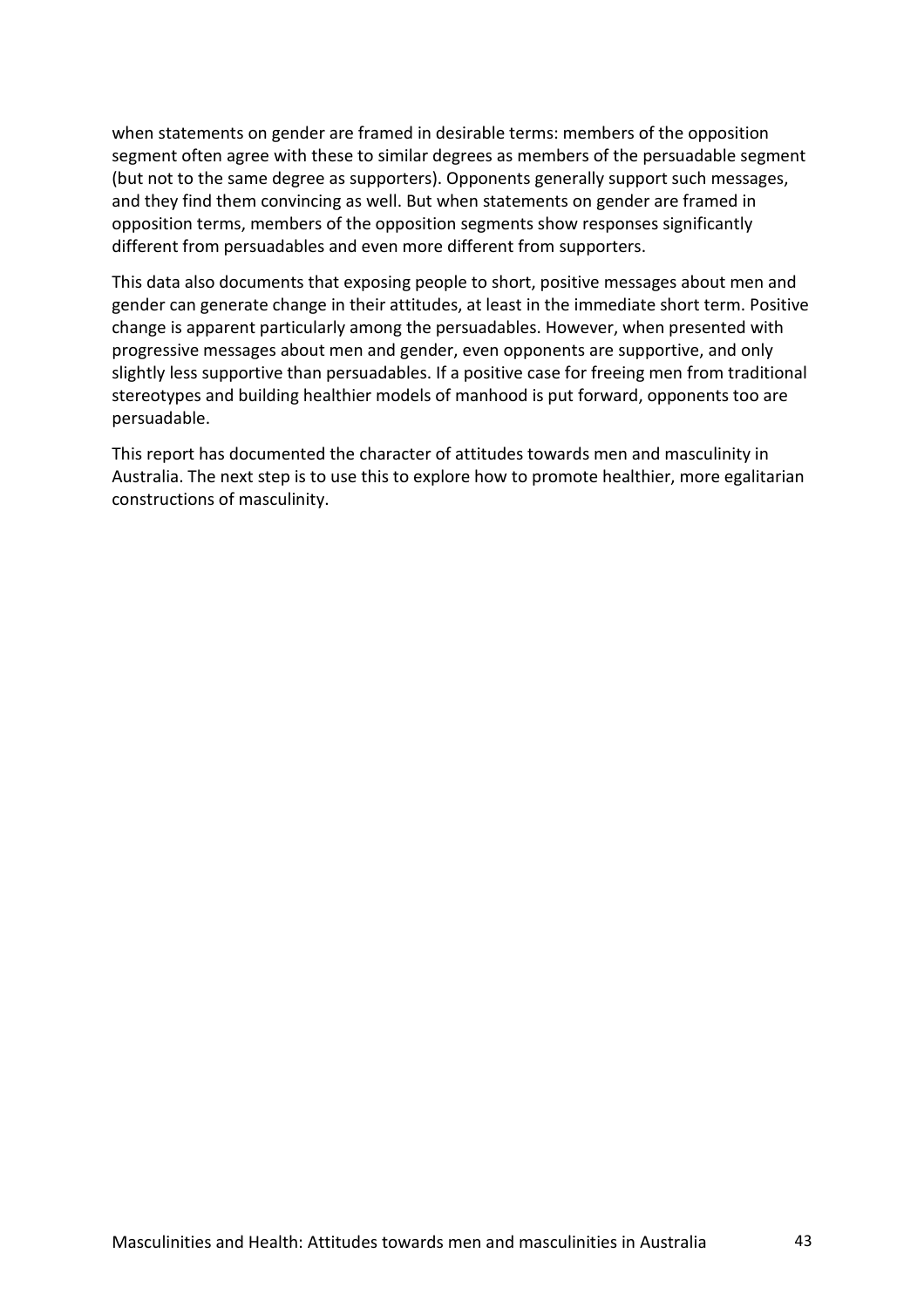when statements on gender are framed in desirable terms: members of the opposition segment often agree with these to similar degrees as members of the persuadable segment (but not to the same degree as supporters). Opponents generally support such messages, and they find them convincing as well. But when statements on gender are framed in opposition terms, members of the opposition segments show responses significantly different from persuadables and even more different from supporters.

This data also documents that exposing people to short, positive messages about men and gender can generate change in their attitudes, at least in the immediate short term. Positive change is apparent particularly among the persuadables. However, when presented with progressive messages about men and gender, even opponents are supportive, and only slightly less supportive than persuadables. If a positive case for freeing men from traditional stereotypes and building healthier models of manhood is put forward, opponents too are persuadable.

This report has documented the character of attitudes towards men and masculinity in Australia. The next step is to use this to explore how to promote healthier, more egalitarian constructions of masculinity.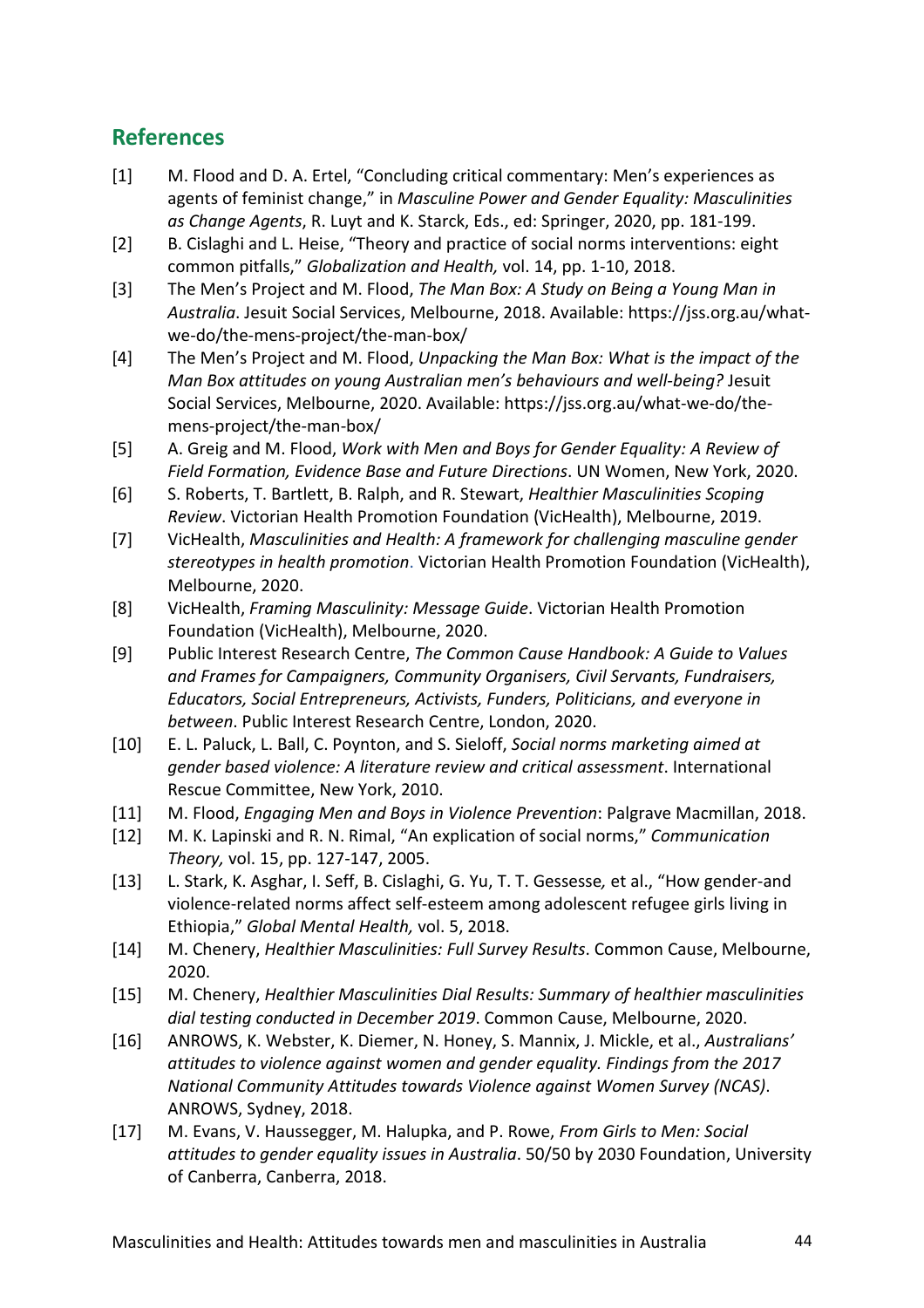# **References**

- [1] M. Flood and D. A. Ertel, "Concluding critical commentary: Men's experiences as agents of feminist change," in *Masculine Power and Gender Equality: Masculinities as Change Agents*, R. Luyt and K. Starck, Eds., ed: Springer, 2020, pp. 181-199.
- [2] B. Cislaghi and L. Heise, "Theory and practice of social norms interventions: eight common pitfalls," *Globalization and Health,* vol. 14, pp. 1-10, 2018.
- [3] The Men's Project and M. Flood, *The Man Box: A Study on Being a Young Man in Australia*. Jesuit Social Services, Melbourne, 2018. Available: https://jss.org.au/whatwe-do/the-mens-project/the-man-box/
- [4] The Men's Project and M. Flood, *Unpacking the Man Box: What is the impact of the Man Box attitudes on young Australian men's behaviours and well-being?* Jesuit Social Services, Melbourne, 2020. Available: https://jss.org.au/what-we-do/themens-project/the-man-box/
- [5] A. Greig and M. Flood, *Work with Men and Boys for Gender Equality: A Review of Field Formation, Evidence Base and Future Directions*. UN Women, New York, 2020.
- [6] S. Roberts, T. Bartlett, B. Ralph, and R. Stewart, *Healthier Masculinities Scoping Review*. Victorian Health Promotion Foundation (VicHealth), Melbourne, 2019.
- [7] VicHealth, *Masculinities and Health: A framework for challenging masculine gender stereotypes in health promotion*. Victorian Health Promotion Foundation (VicHealth), Melbourne, 2020.
- [8] VicHealth, *Framing Masculinity: Message Guide*. Victorian Health Promotion Foundation (VicHealth), Melbourne, 2020.
- [9] Public Interest Research Centre, *The Common Cause Handbook: A Guide to Values and Frames for Campaigners, Community Organisers, Civil Servants, Fundraisers, Educators, Social Entrepreneurs, Activists, Funders, Politicians, and everyone in between*. Public Interest Research Centre, London, 2020.
- [10] E. L. Paluck, L. Ball, C. Poynton, and S. Sieloff, *Social norms marketing aimed at gender based violence: A literature review and critical assessment*. International Rescue Committee, New York, 2010.
- [11] M. Flood, *Engaging Men and Boys in Violence Prevention*: Palgrave Macmillan, 2018.
- [12] M. K. Lapinski and R. N. Rimal, "An explication of social norms," *Communication Theory,* vol. 15, pp. 127-147, 2005.
- [13] L. Stark, K. Asghar, I. Seff, B. Cislaghi, G. Yu, T. T. Gessesse*,* et al., "How gender-and violence-related norms affect self-esteem among adolescent refugee girls living in Ethiopia," *Global Mental Health,* vol. 5, 2018.
- [14] M. Chenery, *Healthier Masculinities: Full Survey Results*. Common Cause, Melbourne, 2020.
- [15] M. Chenery, *Healthier Masculinities Dial Results: Summary of healthier masculinities dial testing conducted in December 2019*. Common Cause, Melbourne, 2020.
- [16] ANROWS, K. Webster, K. Diemer, N. Honey, S. Mannix, J. Mickle, et al., *Australians' attitudes to violence against women and gender equality. Findings from the 2017 National Community Attitudes towards Violence against Women Survey (NCAS)*. ANROWS, Sydney, 2018.
- [17] M. Evans, V. Haussegger, M. Halupka, and P. Rowe, *From Girls to Men: Social attitudes to gender equality issues in Australia*. 50/50 by 2030 Foundation, University of Canberra, Canberra, 2018.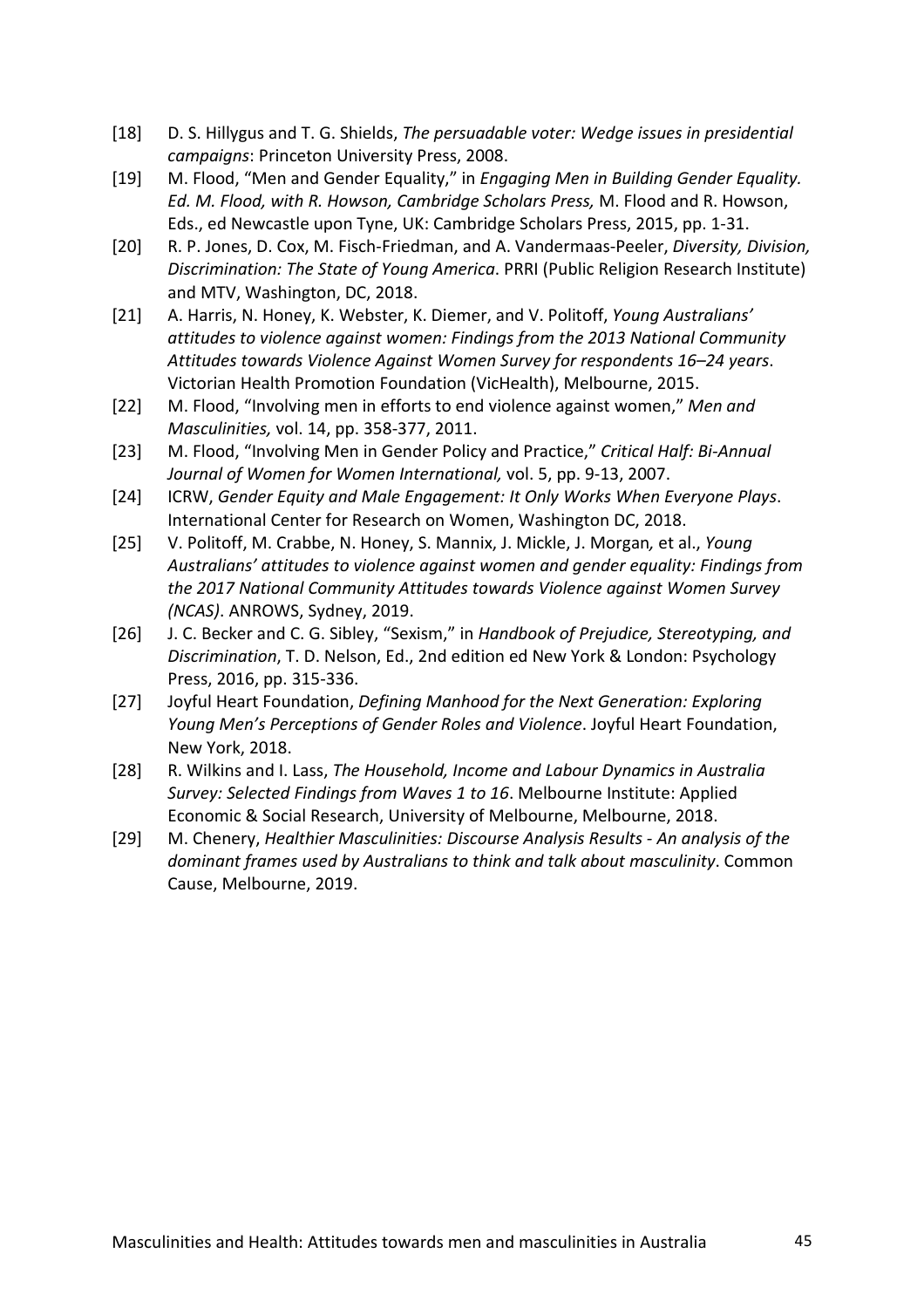- [18] D. S. Hillygus and T. G. Shields, *The persuadable voter: Wedge issues in presidential campaigns*: Princeton University Press, 2008.
- [19] M. Flood, "Men and Gender Equality," in *Engaging Men in Building Gender Equality. Ed. M. Flood, with R. Howson, Cambridge Scholars Press,* M. Flood and R. Howson, Eds., ed Newcastle upon Tyne, UK: Cambridge Scholars Press, 2015, pp. 1-31.
- [20] R. P. Jones, D. Cox, M. Fisch-Friedman, and A. Vandermaas-Peeler, *Diversity, Division, Discrimination: The State of Young America*. PRRI (Public Religion Research Institute) and MTV, Washington, DC, 2018.
- [21] A. Harris, N. Honey, K. Webster, K. Diemer, and V. Politoff, *Young Australians' attitudes to violence against women: Findings from the 2013 National Community Attitudes towards Violence Against Women Survey for respondents 16–24 years*. Victorian Health Promotion Foundation (VicHealth), Melbourne, 2015.
- [22] M. Flood, "Involving men in efforts to end violence against women," *Men and Masculinities,* vol. 14, pp. 358-377, 2011.
- [23] M. Flood, "Involving Men in Gender Policy and Practice," *Critical Half: Bi-Annual Journal of Women for Women International,* vol. 5, pp. 9-13, 2007.
- [24] ICRW, *Gender Equity and Male Engagement: It Only Works When Everyone Plays*. International Center for Research on Women, Washington DC, 2018.
- [25] V. Politoff, M. Crabbe, N. Honey, S. Mannix, J. Mickle, J. Morgan*,* et al., *Young Australians' attitudes to violence against women and gender equality: Findings from the 2017 National Community Attitudes towards Violence against Women Survey (NCAS)*. ANROWS, Sydney, 2019.
- [26] J. C. Becker and C. G. Sibley, "Sexism," in *Handbook of Prejudice, Stereotyping, and Discrimination*, T. D. Nelson, Ed., 2nd edition ed New York & London: Psychology Press, 2016, pp. 315-336.
- [27] Joyful Heart Foundation, *Defining Manhood for the Next Generation: Exploring Young Men's Perceptions of Gender Roles and Violence*. Joyful Heart Foundation, New York, 2018.
- [28] R. Wilkins and I. Lass, *The Household, Income and Labour Dynamics in Australia Survey: Selected Findings from Waves 1 to 16*. Melbourne Institute: Applied Economic & Social Research, University of Melbourne, Melbourne, 2018.
- [29] M. Chenery, *Healthier Masculinities: Discourse Analysis Results - An analysis of the dominant frames used by Australians to think and talk about masculinity*. Common Cause, Melbourne, 2019.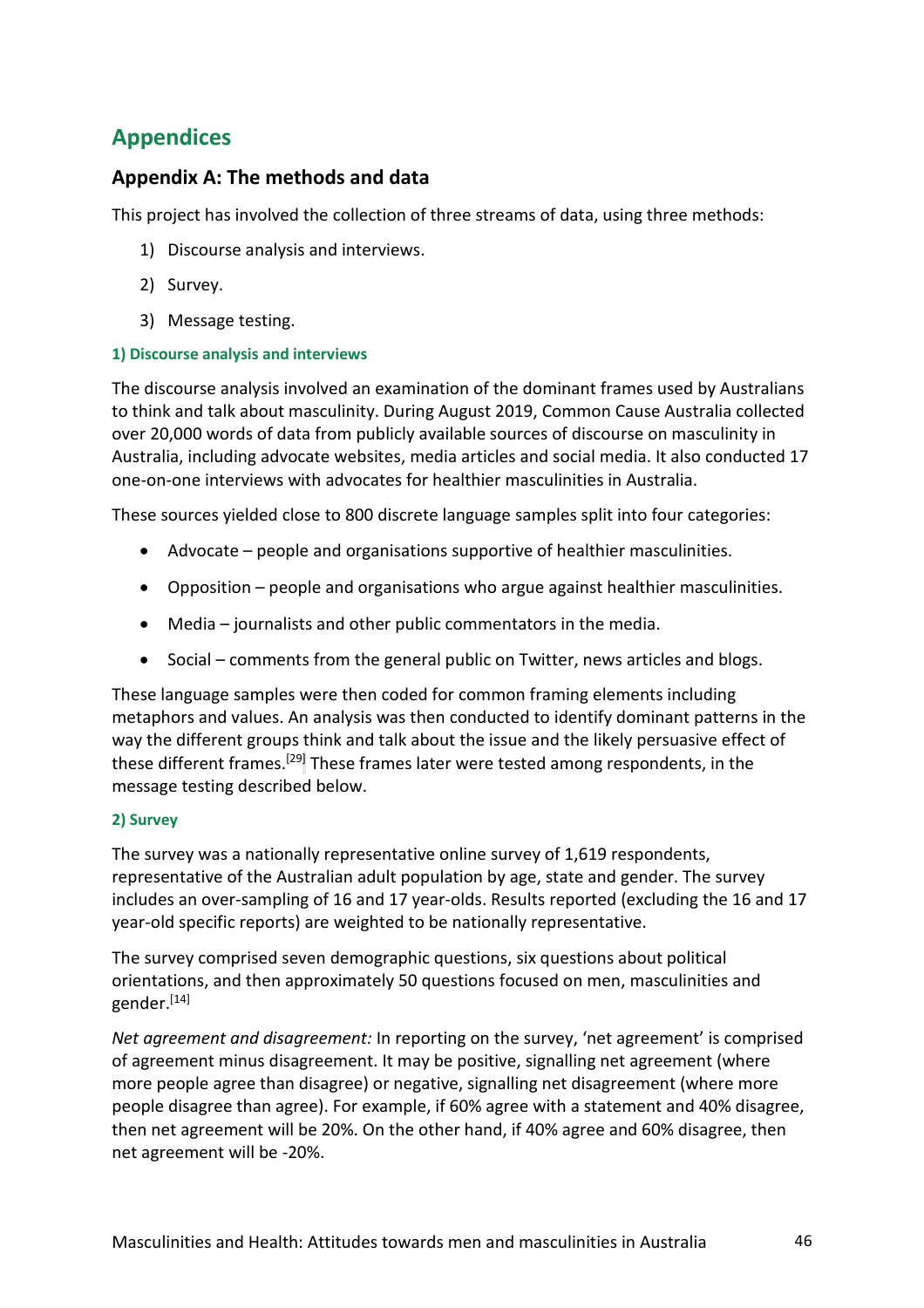# **Appendices**

# **Appendix A: The methods and data**

This project has involved the collection of three streams of data, using three methods:

- 1) Discourse analysis and interviews.
- 2) Survey.
- 3) Message testing.

## **1) Discourse analysis and interviews**

The discourse analysis involved an examination of the dominant frames used by Australians to think and talk about masculinity. During August 2019, Common Cause Australia collected over 20,000 words of data from publicly available sources of discourse on masculinity in Australia, including advocate websites, media articles and social media. It also conducted 17 one-on-one interviews with advocates for healthier masculinities in Australia.

These sources yielded close to 800 discrete language samples split into four categories:

- Advocate people and organisations supportive of healthier masculinities.
- Opposition people and organisations who argue against healthier masculinities.
- Media journalists and other public commentators in the media.
- Social comments from the general public on Twitter, news articles and blogs.

These language samples were then coded for common framing elements including metaphors and values. An analysis was then conducted to identify dominant patterns in the way the different groups think and talk about the issue and the likely persuasive effect of these different frames.<sup>[29]</sup> These frames later were tested among respondents, in the message testing described below.

## **2) Survey**

The survey was a nationally representative online survey of 1,619 respondents, representative of the Australian adult population by age, state and gender. The survey includes an over-sampling of 16 and 17 year-olds. Results reported (excluding the 16 and 17 year-old specific reports) are weighted to be nationally representative.

The survey comprised seven demographic questions, six questions about political orientations, and then approximately 50 questions focused on men, masculinities and gender.<sup>[14]</sup>

*Net agreement and disagreement:* In reporting on the survey, 'net agreement' is comprised of agreement minus disagreement. It may be positive, signalling net agreement (where more people agree than disagree) or negative, signalling net disagreement (where more people disagree than agree). For example, if 60% agree with a statement and 40% disagree, then net agreement will be 20%. On the other hand, if 40% agree and 60% disagree, then net agreement will be -20%.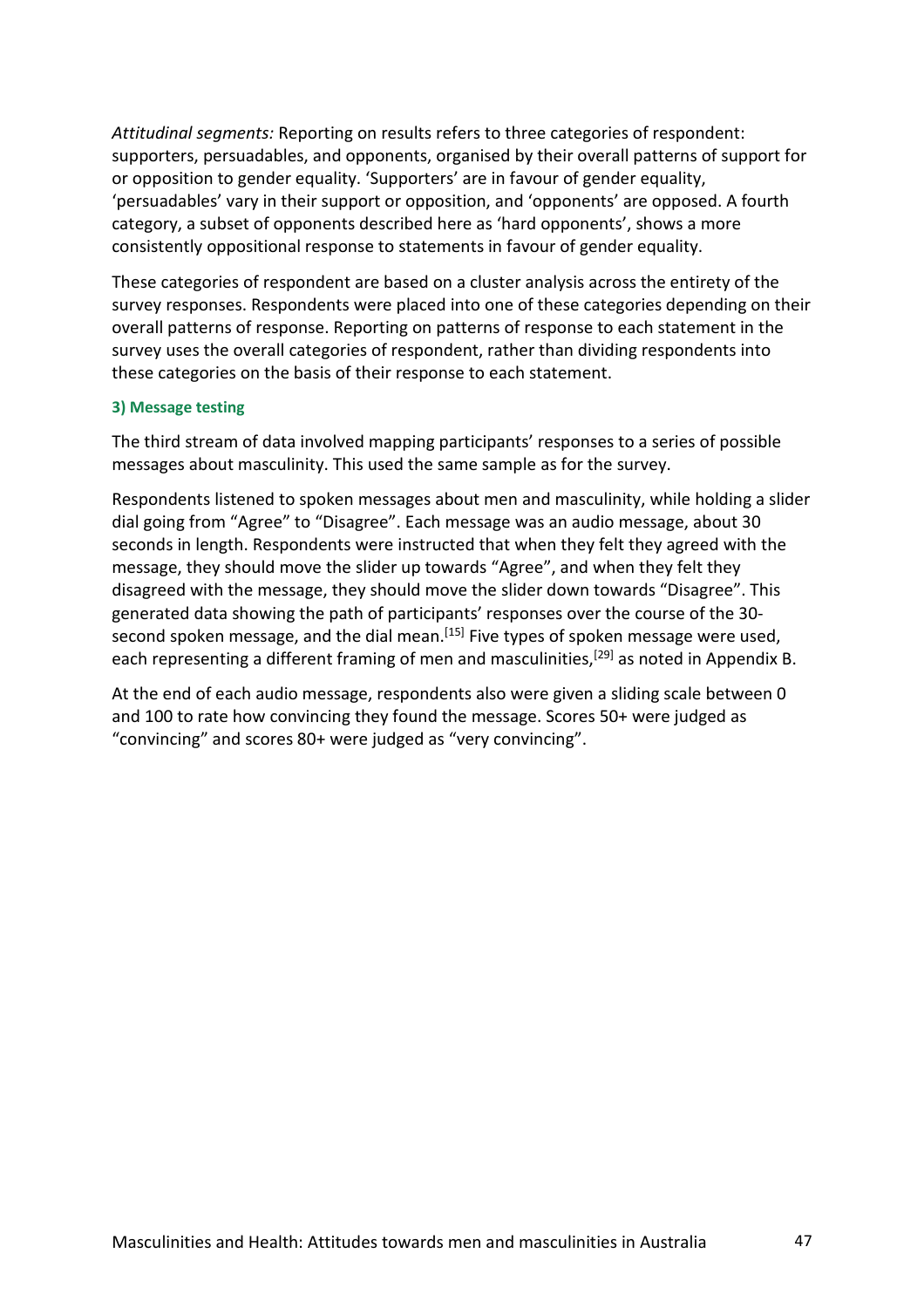*Attitudinal segments:* Reporting on results refers to three categories of respondent: supporters, persuadables, and opponents, organised by their overall patterns of support for or opposition to gender equality. 'Supporters' are in favour of gender equality, 'persuadables' vary in their support or opposition, and 'opponents' are opposed. A fourth category, a subset of opponents described here as 'hard opponents', shows a more consistently oppositional response to statements in favour of gender equality.

These categories of respondent are based on a cluster analysis across the entirety of the survey responses. Respondents were placed into one of these categories depending on their overall patterns of response. Reporting on patterns of response to each statement in the survey uses the overall categories of respondent, rather than dividing respondents into these categories on the basis of their response to each statement.

#### **3) Message testing**

The third stream of data involved mapping participants' responses to a series of possible messages about masculinity. This used the same sample as for the survey.

Respondents listened to spoken messages about men and masculinity, while holding a slider dial going from "Agree" to "Disagree". Each message was an audio message, about 30 seconds in length. Respondents were instructed that when they felt they agreed with the message, they should move the slider up towards "Agree", and when they felt they disagreed with the message, they should move the slider down towards "Disagree". This generated data showing the path of participants' responses over the course of the 30 second spoken message, and the dial mean.<sup>[15]</sup> Five types of spoken message were used, each representing a different framing of men and masculinities,<sup>[29]</sup> as noted in Appendix B.

At the end of each audio message, respondents also were given a sliding scale between 0 and 100 to rate how convincing they found the message. Scores 50+ were judged as "convincing" and scores 80+ were judged as "very convincing".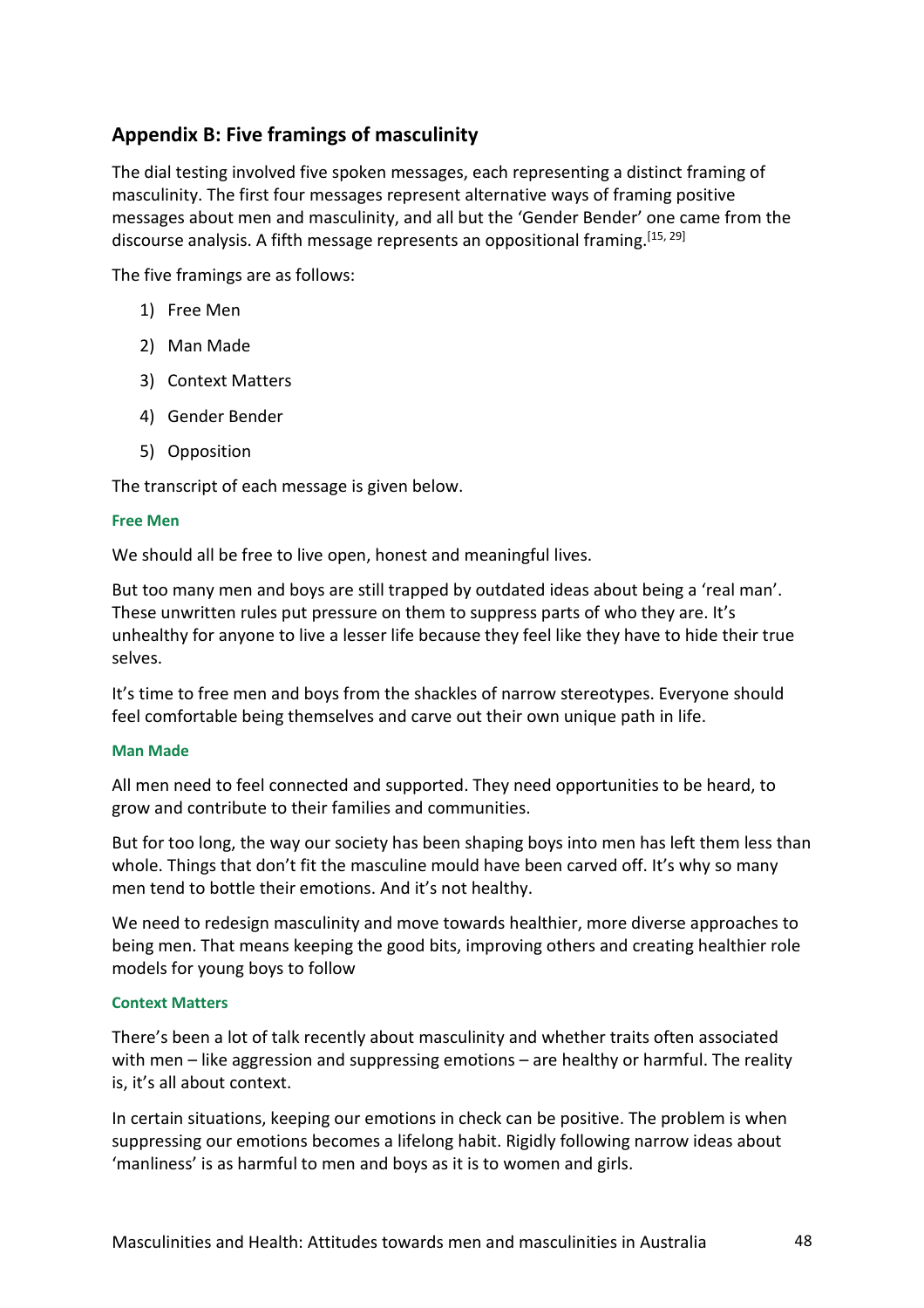# **Appendix B: Five framings of masculinity**

The dial testing involved five spoken messages, each representing a distinct framing of masculinity. The first four messages represent alternative ways of framing positive messages about men and masculinity, and all but the 'Gender Bender' one came from the discourse analysis. A fifth message represents an oppositional framing.<sup>[15, 29]</sup>

The five framings are as follows:

- 1) Free Men
- 2) Man Made
- 3) Context Matters
- 4) Gender Bender
- 5) Opposition

The transcript of each message is given below.

#### **Free Men**

We should all be free to live open, honest and meaningful lives.

But too many men and boys are still trapped by outdated ideas about being a 'real man'. These unwritten rules put pressure on them to suppress parts of who they are. It's unhealthy for anyone to live a lesser life because they feel like they have to hide their true selves.

It's time to free men and boys from the shackles of narrow stereotypes. Everyone should feel comfortable being themselves and carve out their own unique path in life.

#### **Man Made**

All men need to feel connected and supported. They need opportunities to be heard, to grow and contribute to their families and communities.

But for too long, the way our society has been shaping boys into men has left them less than whole. Things that don't fit the masculine mould have been carved off. It's why so many men tend to bottle their emotions. And it's not healthy.

We need to redesign masculinity and move towards healthier, more diverse approaches to being men. That means keeping the good bits, improving others and creating healthier role models for young boys to follow

#### **Context Matters**

There's been a lot of talk recently about masculinity and whether traits often associated with men – like aggression and suppressing emotions – are healthy or harmful. The reality is, it's all about context.

In certain situations, keeping our emotions in check can be positive. The problem is when suppressing our emotions becomes a lifelong habit. Rigidly following narrow ideas about 'manliness' is as harmful to men and boys as it is to women and girls.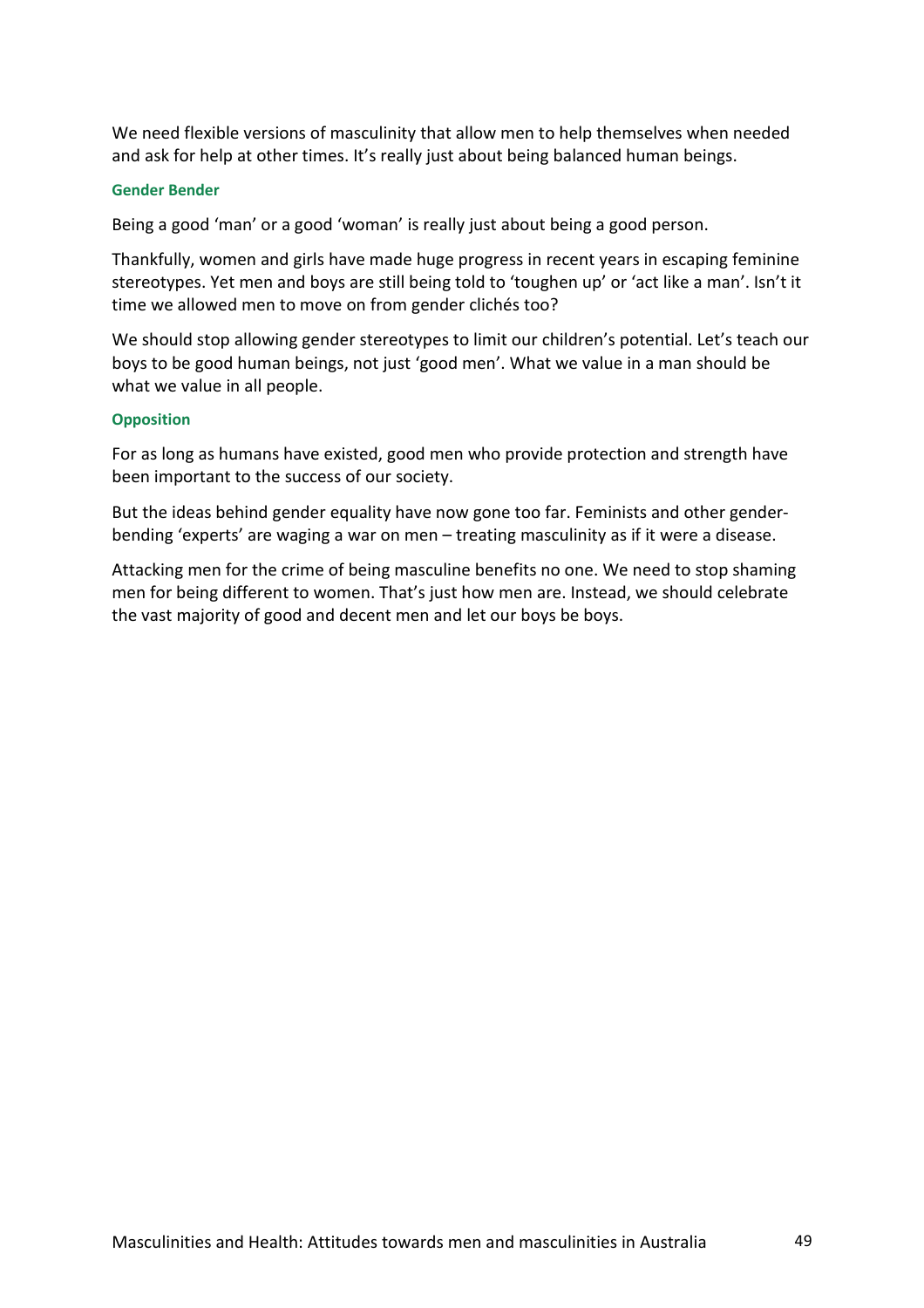We need flexible versions of masculinity that allow men to help themselves when needed and ask for help at other times. It's really just about being balanced human beings.

#### **Gender Bender**

Being a good 'man' or a good 'woman' is really just about being a good person.

Thankfully, women and girls have made huge progress in recent years in escaping feminine stereotypes. Yet men and boys are still being told to 'toughen up' or 'act like a man'. Isn't it time we allowed men to move on from gender clichés too?

We should stop allowing gender stereotypes to limit our children's potential. Let's teach our boys to be good human beings, not just 'good men'. What we value in a man should be what we value in all people.

## **Opposition**

For as long as humans have existed, good men who provide protection and strength have been important to the success of our society.

But the ideas behind gender equality have now gone too far. Feminists and other genderbending 'experts' are waging a war on men – treating masculinity as if it were a disease.

Attacking men for the crime of being masculine benefits no one. We need to stop shaming men for being different to women. That's just how men are. Instead, we should celebrate the vast majority of good and decent men and let our boys be boys.